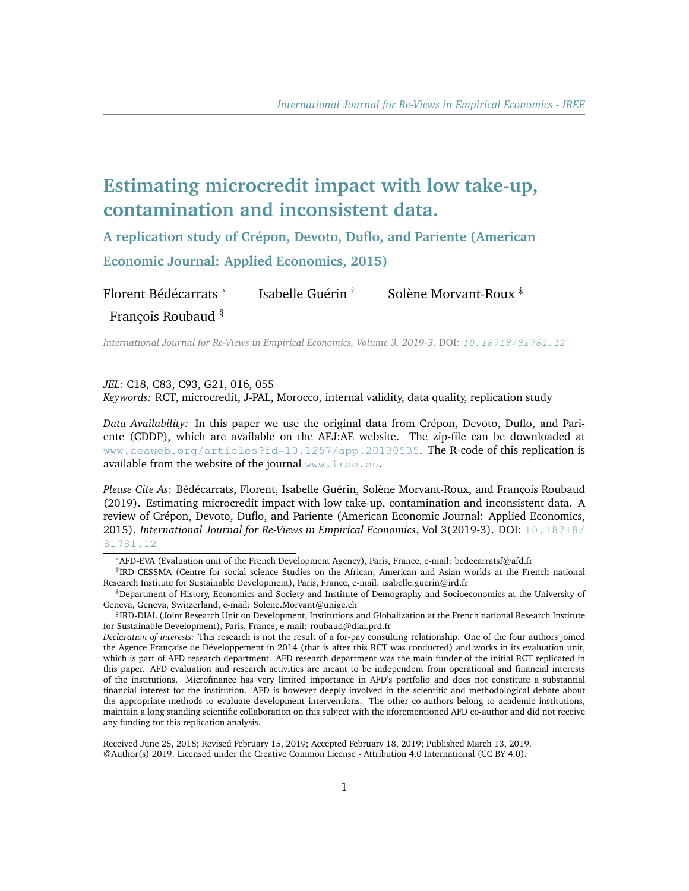# **Estimating microcredit impact with low take-up, contamination and inconsistent data.**

**A replication study of Crépon, Devoto, Duflo, and Pariente (American Economic Journal: Applied Economics, 2015)**

Florent Bédécarrats \* Isabelle Guérin † Solène Morvant-Roux  $\ddot{\mathbf{r}}$ François Roubaud §

*International Journal for Re-Views in Empirical Economics, Volume 3, 2019-3,* DOI: [10.18718/81781.12](https://doi.org/10.18718/81781.12)

#### *JEL:* C18, C83, C93, G21, 016, 055

*Keywords:* RCT, microcredit, J-PAL, Morocco, internal validity, data quality, replication study

*Data Availability:* In this paper we use the original data from Crépon, Devoto, Duflo, and Pariente (CDDP), which are available on the AEJ:AE website. The zip-file can be downloaded at [www.aeaweb.org/articles?id=10.1257/app.20130535](https://www.aeaweb.org/articles?id=10.1257/app.20130535). The R-code of this replication is available from the website of the journal <www.iree.eu>.

*Please Cite As:* Bédécarrats, Florent, Isabelle Guérin, Solène Morvant-Roux, and François Roubaud (2019). Estimating microcredit impact with low take-up, contamination and inconsistent data. A review of Crépon, Devoto, Duflo, and Pariente (American Economic Journal: Applied Economics, 2015). *International Journal for Re-Views in Empirical Economics*, Vol 3(2019-3). DOI: [10.18718/](https://doi.org/10.18718/81781.12) [81781.12](https://doi.org/10.18718/81781.12)

Received June 25, 2018; Revised February 15, 2019; Accepted February 18, 2019; Published March 13, 2019. ©Author(s) 2019. Licensed under the Creative Common License - Attribution 4.0 International (CC BY 4.0).

<sup>\*</sup>AFD-EVA (Evaluation unit of the French Development Agency), Paris, France, e-mail: bedecarratsf@afd.fr

<sup>†</sup> IRD-CESSMA (Centre for social science Studies on the African, American and Asian worlds at the French national Research Institute for Sustainable Development), Paris, France, e-mail: isabelle.guerin@ird.fr

<sup>‡</sup>Department of History, Economics and Society and Institute of Demography and Socioeconomics at the University of Geneva, Geneva, Switzerland, e-mail: Solene.Morvant@unige.ch

<sup>§</sup> IRD-DIAL (Joint Research Unit on Development, Institutions and Globalization at the French national Research Institute for Sustainable Development), Paris, France, e-mail: roubaud@dial.prd.fr

*Declaration of interests:* This research is not the result of a for-pay consulting relationship. One of the four authors joined the Agence Française de Développement in 2014 (that is after this RCT was conducted) and works in its evaluation unit, which is part of AFD research department. AFD research department was the main funder of the initial RCT replicated in this paper. AFD evaluation and research activities are meant to be independent from operational and financial interests of the institutions. Microfinance has very limited importance in AFD's portfolio and does not constitute a substantial financial interest for the institution. AFD is however deeply involved in the scientific and methodological debate about the appropriate methods to evaluate development interventions. The other co-authors belong to academic institutions, maintain a long standing scientific collaboration on this subject with the aforementioned AFD co-author and did not receive any funding for this replication analysis.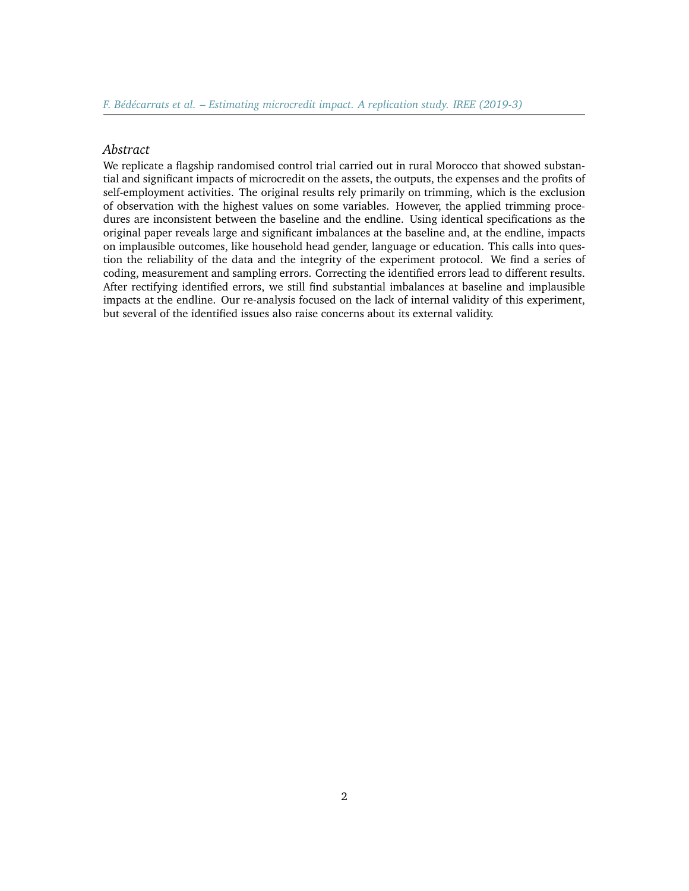#### *Abstract*

We replicate a flagship randomised control trial carried out in rural Morocco that showed substantial and significant impacts of microcredit on the assets, the outputs, the expenses and the profits of self-employment activities. The original results rely primarily on trimming, which is the exclusion of observation with the highest values on some variables. However, the applied trimming procedures are inconsistent between the baseline and the endline. Using identical specifications as the original paper reveals large and significant imbalances at the baseline and, at the endline, impacts on implausible outcomes, like household head gender, language or education. This calls into question the reliability of the data and the integrity of the experiment protocol. We find a series of coding, measurement and sampling errors. Correcting the identified errors lead to different results. After rectifying identified errors, we still find substantial imbalances at baseline and implausible impacts at the endline. Our re-analysis focused on the lack of internal validity of this experiment, but several of the identified issues also raise concerns about its external validity.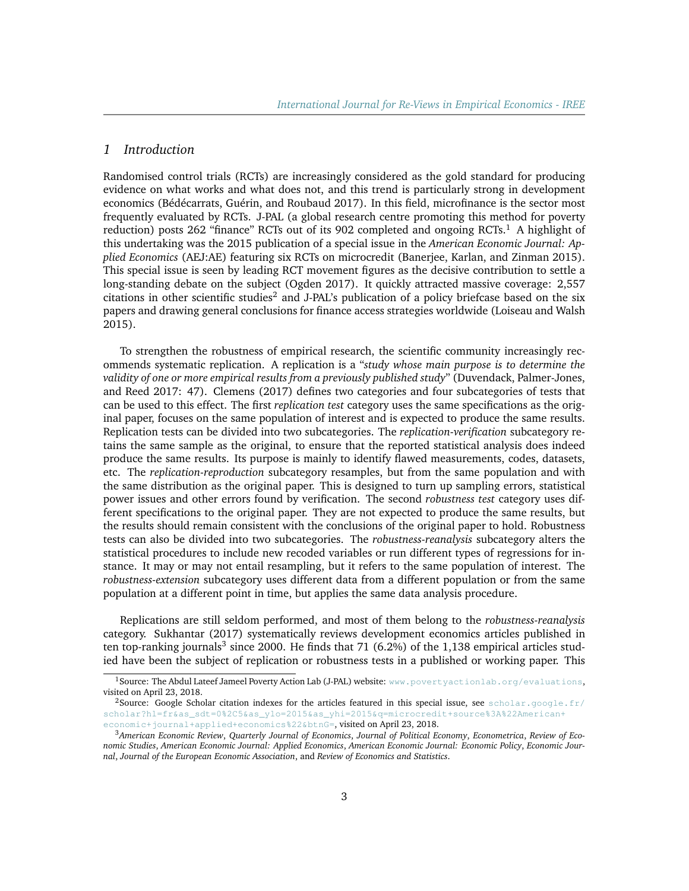# *1 Introduction*

Randomised control trials (RCTs) are increasingly considered as the gold standard for producing evidence on what works and what does not, and this trend is particularly strong in development economics (Bédécarrats, Guérin, and Roubaud 2017). In this field, microfinance is the sector most frequently evaluated by RCTs. J-PAL (a global research centre promoting this method for poverty reduction) posts 262 "finance" RCTs out of its 902 completed and ongoing RCTs.<sup>[1](#page-2-0)</sup> A highlight of this undertaking was the 2015 publication of a special issue in the *American Economic Journal: Applied Economics* (AEJ:AE) featuring six RCTs on microcredit (Banerjee, Karlan, and Zinman 2015). This special issue is seen by leading RCT movement figures as the decisive contribution to settle a long-standing debate on the subject (Ogden 2017). It quickly attracted massive coverage: 2,557 citations in other scientific studies<sup>[2](#page-2-1)</sup> and J-PAL's publication of a policy briefcase based on the six papers and drawing general conclusions for finance access strategies worldwide (Loiseau and Walsh 2015).

To strengthen the robustness of empirical research, the scientific community increasingly recommends systematic replication. A replication is a "*study whose main purpose is to determine the validity of one or more empirical results from a previously published study*" (Duvendack, Palmer-Jones, and Reed 2017: 47). Clemens (2017) defines two categories and four subcategories of tests that can be used to this effect. The first *replication test* category uses the same specifications as the original paper, focuses on the same population of interest and is expected to produce the same results. Replication tests can be divided into two subcategories. The *replication-verification* subcategory retains the same sample as the original, to ensure that the reported statistical analysis does indeed produce the same results. Its purpose is mainly to identify flawed measurements, codes, datasets, etc. The *replication-reproduction* subcategory resamples, but from the same population and with the same distribution as the original paper. This is designed to turn up sampling errors, statistical power issues and other errors found by verification. The second *robustness test* category uses different specifications to the original paper. They are not expected to produce the same results, but the results should remain consistent with the conclusions of the original paper to hold. Robustness tests can also be divided into two subcategories. The *robustness-reanalysis* subcategory alters the statistical procedures to include new recoded variables or run different types of regressions for instance. It may or may not entail resampling, but it refers to the same population of interest. The *robustness-extension* subcategory uses different data from a different population or from the same population at a different point in time, but applies the same data analysis procedure.

Replications are still seldom performed, and most of them belong to the *robustness-reanalysis* category. Sukhantar (2017) systematically reviews development economics articles published in ten top-ranking journals<sup>[3](#page-2-2)</sup> since 2000. He finds that 71 (6.2%) of the 1,138 empirical articles studied have been the subject of replication or robustness tests in a published or working paper. This

<span id="page-2-0"></span><sup>&</sup>lt;sup>1</sup>Source: The Abdul Lateef Jameel Poverty Action Lab (J-PAL) website: [www.povertyactionlab.org/evaluations](https://www.povertyactionlab.org/evaluations), visited on April 23, 2018.

<span id="page-2-1"></span><sup>&</sup>lt;sup>2</sup>Source: Google Scholar citation indexes for the articles featured in this special issue, see [scholar.google.fr/](https://scholar.google.fr/scholar?hl=fr&as_sdt=0%2C5&as_ylo=2015&as_yhi=2015&q=microcredit+source%3A%22American+economic+journal+applied+economics%22&btnG=) [scholar?hl=fr&as\\_sdt=0%2C5&as\\_ylo=2015&as\\_yhi=2015&q=microcredit+source%3A%22American+](https://scholar.google.fr/scholar?hl=fr&as_sdt=0%2C5&as_ylo=2015&as_yhi=2015&q=microcredit+source%3A%22American+economic+journal+applied+economics%22&btnG=) [economic+journal+applied+economics%22&btnG=](https://scholar.google.fr/scholar?hl=fr&as_sdt=0%2C5&as_ylo=2015&as_yhi=2015&q=microcredit+source%3A%22American+economic+journal+applied+economics%22&btnG=), visited on April 23, 2018.

<span id="page-2-2"></span><sup>3</sup>*American Economic Review*, *Quarterly Journal of Economics*, *Journal of Political Economy*, *Econometrica*, *Review of Economic Studies*, *American Economic Journal: Applied Economics*, *American Economic Journal: Economic Policy*, *Economic Journal*, *Journal of the European Economic Association*, and *Review of Economics and Statistics*.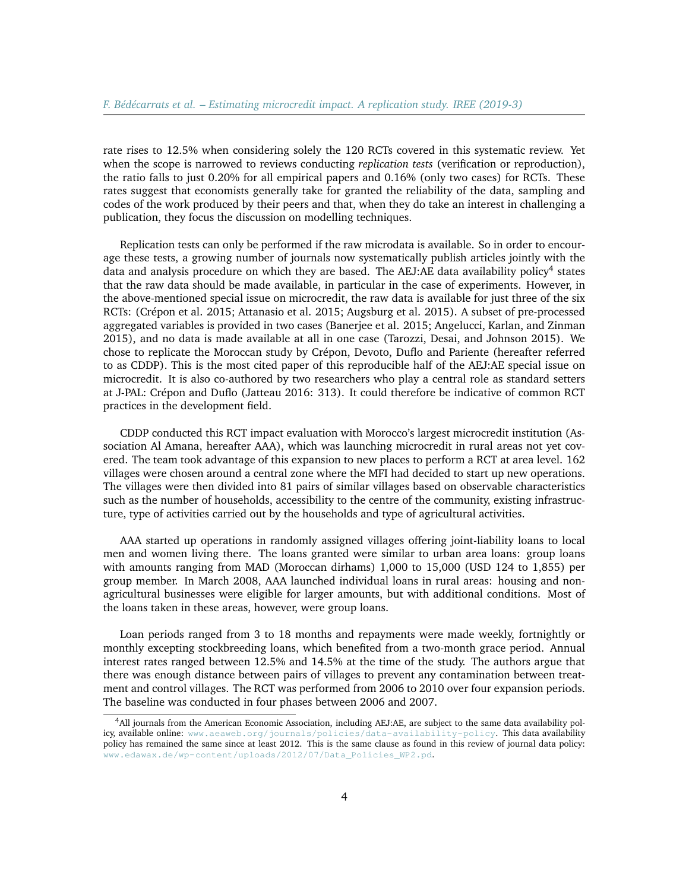rate rises to 12.5% when considering solely the 120 RCTs covered in this systematic review. Yet when the scope is narrowed to reviews conducting *replication tests* (verification or reproduction), the ratio falls to just 0.20% for all empirical papers and 0.16% (only two cases) for RCTs. These rates suggest that economists generally take for granted the reliability of the data, sampling and codes of the work produced by their peers and that, when they do take an interest in challenging a publication, they focus the discussion on modelling techniques.

Replication tests can only be performed if the raw microdata is available. So in order to encourage these tests, a growing number of journals now systematically publish articles jointly with the data and analysis procedure on which they are based. The AEJ:AE data availability policy<sup>[4](#page-3-0)</sup> states that the raw data should be made available, in particular in the case of experiments. However, in the above-mentioned special issue on microcredit, the raw data is available for just three of the six RCTs: (Crépon et al. 2015; Attanasio et al. 2015; Augsburg et al. 2015). A subset of pre-processed aggregated variables is provided in two cases (Banerjee et al. 2015; Angelucci, Karlan, and Zinman 2015), and no data is made available at all in one case (Tarozzi, Desai, and Johnson 2015). We chose to replicate the Moroccan study by Crépon, Devoto, Duflo and Pariente (hereafter referred to as CDDP). This is the most cited paper of this reproducible half of the AEJ:AE special issue on microcredit. It is also co-authored by two researchers who play a central role as standard setters at J-PAL: Crépon and Duflo (Jatteau 2016: 313). It could therefore be indicative of common RCT practices in the development field.

CDDP conducted this RCT impact evaluation with Morocco's largest microcredit institution (Association Al Amana, hereafter AAA), which was launching microcredit in rural areas not yet covered. The team took advantage of this expansion to new places to perform a RCT at area level. 162 villages were chosen around a central zone where the MFI had decided to start up new operations. The villages were then divided into 81 pairs of similar villages based on observable characteristics such as the number of households, accessibility to the centre of the community, existing infrastructure, type of activities carried out by the households and type of agricultural activities.

AAA started up operations in randomly assigned villages offering joint-liability loans to local men and women living there. The loans granted were similar to urban area loans: group loans with amounts ranging from MAD (Moroccan dirhams) 1,000 to 15,000 (USD 124 to 1,855) per group member. In March 2008, AAA launched individual loans in rural areas: housing and nonagricultural businesses were eligible for larger amounts, but with additional conditions. Most of the loans taken in these areas, however, were group loans.

Loan periods ranged from 3 to 18 months and repayments were made weekly, fortnightly or monthly excepting stockbreeding loans, which benefited from a two-month grace period. Annual interest rates ranged between 12.5% and 14.5% at the time of the study. The authors argue that there was enough distance between pairs of villages to prevent any contamination between treatment and control villages. The RCT was performed from 2006 to 2010 over four expansion periods. The baseline was conducted in four phases between 2006 and 2007.

<span id="page-3-0"></span><sup>4</sup>All journals from the American Economic Association, including AEJ:AE, are subject to the same data availability policy, available online: [www.aeaweb.org/journals/policies/data-availability-policy](https://www.aeaweb.org/journals/policies/data-availability-policy). This data availability policy has remained the same since at least 2012. This is the same clause as found in this review of journal data policy: [www.edawax.de/wp-content/uploads/2012/07/Data\\_Policies\\_WP2.pd](http://www.edawax.de/wp-content/uploads/2012/07/Data_Policies_WP2.pdf).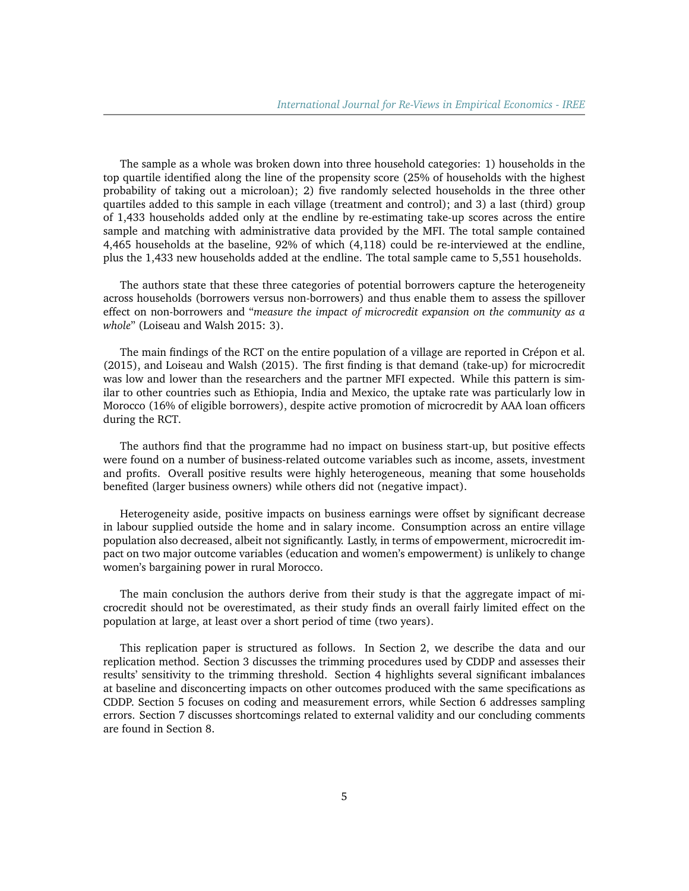The sample as a whole was broken down into three household categories: 1) households in the top quartile identified along the line of the propensity score (25% of households with the highest probability of taking out a microloan); 2) five randomly selected households in the three other quartiles added to this sample in each village (treatment and control); and 3) a last (third) group of 1,433 households added only at the endline by re-estimating take-up scores across the entire sample and matching with administrative data provided by the MFI. The total sample contained 4,465 households at the baseline, 92% of which (4,118) could be re-interviewed at the endline, plus the 1,433 new households added at the endline. The total sample came to 5,551 households.

The authors state that these three categories of potential borrowers capture the heterogeneity across households (borrowers versus non-borrowers) and thus enable them to assess the spillover effect on non-borrowers and "*measure the impact of microcredit expansion on the community as a whole*" (Loiseau and Walsh 2015: 3).

The main findings of the RCT on the entire population of a village are reported in Crépon et al. (2015), and Loiseau and Walsh (2015). The first finding is that demand (take-up) for microcredit was low and lower than the researchers and the partner MFI expected. While this pattern is similar to other countries such as Ethiopia, India and Mexico, the uptake rate was particularly low in Morocco (16% of eligible borrowers), despite active promotion of microcredit by AAA loan officers during the RCT.

The authors find that the programme had no impact on business start-up, but positive effects were found on a number of business-related outcome variables such as income, assets, investment and profits. Overall positive results were highly heterogeneous, meaning that some households benefited (larger business owners) while others did not (negative impact).

Heterogeneity aside, positive impacts on business earnings were offset by significant decrease in labour supplied outside the home and in salary income. Consumption across an entire village population also decreased, albeit not significantly. Lastly, in terms of empowerment, microcredit impact on two major outcome variables (education and women's empowerment) is unlikely to change women's bargaining power in rural Morocco.

The main conclusion the authors derive from their study is that the aggregate impact of microcredit should not be overestimated, as their study finds an overall fairly limited effect on the population at large, at least over a short period of time (two years).

This replication paper is structured as follows. In Section 2, we describe the data and our replication method. Section 3 discusses the trimming procedures used by CDDP and assesses their results' sensitivity to the trimming threshold. Section 4 highlights several significant imbalances at baseline and disconcerting impacts on other outcomes produced with the same specifications as CDDP. Section 5 focuses on coding and measurement errors, while Section 6 addresses sampling errors. Section 7 discusses shortcomings related to external validity and our concluding comments are found in Section 8.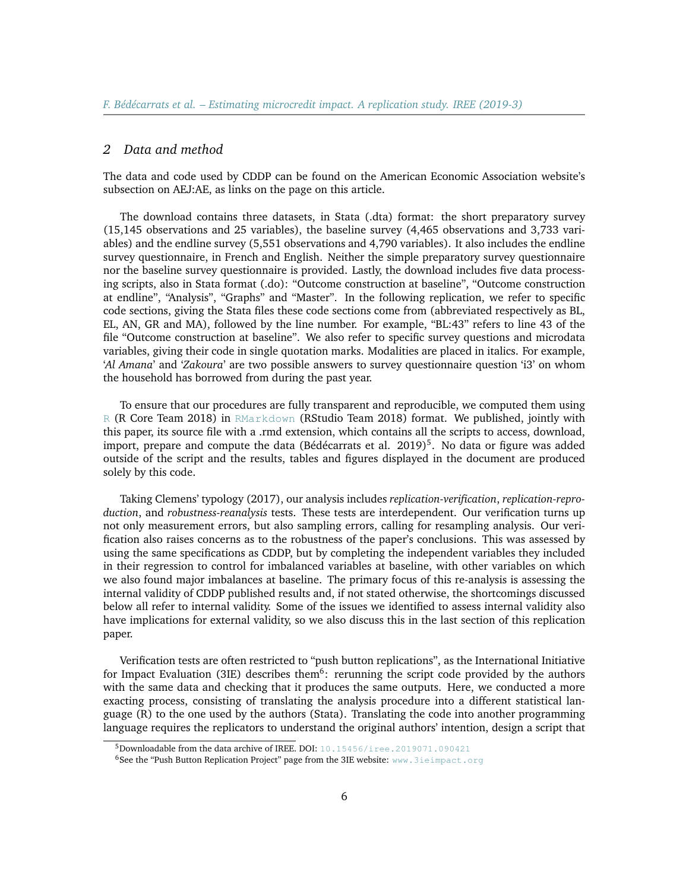#### *2 Data and method*

The data and code used by CDDP can be found on the American Economic Association website's subsection on AEJ:AE, as links on the page on this article.

The download contains three datasets, in Stata (.dta) format: the short preparatory survey (15,145 observations and 25 variables), the baseline survey (4,465 observations and 3,733 variables) and the endline survey (5,551 observations and 4,790 variables). It also includes the endline survey questionnaire, in French and English. Neither the simple preparatory survey questionnaire nor the baseline survey questionnaire is provided. Lastly, the download includes five data processing scripts, also in Stata format (.do): "Outcome construction at baseline", "Outcome construction at endline", "Analysis", "Graphs" and "Master". In the following replication, we refer to specific code sections, giving the Stata files these code sections come from (abbreviated respectively as BL, EL, AN, GR and MA), followed by the line number. For example, "BL:43" refers to line 43 of the file "Outcome construction at baseline". We also refer to specific survey questions and microdata variables, giving their code in single quotation marks. Modalities are placed in italics. For example, '*Al Amana*' and '*Zakoura*' are two possible answers to survey questionnaire question 'i3' on whom the household has borrowed from during the past year.

To ensure that our procedures are fully transparent and reproducible, we computed them using [R](https://cran.r-project.org/) (R Core Team 2018) in [RMarkdown](http://rmarkdown.rstudio.com/) (RStudio Team 2018) format. We published, jointly with this paper, its source file with a .rmd extension, which contains all the scripts to access, download, import, prepare and compute the data (Bédécarrats et al.  $2019)^5$  $2019)^5$ . No data or figure was added outside of the script and the results, tables and figures displayed in the document are produced solely by this code.

Taking Clemens' typology (2017), our analysis includes *replication-verification*, *replication-reproduction*, and *robustness-reanalysis* tests. These tests are interdependent. Our verification turns up not only measurement errors, but also sampling errors, calling for resampling analysis. Our verification also raises concerns as to the robustness of the paper's conclusions. This was assessed by using the same specifications as CDDP, but by completing the independent variables they included in their regression to control for imbalanced variables at baseline, with other variables on which we also found major imbalances at baseline. The primary focus of this re-analysis is assessing the internal validity of CDDP published results and, if not stated otherwise, the shortcomings discussed below all refer to internal validity. Some of the issues we identified to assess internal validity also have implications for external validity, so we also discuss this in the last section of this replication paper.

Verification tests are often restricted to "push button replications", as the International Initiative for Impact Evaluation (3IE) describes them<sup>[6](#page-5-1)</sup>: rerunning the script code provided by the authors with the same data and checking that it produces the same outputs. Here, we conducted a more exacting process, consisting of translating the analysis procedure into a different statistical language (R) to the one used by the authors (Stata). Translating the code into another programming language requires the replicators to understand the original authors' intention, design a script that

<span id="page-5-0"></span><sup>5</sup>Downloadable from the data archive of IREE. DOI: [10.15456/iree.2019071.090421](http://dx.doi.org/10.15456/iree.2019071.090421)

<span id="page-5-1"></span><sup>6</sup>See the "Push Button Replication Project" page from the 3IE website: <www.3ieimpact.org>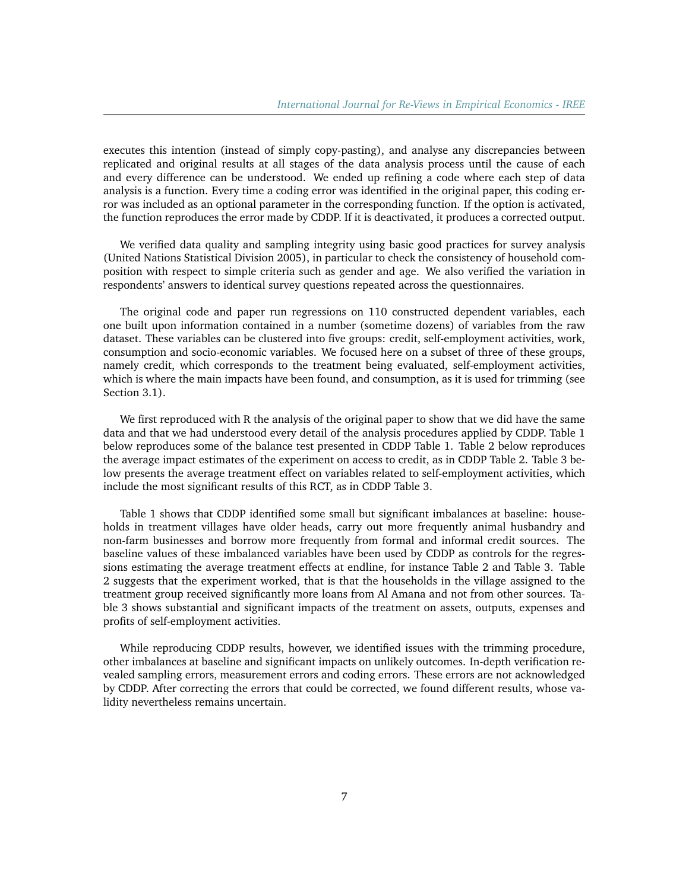executes this intention (instead of simply copy-pasting), and analyse any discrepancies between replicated and original results at all stages of the data analysis process until the cause of each and every difference can be understood. We ended up refining a code where each step of data analysis is a function. Every time a coding error was identified in the original paper, this coding error was included as an optional parameter in the corresponding function. If the option is activated, the function reproduces the error made by CDDP. If it is deactivated, it produces a corrected output.

We verified data quality and sampling integrity using basic good practices for survey analysis (United Nations Statistical Division 2005), in particular to check the consistency of household composition with respect to simple criteria such as gender and age. We also verified the variation in respondents' answers to identical survey questions repeated across the questionnaires.

The original code and paper run regressions on 110 constructed dependent variables, each one built upon information contained in a number (sometime dozens) of variables from the raw dataset. These variables can be clustered into five groups: credit, self-employment activities, work, consumption and socio-economic variables. We focused here on a subset of three of these groups, namely credit, which corresponds to the treatment being evaluated, self-employment activities, which is where the main impacts have been found, and consumption, as it is used for trimming (see Section 3.1).

We first reproduced with R the analysis of the original paper to show that we did have the same data and that we had understood every detail of the analysis procedures applied by CDDP. Table 1 below reproduces some of the balance test presented in CDDP Table 1. Table 2 below reproduces the average impact estimates of the experiment on access to credit, as in CDDP Table 2. Table 3 below presents the average treatment effect on variables related to self-employment activities, which include the most significant results of this RCT, as in CDDP Table 3.

Table 1 shows that CDDP identified some small but significant imbalances at baseline: households in treatment villages have older heads, carry out more frequently animal husbandry and non-farm businesses and borrow more frequently from formal and informal credit sources. The baseline values of these imbalanced variables have been used by CDDP as controls for the regressions estimating the average treatment effects at endline, for instance Table 2 and Table 3. Table 2 suggests that the experiment worked, that is that the households in the village assigned to the treatment group received significantly more loans from Al Amana and not from other sources. Table 3 shows substantial and significant impacts of the treatment on assets, outputs, expenses and profits of self-employment activities.

While reproducing CDDP results, however, we identified issues with the trimming procedure, other imbalances at baseline and significant impacts on unlikely outcomes. In-depth verification revealed sampling errors, measurement errors and coding errors. These errors are not acknowledged by CDDP. After correcting the errors that could be corrected, we found different results, whose validity nevertheless remains uncertain.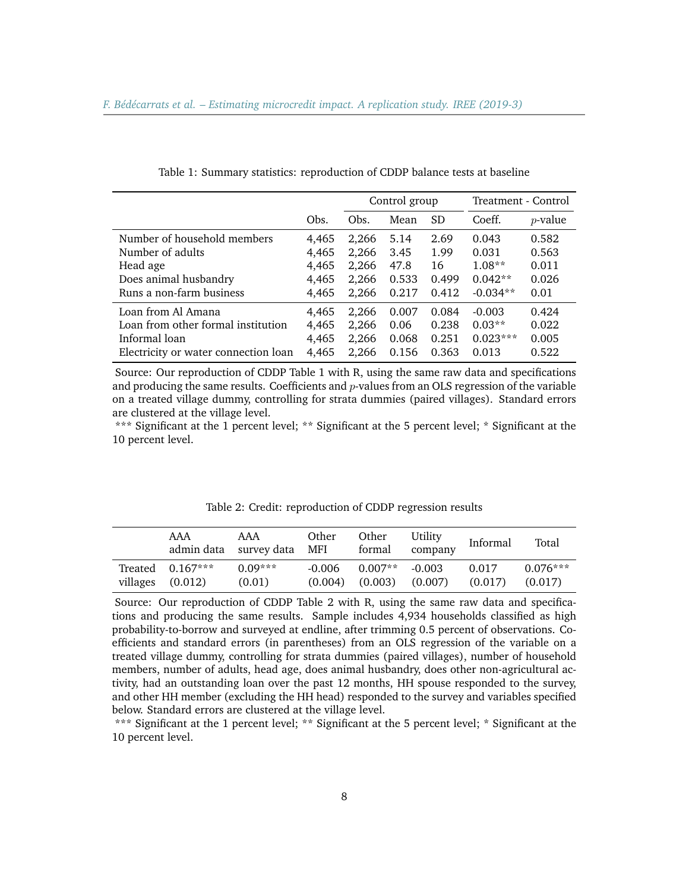|                                      |       | Control group |       |           | Treatment - Control |            |
|--------------------------------------|-------|---------------|-------|-----------|---------------------|------------|
|                                      | Obs.  | Obs.          | Mean  | <b>SD</b> | Coeff.              | $p$ -value |
| Number of household members          | 4,465 | 2,266         | 5.14  | 2.69      | 0.043               | 0.582      |
| Number of adults                     | 4,465 | 2,266         | 3.45  | 1.99      | 0.031               | 0.563      |
| Head age                             | 4,465 | 2,266         | 47.8  | 16        | $1.08**$            | 0.011      |
| Does animal husbandry                | 4,465 | 2,266         | 0.533 | 0.499     | $0.042**$           | 0.026      |
| Runs a non-farm business             | 4,465 | 2,266         | 0.217 | 0.412     | $-0.034**$          | 0.01       |
| Loan from Al Amana                   | 4,465 | 2,266         | 0.007 | 0.084     | $-0.003$            | 0.424      |
| Loan from other formal institution   | 4,465 | 2,266         | 0.06  | 0.238     | $0.03**$            | 0.022      |
| Informal loan                        | 4,465 | 2,266         | 0.068 | 0.251     | $0.023***$          | 0.005      |
| Electricity or water connection loan | 4,465 | 2,266         | 0.156 | 0.363     | 0.013               | 0.522      |
|                                      |       |               |       |           |                     |            |

Table 1: Summary statistics: reproduction of CDDP balance tests at baseline

Source: Our reproduction of CDDP Table 1 with R, using the same raw data and specifications and producing the same results. Coefficients and  $p$ -values from an OLS regression of the variable on a treated village dummy, controlling for strata dummies (paired villages). Standard errors are clustered at the village level.

\*\*\* Significant at the 1 percent level; \*\* Significant at the 5 percent level; \* Significant at the 10 percent level.

|          | AAA                           | AAA<br>admin data survey data MFI | Other               | Other<br>formal                  | Utility<br>company | Informal         | Total                 |
|----------|-------------------------------|-----------------------------------|---------------------|----------------------------------|--------------------|------------------|-----------------------|
| villages | Treated $0.167***$<br>(0.012) | $0.09***$<br>(0.01)               | $-0.006$<br>(0.004) | $0.007**$<br>$(0.003)$ $(0.007)$ | $-0.003$           | 0.017<br>(0.017) | $0.076***$<br>(0.017) |

Table 2: Credit: reproduction of CDDP regression results

Source: Our reproduction of CDDP Table 2 with R, using the same raw data and specifications and producing the same results. Sample includes 4,934 households classified as high probability-to-borrow and surveyed at endline, after trimming 0.5 percent of observations. Coefficients and standard errors (in parentheses) from an OLS regression of the variable on a treated village dummy, controlling for strata dummies (paired villages), number of household members, number of adults, head age, does animal husbandry, does other non-agricultural activity, had an outstanding loan over the past 12 months, HH spouse responded to the survey, and other HH member (excluding the HH head) responded to the survey and variables specified below. Standard errors are clustered at the village level.

\*\*\* Significant at the 1 percent level; \*\* Significant at the 5 percent level; \* Significant at the 10 percent level.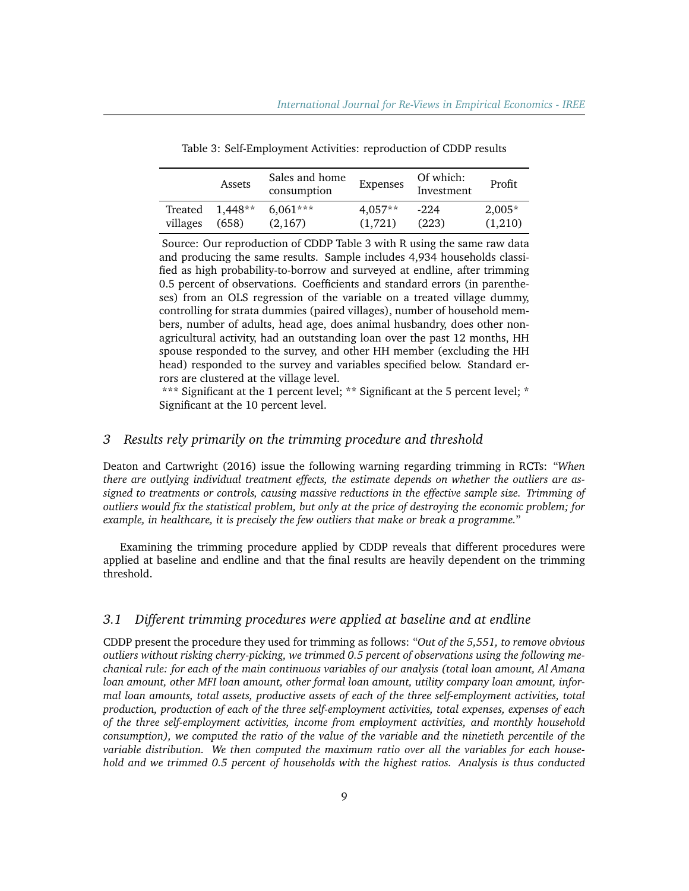|          | Assets    | Sales and home<br>consumption | Expenses  | Of which:<br>Investment | Profit   |
|----------|-----------|-------------------------------|-----------|-------------------------|----------|
| Treated  | $1.448**$ | $6.061***$                    | $4.057**$ | $-2.2.4$                | $2.005*$ |
| villages | (658)     | (2,167)                       | (1.721)   | (223)                   | (1,210)  |

Table 3: Self-Employment Activities: reproduction of CDDP results

Source: Our reproduction of CDDP Table 3 with R using the same raw data and producing the same results. Sample includes 4,934 households classified as high probability-to-borrow and surveyed at endline, after trimming 0.5 percent of observations. Coefficients and standard errors (in parentheses) from an OLS regression of the variable on a treated village dummy, controlling for strata dummies (paired villages), number of household members, number of adults, head age, does animal husbandry, does other nonagricultural activity, had an outstanding loan over the past 12 months, HH spouse responded to the survey, and other HH member (excluding the HH head) responded to the survey and variables specified below. Standard errors are clustered at the village level.

\*\*\* Significant at the 1 percent level; \*\* Significant at the 5 percent level; \* Significant at the 10 percent level.

## *3 Results rely primarily on the trimming procedure and threshold*

Deaton and Cartwright (2016) issue the following warning regarding trimming in RCTs: "*When there are outlying individual treatment effects, the estimate depends on whether the outliers are assigned to treatments or controls, causing massive reductions in the effective sample size. Trimming of outliers would fix the statistical problem, but only at the price of destroying the economic problem; for example, in healthcare, it is precisely the few outliers that make or break a programme.*"

Examining the trimming procedure applied by CDDP reveals that different procedures were applied at baseline and endline and that the final results are heavily dependent on the trimming threshold.

#### *3.1 Different trimming procedures were applied at baseline and at endline*

CDDP present the procedure they used for trimming as follows: "*Out of the 5,551, to remove obvious outliers without risking cherry-picking, we trimmed 0.5 percent of observations using the following mechanical rule: for each of the main continuous variables of our analysis (total loan amount, Al Amana loan amount, other MFI loan amount, other formal loan amount, utility company loan amount, informal loan amounts, total assets, productive assets of each of the three self-employment activities, total production, production of each of the three self-employment activities, total expenses, expenses of each of the three self-employment activities, income from employment activities, and monthly household consumption), we computed the ratio of the value of the variable and the ninetieth percentile of the variable distribution. We then computed the maximum ratio over all the variables for each household and we trimmed 0.5 percent of households with the highest ratios. Analysis is thus conducted*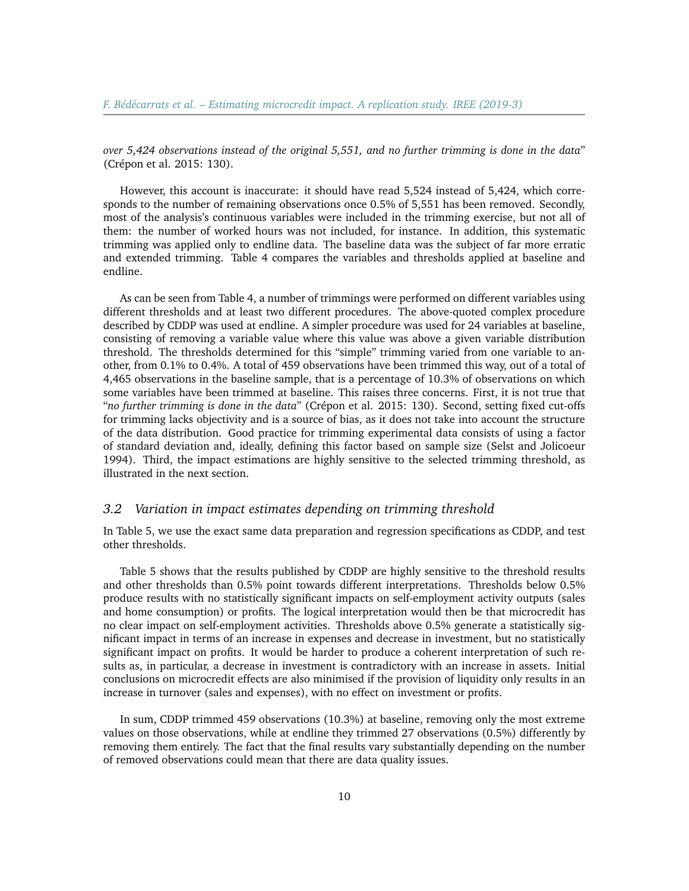*over 5,424 observations instead of the original 5,551, and no further trimming is done in the data*" (Crépon et al. 2015: 130).

However, this account is inaccurate: it should have read 5,524 instead of 5,424, which corresponds to the number of remaining observations once 0.5% of 5,551 has been removed. Secondly, most of the analysis's continuous variables were included in the trimming exercise, but not all of them: the number of worked hours was not included, for instance. In addition, this systematic trimming was applied only to endline data. The baseline data was the subject of far more erratic and extended trimming. Table 4 compares the variables and thresholds applied at baseline and endline.

As can be seen from Table 4, a number of trimmings were performed on different variables using different thresholds and at least two different procedures. The above-quoted complex procedure described by CDDP was used at endline. A simpler procedure was used for 24 variables at baseline, consisting of removing a variable value where this value was above a given variable distribution threshold. The thresholds determined for this "simple" trimming varied from one variable to another, from 0.1% to 0.4%. A total of 459 observations have been trimmed this way, out of a total of 4,465 observations in the baseline sample, that is a percentage of 10.3% of observations on which some variables have been trimmed at baseline. This raises three concerns. First, it is not true that "*no further trimming is done in the data*" (Crépon et al. 2015: 130). Second, setting fixed cut-offs for trimming lacks objectivity and is a source of bias, as it does not take into account the structure of the data distribution. Good practice for trimming experimental data consists of using a factor of standard deviation and, ideally, defining this factor based on sample size (Selst and Jolicoeur 1994). Third, the impact estimations are highly sensitive to the selected trimming threshold, as illustrated in the next section.

# *3.2 Variation in impact estimates depending on trimming threshold*

In Table 5, we use the exact same data preparation and regression specifications as CDDP, and test other thresholds.

Table 5 shows that the results published by CDDP are highly sensitive to the threshold results and other thresholds than 0.5% point towards different interpretations. Thresholds below 0.5% produce results with no statistically significant impacts on self-employment activity outputs (sales and home consumption) or profits. The logical interpretation would then be that microcredit has no clear impact on self-employment activities. Thresholds above 0.5% generate a statistically significant impact in terms of an increase in expenses and decrease in investment, but no statistically significant impact on profits. It would be harder to produce a coherent interpretation of such results as, in particular, a decrease in investment is contradictory with an increase in assets. Initial conclusions on microcredit effects are also minimised if the provision of liquidity only results in an increase in turnover (sales and expenses), with no effect on investment or profits.

In sum, CDDP trimmed 459 observations (10.3%) at baseline, removing only the most extreme values on those observations, while at endline they trimmed 27 observations (0.5%) differently by removing them entirely. The fact that the final results vary substantially depending on the number of removed observations could mean that there are data quality issues.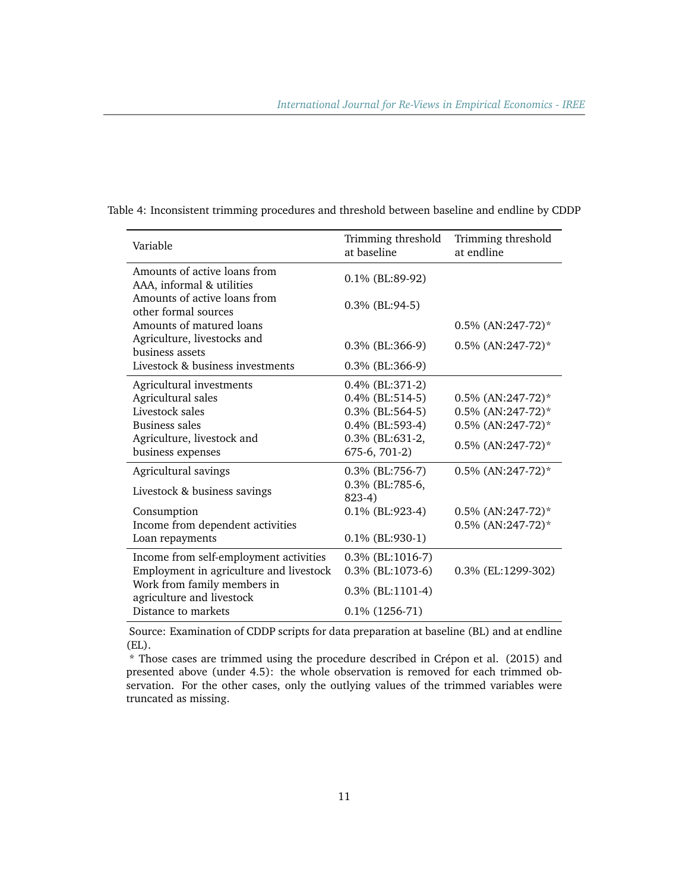| Variable                                                  | Trimming threshold<br>at baseline | Trimming threshold<br>at endline |
|-----------------------------------------------------------|-----------------------------------|----------------------------------|
| Amounts of active loans from<br>AAA, informal & utilities | 0.1% (BL:89-92)                   |                                  |
| Amounts of active loans from<br>other formal sources      | $0.3\%$ (BL:94-5)                 |                                  |
| Amounts of matured loans                                  |                                   | $0.5\%$ (AN:247-72)*             |
| Agriculture, livestocks and<br>business assets            | 0.3% (BL:366-9)                   | 0.5% (AN:247-72)*                |
| Livestock & business investments                          | $0.3\%$ (BL:366-9)                |                                  |
| Agricultural investments                                  | 0.4% (BL:371-2)                   |                                  |
| Agricultural sales                                        | $0.4\%$ (BL:514-5)                | 0.5% (AN:247-72)*                |
| Livestock sales                                           | 0.3% (BL:564-5)                   | 0.5% (AN:247-72)*                |
| Business sales                                            | 0.4% (BL:593-4)                   | 0.5% (AN:247-72)*                |
| Agriculture, livestock and                                | 0.3% (BL:631-2,                   | 0.5% (AN:247-72)*                |
| business expenses                                         | 675-6, 701-2)                     |                                  |
| Agricultural savings                                      | 0.3% (BL:756-7)                   | $0.5\%$ (AN:247-72)*             |
| Livestock & business savings                              | 0.3% (BL:785-6,<br>$823-4)$       |                                  |
| Consumption                                               | $0.1\%$ (BL:923-4)                | 0.5% (AN:247-72)*                |
| Income from dependent activities                          |                                   | 0.5% (AN:247-72)*                |
| Loan repayments                                           | $0.1\%$ (BL:930-1)                |                                  |
| Income from self-employment activities                    | $0.3\%$ (BL:1016-7)               |                                  |
| Employment in agriculture and livestock                   | 0.3% (BL:1073-6)                  | 0.3% (EL:1299-302)               |
| Work from family members in<br>agriculture and livestock  | 0.3% (BL:1101-4)                  |                                  |
| Distance to markets                                       | $0.1\%$ (1256-71)                 |                                  |

Table 4: Inconsistent trimming procedures and threshold between baseline and endline by CDDP

Source: Examination of CDDP scripts for data preparation at baseline (BL) and at endline (EL).

\* Those cases are trimmed using the procedure described in Crépon et al. (2015) and presented above (under 4.5): the whole observation is removed for each trimmed observation. For the other cases, only the outlying values of the trimmed variables were truncated as missing.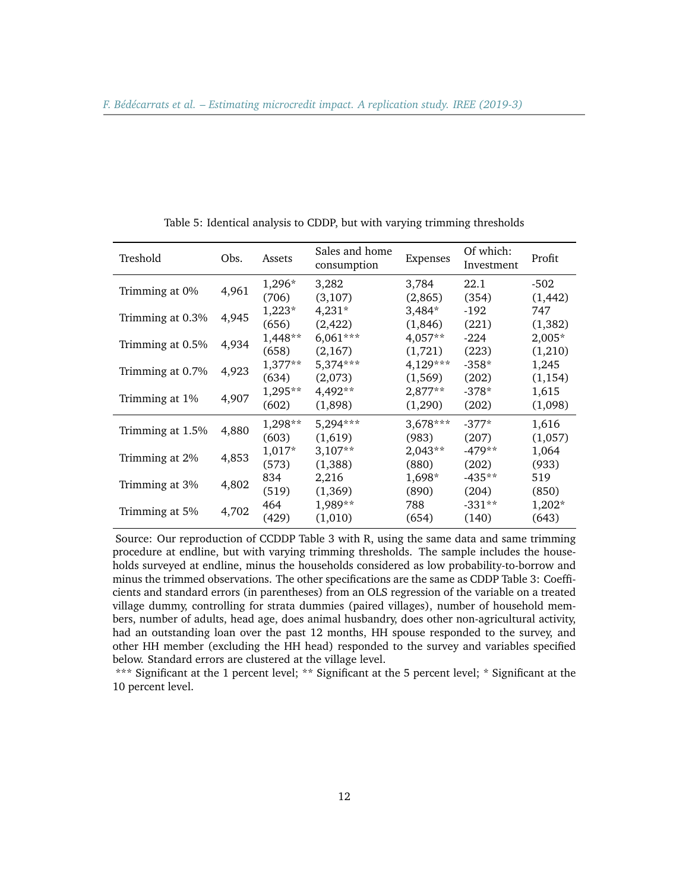| Treshold         | Obs.  | Assets    | Sales and home<br>consumption | Expenses   | Of which:<br>Investment | Profit   |
|------------------|-------|-----------|-------------------------------|------------|-------------------------|----------|
|                  |       | 1,296*    | 3,282                         | 3,784      | 22.1                    | -502     |
| Trimming at 0%   | 4,961 | (706)     | (3,107)                       | (2,865)    | (354)                   | (1, 442) |
| Trimming at 0.3% | 4,945 | $1,223*$  | $4,231*$                      | 3,484*     | $-192$                  | 747      |
|                  |       | (656)     | (2, 422)                      | (1,846)    | (221)                   | (1, 382) |
| Trimming at 0.5% | 4,934 | 1,448**   | $6,061***$                    | $4,057**$  | $-224$                  | $2,005*$ |
|                  |       | (658)     | (2,167)                       | (1,721)    | (223)                   | (1,210)  |
|                  | 4,923 | $1,377**$ | 5,374***                      | $4,129***$ | $-358*$                 | 1,245    |
| Trimming at 0.7% |       | (634)     | (2,073)                       | (1, 569)   | (202)                   | (1, 154) |
| Trimming at 1%   | 4,907 | 1,295**   | 4,492**                       | $2,877**$  | $-378*$                 | 1,615    |
|                  |       | (602)     | (1,898)                       | (1,290)    | (202)                   | (1,098)  |
|                  |       | 1,298**   | 5,294***                      | 3,678***   | $-377*$                 | 1,616    |
| Trimming at 1.5% | 4,880 | (603)     | (1,619)                       | (983)      | (207)                   | (1,057)  |
|                  |       | 1,017*    | $3,107**$                     | $2,043**$  | $-479**$                | 1,064    |
| Trimming at 2%   | 4,853 | (573)     | (1,388)                       | (880)      | (202)                   | (933)    |
|                  |       | 834       | 2,216                         | 1,698*     | $-435**$                | 519      |
| Trimming at 3%   | 4,802 | (519)     | (1,369)                       | (890)      | (204)                   | (850)    |
|                  |       | 464       | 1,989**                       | 788        | $-331**$                | $1,202*$ |
| Trimming at 5%   | 4,702 | (429)     | (1,010)                       | (654)      | (140)                   | (643)    |

Table 5: Identical analysis to CDDP, but with varying trimming thresholds

Source: Our reproduction of CCDDP Table 3 with R, using the same data and same trimming procedure at endline, but with varying trimming thresholds. The sample includes the households surveyed at endline, minus the households considered as low probability-to-borrow and minus the trimmed observations. The other specifications are the same as CDDP Table 3: Coefficients and standard errors (in parentheses) from an OLS regression of the variable on a treated village dummy, controlling for strata dummies (paired villages), number of household members, number of adults, head age, does animal husbandry, does other non-agricultural activity, had an outstanding loan over the past 12 months, HH spouse responded to the survey, and other HH member (excluding the HH head) responded to the survey and variables specified below. Standard errors are clustered at the village level.

\*\*\* Significant at the 1 percent level; \*\* Significant at the 5 percent level; \* Significant at the 10 percent level.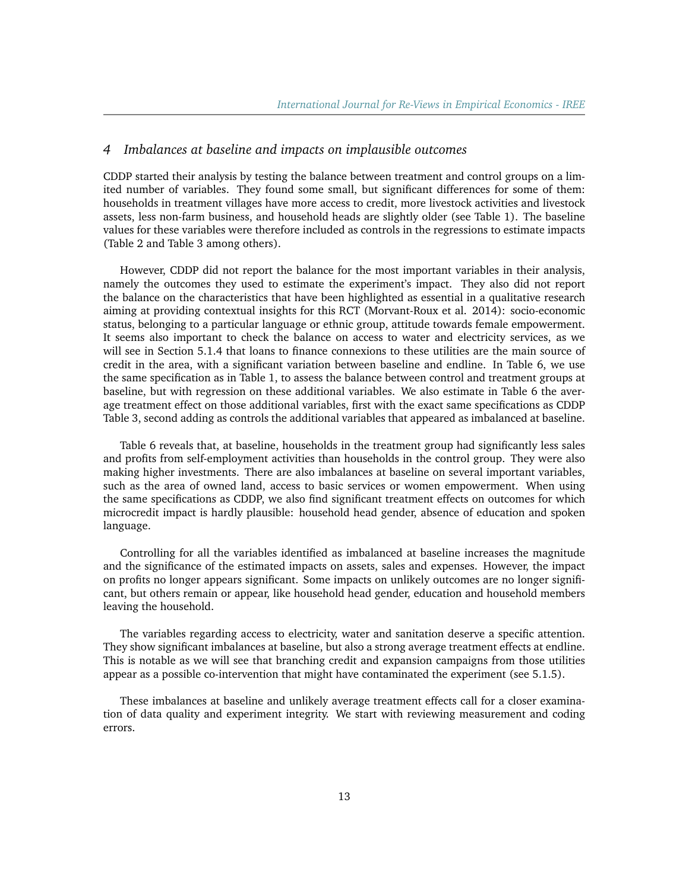#### *4 Imbalances at baseline and impacts on implausible outcomes*

CDDP started their analysis by testing the balance between treatment and control groups on a limited number of variables. They found some small, but significant differences for some of them: households in treatment villages have more access to credit, more livestock activities and livestock assets, less non-farm business, and household heads are slightly older (see Table 1). The baseline values for these variables were therefore included as controls in the regressions to estimate impacts (Table 2 and Table 3 among others).

However, CDDP did not report the balance for the most important variables in their analysis, namely the outcomes they used to estimate the experiment's impact. They also did not report the balance on the characteristics that have been highlighted as essential in a qualitative research aiming at providing contextual insights for this RCT (Morvant-Roux et al. 2014): socio-economic status, belonging to a particular language or ethnic group, attitude towards female empowerment. It seems also important to check the balance on access to water and electricity services, as we will see in Section 5.1.4 that loans to finance connexions to these utilities are the main source of credit in the area, with a significant variation between baseline and endline. In Table 6, we use the same specification as in Table 1, to assess the balance between control and treatment groups at baseline, but with regression on these additional variables. We also estimate in Table 6 the average treatment effect on those additional variables, first with the exact same specifications as CDDP Table 3, second adding as controls the additional variables that appeared as imbalanced at baseline.

Table 6 reveals that, at baseline, households in the treatment group had significantly less sales and profits from self-employment activities than households in the control group. They were also making higher investments. There are also imbalances at baseline on several important variables, such as the area of owned land, access to basic services or women empowerment. When using the same specifications as CDDP, we also find significant treatment effects on outcomes for which microcredit impact is hardly plausible: household head gender, absence of education and spoken language.

Controlling for all the variables identified as imbalanced at baseline increases the magnitude and the significance of the estimated impacts on assets, sales and expenses. However, the impact on profits no longer appears significant. Some impacts on unlikely outcomes are no longer significant, but others remain or appear, like household head gender, education and household members leaving the household.

The variables regarding access to electricity, water and sanitation deserve a specific attention. They show significant imbalances at baseline, but also a strong average treatment effects at endline. This is notable as we will see that branching credit and expansion campaigns from those utilities appear as a possible co-intervention that might have contaminated the experiment (see 5.1.5).

These imbalances at baseline and unlikely average treatment effects call for a closer examination of data quality and experiment integrity. We start with reviewing measurement and coding errors.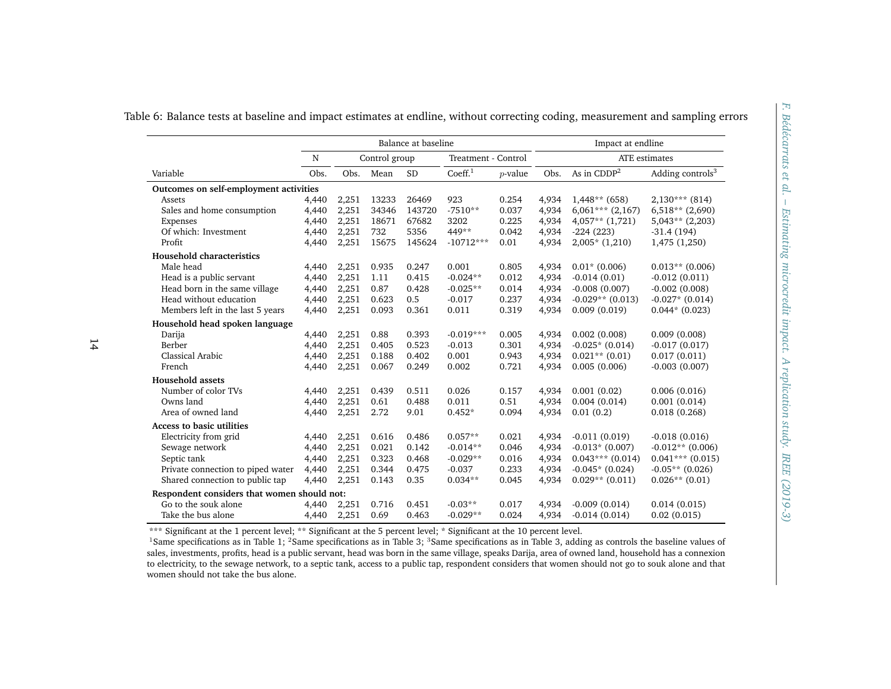|                                             | Balance at baseline |       |               |           |                     | Impact at endline |       |                      |                              |
|---------------------------------------------|---------------------|-------|---------------|-----------|---------------------|-------------------|-------|----------------------|------------------------------|
|                                             | N                   |       | Control group |           | Treatment - Control |                   |       | <b>ATE</b> estimates |                              |
| Variable                                    | Obs.                | Obs.  | Mean          | <b>SD</b> | Coeff <sup>1</sup>  | $p$ -value        | Obs.  | As in $CDDP2$        | Adding controls <sup>3</sup> |
| Outcomes on self-employment activities      |                     |       |               |           |                     |                   |       |                      |                              |
| Assets                                      | 4,440               | 2,251 | 13233         | 26469     | 923                 | 0.254             | 4,934 | $1,448**$ (658)      | $2,130***$ (814)             |
| Sales and home consumption                  | 4,440               | 2,251 | 34346         | 143720    | $-7510**$           | 0.037             | 4,934 | $6,061***$ (2,167)   | $6,518**$ (2,690)            |
| Expenses                                    | 4,440               | 2,251 | 18671         | 67682     | 3202                | 0.225             | 4,934 | $4,057**$ (1,721)    | $5,043**$ (2,203)            |
| Of which: Investment                        | 4,440               | 2,251 | 732           | 5356      | 449**               | 0.042             | 4,934 | $-224(223)$          | $-31.4(194)$                 |
| Profit                                      | 4,440               | 2,251 | 15675         | 145624    | $-10712***$         | 0.01              | 4,934 | $2,005*$ (1,210)     | 1,475 (1,250)                |
| Household characteristics                   |                     |       |               |           |                     |                   |       |                      |                              |
| Male head                                   | 4,440               | 2,251 | 0.935         | 0.247     | 0.001               | 0.805             | 4,934 | $0.01*$ (0.006)      | $0.013**$ (0.006)            |
| Head is a public servant                    | 4,440               | 2,251 | 1.11          | 0.415     | $-0.024**$          | 0.012             | 4,934 | $-0.014(0.01)$       | $-0.012(0.011)$              |
| Head born in the same village               | 4,440               | 2,251 | 0.87          | 0.428     | $-0.025**$          | 0.014             | 4,934 | $-0.008(0.007)$      | $-0.002(0.008)$              |
| Head without education                      | 4,440               | 2,251 | 0.623         | 0.5       | $-0.017$            | 0.237             | 4,934 | $-0.029**$ (0.013)   | $-0.027*(0.014)$             |
| Members left in the last 5 years            | 4,440               | 2,251 | 0.093         | 0.361     | 0.011               | 0.319             | 4,934 | 0.009(0.019)         | $0.044*$ (0.023)             |
| Household head spoken language              |                     |       |               |           |                     |                   |       |                      |                              |
| Darija                                      | 4,440               | 2,251 | 0.88          | 0.393     | $-0.019***$         | 0.005             | 4,934 | 0.002(0.008)         | 0.009(0.008)                 |
| Berber                                      | 4,440               | 2,251 | 0.405         | 0.523     | $-0.013$            | 0.301             | 4,934 | $-0.025*(0.014)$     | $-0.017(0.017)$              |
| <b>Classical Arabic</b>                     | 4,440               | 2,251 | 0.188         | 0.402     | 0.001               | 0.943             | 4,934 | $0.021**$ (0.01)     | 0.017(0.011)                 |
| French                                      | 4,440               | 2,251 | 0.067         | 0.249     | 0.002               | 0.721             | 4,934 | 0.005(0.006)         | $-0.003(0.007)$              |
| <b>Household assets</b>                     |                     |       |               |           |                     |                   |       |                      |                              |
| Number of color TVs                         | 4,440               | 2,251 | 0.439         | 0.511     | 0.026               | 0.157             | 4.934 | 0.001(0.02)          | 0.006(0.016)                 |
| Owns land                                   | 4,440               | 2,251 | 0.61          | 0.488     | 0.011               | 0.51              | 4,934 | 0.004(0.014)         | 0.001(0.014)                 |
| Area of owned land                          | 4,440               | 2,251 | 2.72          | 9.01      | $0.452*$            | 0.094             | 4,934 | 0.01(0.2)            | 0.018(0.268)                 |
| <b>Access to basic utilities</b>            |                     |       |               |           |                     |                   |       |                      |                              |
| Electricity from grid                       | 4,440               | 2,251 | 0.616         | 0.486     | $0.057**$           | 0.021             | 4,934 | $-0.011(0.019)$      | $-0.018(0.016)$              |
| Sewage network                              | 4,440               | 2,251 | 0.021         | 0.142     | $-0.014**$          | 0.046             | 4,934 | $-0.013*(0.007)$     | $-0.012**$ (0.006)           |
| Septic tank                                 | 4,440               | 2,251 | 0.323         | 0.468     | $-0.029**$          | 0.016             | 4,934 | $0.043***$ (0.014)   | $0.041***$ (0.015)           |
| Private connection to piped water           | 4,440               | 2,251 | 0.344         | 0.475     | $-0.037$            | 0.233             | 4,934 | $-0.045*(0.024)$     | $-0.05**$ (0.026)            |
| Shared connection to public tap             | 4,440               | 2,251 | 0.143         | 0.35      | $0.034**$           | 0.045             | 4,934 | $0.029**$ (0.011)    | $0.026**$ (0.01)             |
| Respondent considers that women should not: |                     |       |               |           |                     |                   |       |                      |                              |
| Go to the souk alone                        | 4,440               | 2,251 | 0.716         | 0.451     | $-0.03**$           | 0.017             | 4,934 | $-0.009(0.014)$      | 0.014(0.015)                 |
| Take the bus alone                          | 4,440               | 2,251 | 0.69          | 0.463     | $-0.029**$          | 0.024             | 4,934 | $-0.014(0.014)$      | 0.02(0.015)                  |

\*\*\* Significant at the 1 percen<sup>t</sup> level; \*\* Significant at the 5 percen<sup>t</sup> level; \* Significant at the 10 percen<sup>t</sup> level.

 $^1$ Same specifications as in Table 1; <sup>2</sup>Same specifications as in Table 3; <sup>3</sup>Same specifications as in Table 3, adding as controls the baseline values of sales, investments, profits, head is <sup>a</sup> public servant, head was born in the same village, speaks Darija, area of owned land, household has <sup>a</sup> connexion to electricity, to the sewage network, to <sup>a</sup> septic tank, access to <sup>a</sup> public tap, respondent considers that women should not go to souk alone and thatwomen should not take the bus alone.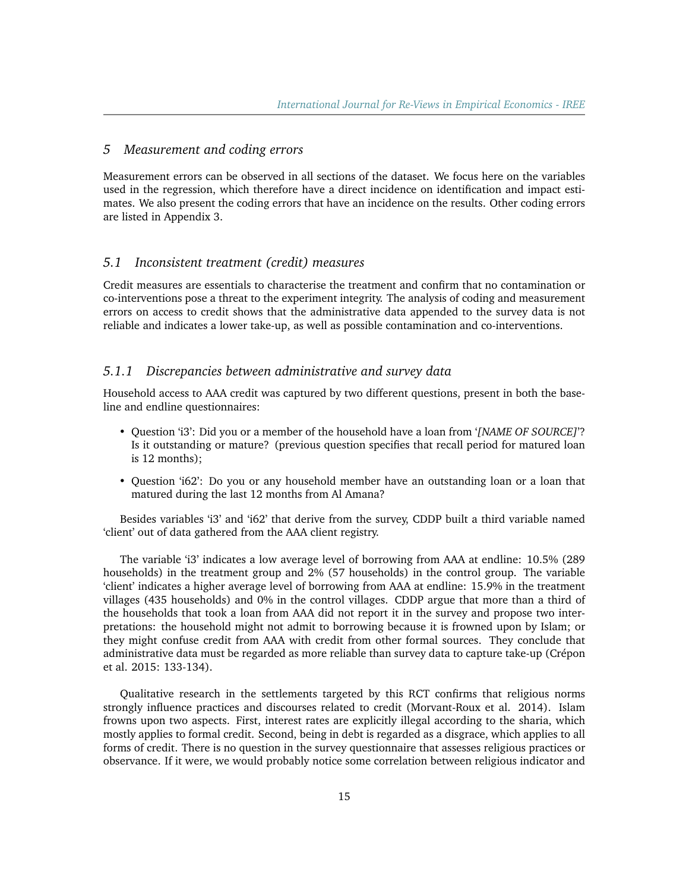# *5 Measurement and coding errors*

Measurement errors can be observed in all sections of the dataset. We focus here on the variables used in the regression, which therefore have a direct incidence on identification and impact estimates. We also present the coding errors that have an incidence on the results. Other coding errors are listed in Appendix 3.

#### *5.1 Inconsistent treatment (credit) measures*

Credit measures are essentials to characterise the treatment and confirm that no contamination or co-interventions pose a threat to the experiment integrity. The analysis of coding and measurement errors on access to credit shows that the administrative data appended to the survey data is not reliable and indicates a lower take-up, as well as possible contamination and co-interventions.

#### *5.1.1 Discrepancies between administrative and survey data*

Household access to AAA credit was captured by two different questions, present in both the baseline and endline questionnaires:

- Question 'i3': Did you or a member of the household have a loan from '*[NAME OF SOURCE]*'? Is it outstanding or mature? (previous question specifies that recall period for matured loan is 12 months);
- Question 'i62': Do you or any household member have an outstanding loan or a loan that matured during the last 12 months from Al Amana?

Besides variables 'i3' and 'i62' that derive from the survey, CDDP built a third variable named 'client' out of data gathered from the AAA client registry.

The variable 'i3' indicates a low average level of borrowing from AAA at endline: 10.5% (289 households) in the treatment group and 2% (57 households) in the control group. The variable 'client' indicates a higher average level of borrowing from AAA at endline: 15.9% in the treatment villages (435 households) and 0% in the control villages. CDDP argue that more than a third of the households that took a loan from AAA did not report it in the survey and propose two interpretations: the household might not admit to borrowing because it is frowned upon by Islam; or they might confuse credit from AAA with credit from other formal sources. They conclude that administrative data must be regarded as more reliable than survey data to capture take-up (Crépon et al. 2015: 133-134).

Qualitative research in the settlements targeted by this RCT confirms that religious norms strongly influence practices and discourses related to credit (Morvant-Roux et al. 2014). Islam frowns upon two aspects. First, interest rates are explicitly illegal according to the sharia, which mostly applies to formal credit. Second, being in debt is regarded as a disgrace, which applies to all forms of credit. There is no question in the survey questionnaire that assesses religious practices or observance. If it were, we would probably notice some correlation between religious indicator and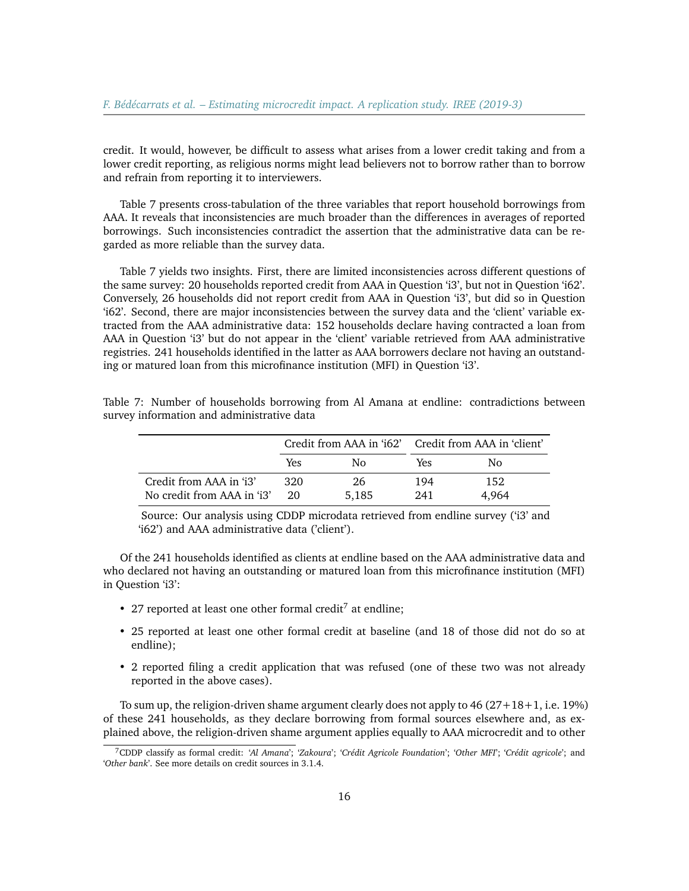credit. It would, however, be difficult to assess what arises from a lower credit taking and from a lower credit reporting, as religious norms might lead believers not to borrow rather than to borrow and refrain from reporting it to interviewers.

Table 7 presents cross-tabulation of the three variables that report household borrowings from AAA. It reveals that inconsistencies are much broader than the differences in averages of reported borrowings. Such inconsistencies contradict the assertion that the administrative data can be regarded as more reliable than the survey data.

Table 7 yields two insights. First, there are limited inconsistencies across different questions of the same survey: 20 households reported credit from AAA in Question 'i3', but not in Question 'i62'. Conversely, 26 households did not report credit from AAA in Question 'i3', but did so in Question 'i62'. Second, there are major inconsistencies between the survey data and the 'client' variable extracted from the AAA administrative data: 152 households declare having contracted a loan from AAA in Question 'i3' but do not appear in the 'client' variable retrieved from AAA administrative registries. 241 households identified in the latter as AAA borrowers declare not having an outstanding or matured loan from this microfinance institution (MFI) in Question 'i3'.

|                            |     |       | Credit from AAA in 'i62' Credit from AAA in 'client' |       |  |
|----------------------------|-----|-------|------------------------------------------------------|-------|--|
|                            | Yes | N٥    | Yes                                                  | Nο    |  |
| Credit from AAA in 'i3'    | 320 | 26    | 194                                                  | 152   |  |
| No credit from AAA in 'i3' | 20  | 5.185 | 241                                                  | 4.964 |  |

Table 7: Number of households borrowing from Al Amana at endline: contradictions between survey information and administrative data

Source: Our analysis using CDDP microdata retrieved from endline survey ('i3' and 'i62') and AAA administrative data ('client').

Of the 241 households identified as clients at endline based on the AAA administrative data and who declared not having an outstanding or matured loan from this microfinance institution (MFI) in Question 'i3':

- 2[7](#page-15-0) reported at least one other formal credit<sup>7</sup> at endline:
- 25 reported at least one other formal credit at baseline (and 18 of those did not do so at endline);
- 2 reported filing a credit application that was refused (one of these two was not already reported in the above cases).

To sum up, the religion-driven shame argument clearly does not apply to 46 (27+18+1, i.e. 19%) of these 241 households, as they declare borrowing from formal sources elsewhere and, as explained above, the religion-driven shame argument applies equally to AAA microcredit and to other

<span id="page-15-0"></span><sup>7</sup>CDDP classify as formal credit: '*Al Amana*'; '*Zakoura*'; '*Crédit Agricole Foundation*'; '*Other MFI*'; '*Crédit agricole*'; and '*Other bank*'. See more details on credit sources in 3.1.4.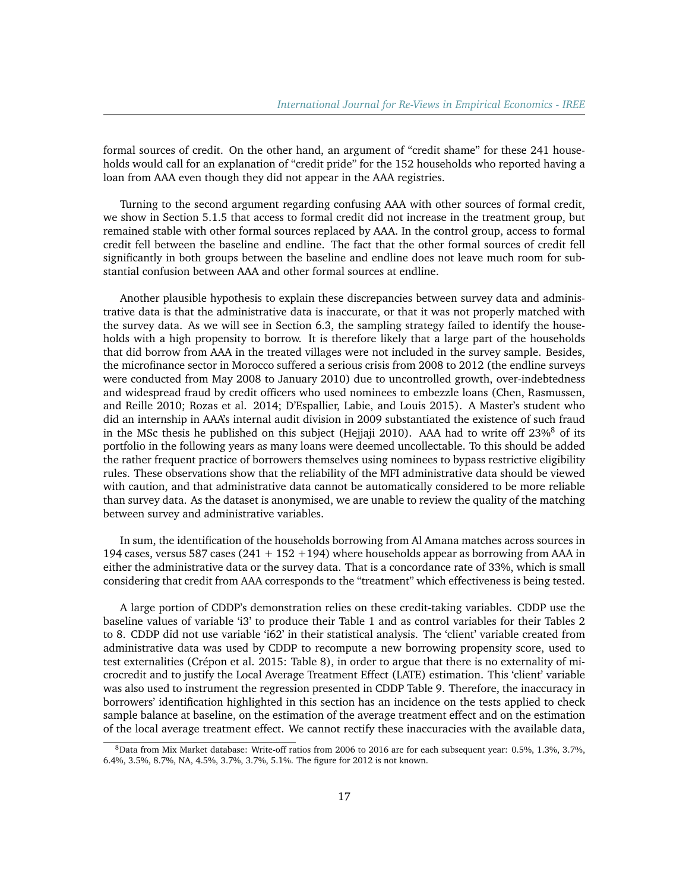formal sources of credit. On the other hand, an argument of "credit shame" for these 241 households would call for an explanation of "credit pride" for the 152 households who reported having a loan from AAA even though they did not appear in the AAA registries.

Turning to the second argument regarding confusing AAA with other sources of formal credit, we show in Section 5.1.5 that access to formal credit did not increase in the treatment group, but remained stable with other formal sources replaced by AAA. In the control group, access to formal credit fell between the baseline and endline. The fact that the other formal sources of credit fell significantly in both groups between the baseline and endline does not leave much room for substantial confusion between AAA and other formal sources at endline.

Another plausible hypothesis to explain these discrepancies between survey data and administrative data is that the administrative data is inaccurate, or that it was not properly matched with the survey data. As we will see in Section 6.3, the sampling strategy failed to identify the households with a high propensity to borrow. It is therefore likely that a large part of the households that did borrow from AAA in the treated villages were not included in the survey sample. Besides, the microfinance sector in Morocco suffered a serious crisis from 2008 to 2012 (the endline surveys were conducted from May 2008 to January 2010) due to uncontrolled growth, over-indebtedness and widespread fraud by credit officers who used nominees to embezzle loans (Chen, Rasmussen, and Reille 2010; Rozas et al. 2014; D'Espallier, Labie, and Louis 2015). A Master's student who did an internship in AAA's internal audit division in 2009 substantiated the existence of such fraud in the MSc thesis he published on this subject (Hejjaji 2010). AAA had to write off  $23\%$ <sup>[8](#page-16-0)</sup> of its portfolio in the following years as many loans were deemed uncollectable. To this should be added the rather frequent practice of borrowers themselves using nominees to bypass restrictive eligibility rules. These observations show that the reliability of the MFI administrative data should be viewed with caution, and that administrative data cannot be automatically considered to be more reliable than survey data. As the dataset is anonymised, we are unable to review the quality of the matching between survey and administrative variables.

In sum, the identification of the households borrowing from Al Amana matches across sources in 194 cases, versus 587 cases ( $241 + 152 + 194$ ) where households appear as borrowing from AAA in either the administrative data or the survey data. That is a concordance rate of 33%, which is small considering that credit from AAA corresponds to the "treatment" which effectiveness is being tested.

A large portion of CDDP's demonstration relies on these credit-taking variables. CDDP use the baseline values of variable 'i3' to produce their Table 1 and as control variables for their Tables 2 to 8. CDDP did not use variable 'i62' in their statistical analysis. The 'client' variable created from administrative data was used by CDDP to recompute a new borrowing propensity score, used to test externalities (Crépon et al. 2015: Table 8), in order to argue that there is no externality of microcredit and to justify the Local Average Treatment Effect (LATE) estimation. This 'client' variable was also used to instrument the regression presented in CDDP Table 9. Therefore, the inaccuracy in borrowers' identification highlighted in this section has an incidence on the tests applied to check sample balance at baseline, on the estimation of the average treatment effect and on the estimation of the local average treatment effect. We cannot rectify these inaccuracies with the available data,

<span id="page-16-0"></span><sup>8</sup>Data from Mix Market database: Write-off ratios from 2006 to 2016 are for each subsequent year: 0.5%, 1.3%, 3.7%, 6.4%, 3.5%, 8.7%, NA, 4.5%, 3.7%, 3.7%, 5.1%. The figure for 2012 is not known.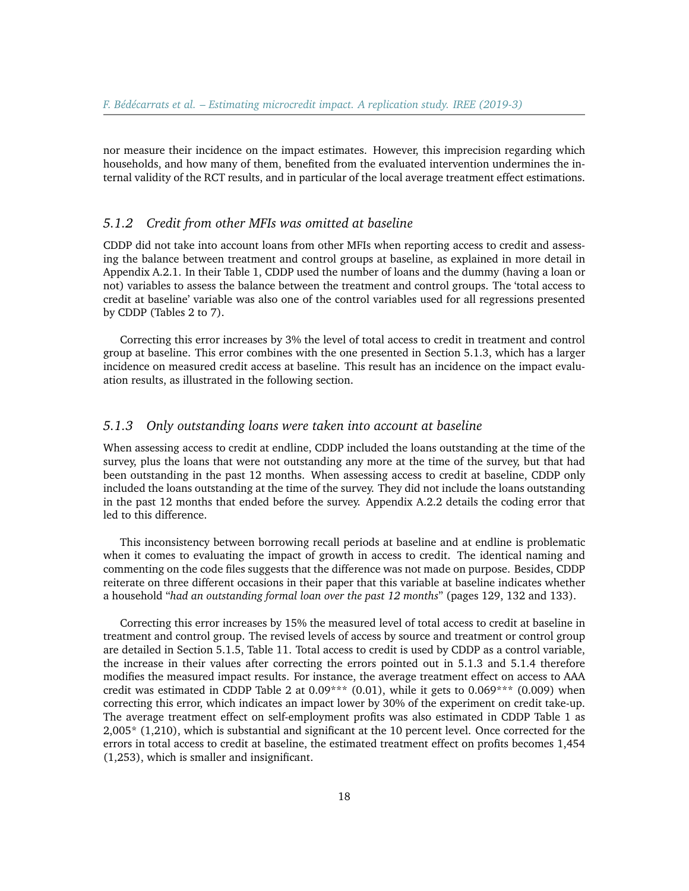nor measure their incidence on the impact estimates. However, this imprecision regarding which households, and how many of them, benefited from the evaluated intervention undermines the internal validity of the RCT results, and in particular of the local average treatment effect estimations.

#### *5.1.2 Credit from other MFIs was omitted at baseline*

CDDP did not take into account loans from other MFIs when reporting access to credit and assessing the balance between treatment and control groups at baseline, as explained in more detail in Appendix A.2.1. In their Table 1, CDDP used the number of loans and the dummy (having a loan or not) variables to assess the balance between the treatment and control groups. The 'total access to credit at baseline' variable was also one of the control variables used for all regressions presented by CDDP (Tables 2 to 7).

Correcting this error increases by 3% the level of total access to credit in treatment and control group at baseline. This error combines with the one presented in Section 5.1.3, which has a larger incidence on measured credit access at baseline. This result has an incidence on the impact evaluation results, as illustrated in the following section.

#### *5.1.3 Only outstanding loans were taken into account at baseline*

When assessing access to credit at endline, CDDP included the loans outstanding at the time of the survey, plus the loans that were not outstanding any more at the time of the survey, but that had been outstanding in the past 12 months. When assessing access to credit at baseline, CDDP only included the loans outstanding at the time of the survey. They did not include the loans outstanding in the past 12 months that ended before the survey. Appendix A.2.2 details the coding error that led to this difference.

This inconsistency between borrowing recall periods at baseline and at endline is problematic when it comes to evaluating the impact of growth in access to credit. The identical naming and commenting on the code files suggests that the difference was not made on purpose. Besides, CDDP reiterate on three different occasions in their paper that this variable at baseline indicates whether a household "*had an outstanding formal loan over the past 12 months*" (pages 129, 132 and 133).

Correcting this error increases by 15% the measured level of total access to credit at baseline in treatment and control group. The revised levels of access by source and treatment or control group are detailed in Section 5.1.5, Table 11. Total access to credit is used by CDDP as a control variable, the increase in their values after correcting the errors pointed out in 5.1.3 and 5.1.4 therefore modifies the measured impact results. For instance, the average treatment effect on access to AAA credit was estimated in CDDP Table 2 at  $0.09***$   $(0.01)$ , while it gets to  $0.069***$   $(0.009)$  when correcting this error, which indicates an impact lower by 30% of the experiment on credit take-up. The average treatment effect on self-employment profits was also estimated in CDDP Table 1 as 2,005\* (1,210), which is substantial and significant at the 10 percent level. Once corrected for the errors in total access to credit at baseline, the estimated treatment effect on profits becomes 1,454 (1,253), which is smaller and insignificant.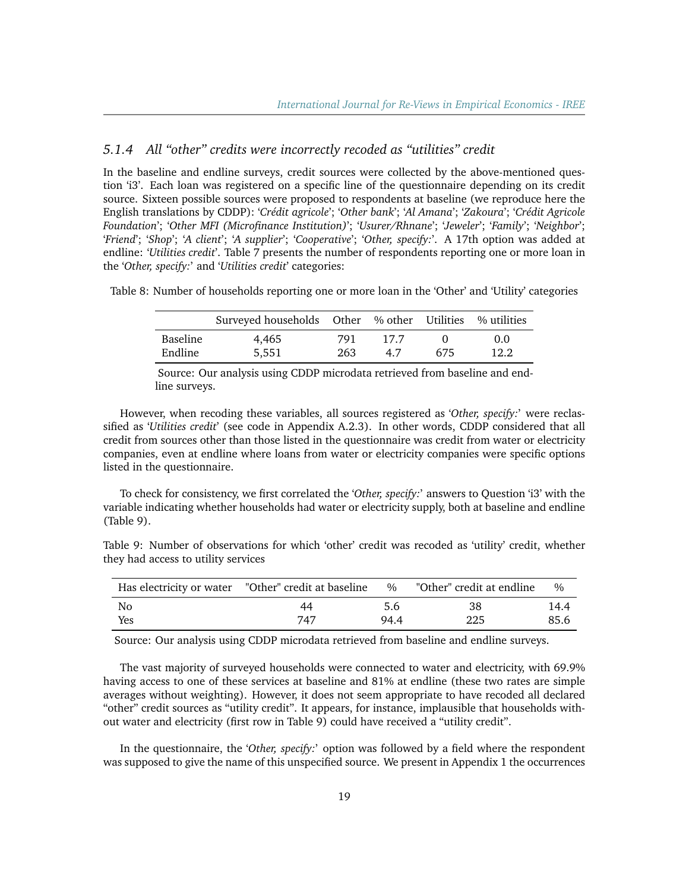### *5.1.4 All "other" credits were incorrectly recoded as "utilities" credit*

In the baseline and endline surveys, credit sources were collected by the above-mentioned question 'i3'. Each loan was registered on a specific line of the questionnaire depending on its credit source. Sixteen possible sources were proposed to respondents at baseline (we reproduce here the English translations by CDDP): '*Crédit agricole*'; '*Other bank*'; '*Al Amana*'; '*Zakoura*'; '*Crédit Agricole Foundation*'; '*Other MFI (Microfinance Institution)*'; '*Usurer/Rhnane*'; '*Jeweler*'; '*Family*'; '*Neighbor*'; '*Friend*'; '*Shop*'; '*A client*'; '*A supplier*'; '*Cooperative*'; '*Other, specify:*'. A 17th option was added at endline: '*Utilities credit*'. Table 7 presents the number of respondents reporting one or more loan in the '*Other, specify:*' and '*Utilities credit*' categories:

Table 8: Number of households reporting one or more loan in the 'Other' and 'Utility' categories

|          | Surveyed households Other % other Utilities % utilities |     |      |     |      |
|----------|---------------------------------------------------------|-----|------|-----|------|
| Baseline | 4.465                                                   | 791 | 17.7 |     | 0.0  |
| Endline  | 5.551                                                   | 263 | 4.7  | 675 | 12.2 |

Source: Our analysis using CDDP microdata retrieved from baseline and endline surveys.

However, when recoding these variables, all sources registered as '*Other, specify:*' were reclassified as '*Utilities credit*' (see code in Appendix A.2.3). In other words, CDDP considered that all credit from sources other than those listed in the questionnaire was credit from water or electricity companies, even at endline where loans from water or electricity companies were specific options listed in the questionnaire.

To check for consistency, we first correlated the '*Other, specify:*' answers to Question 'i3' with the variable indicating whether households had water or electricity supply, both at baseline and endline (Table 9).

Table 9: Number of observations for which 'other' credit was recoded as 'utility' credit, whether they had access to utility services

|     | Has electricity or water "Other" credit at baseline % "Other" credit at endline |      |     | 0/2  |
|-----|---------------------------------------------------------------------------------|------|-----|------|
| No  | 44                                                                              | 5.6  | 38  | 14.4 |
| Yes | 747                                                                             | 94.4 | 225 | 85.6 |

Source: Our analysis using CDDP microdata retrieved from baseline and endline surveys.

The vast majority of surveyed households were connected to water and electricity, with 69.9% having access to one of these services at baseline and 81% at endline (these two rates are simple averages without weighting). However, it does not seem appropriate to have recoded all declared "other" credit sources as "utility credit". It appears, for instance, implausible that households without water and electricity (first row in Table 9) could have received a "utility credit".

In the questionnaire, the '*Other, specify:*' option was followed by a field where the respondent was supposed to give the name of this unspecified source. We present in Appendix 1 the occurrences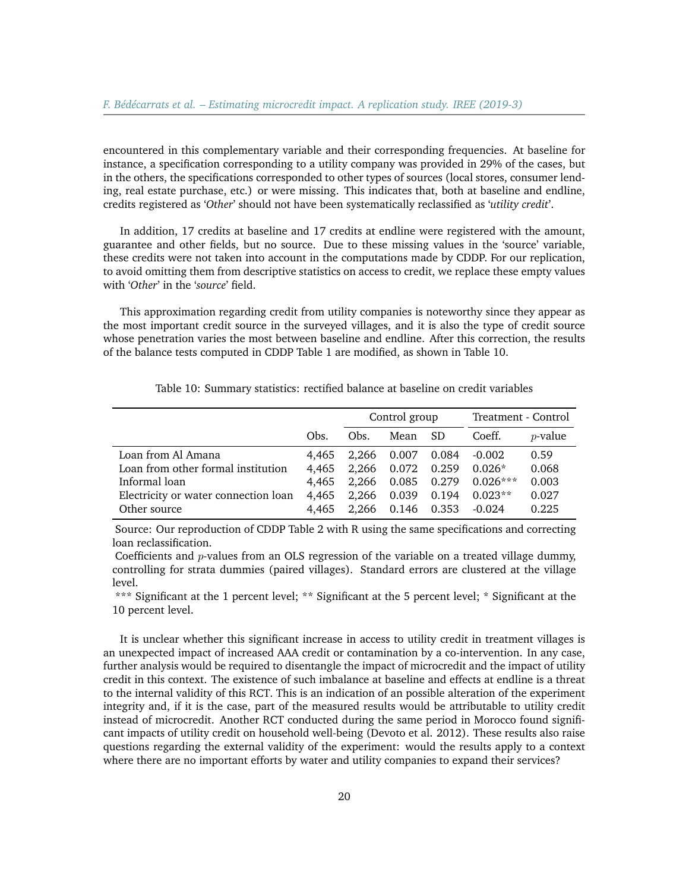encountered in this complementary variable and their corresponding frequencies. At baseline for instance, a specification corresponding to a utility company was provided in 29% of the cases, but in the others, the specifications corresponded to other types of sources (local stores, consumer lending, real estate purchase, etc.) or were missing. This indicates that, both at baseline and endline, credits registered as '*Other*' should not have been systematically reclassified as '*utility credit*'.

In addition, 17 credits at baseline and 17 credits at endline were registered with the amount, guarantee and other fields, but no source. Due to these missing values in the 'source' variable, these credits were not taken into account in the computations made by CDDP. For our replication, to avoid omitting them from descriptive statistics on access to credit, we replace these empty values with '*Other*' in the '*source*' field.

This approximation regarding credit from utility companies is noteworthy since they appear as the most important credit source in the surveyed villages, and it is also the type of credit source whose penetration varies the most between baseline and endline. After this correction, the results of the balance tests computed in CDDP Table 1 are modified, as shown in Table 10.

|                                      |       | Control group |                   |       | Treatment - Control |            |  |
|--------------------------------------|-------|---------------|-------------------|-------|---------------------|------------|--|
|                                      | Obs.  | Obs.          | Mean SD           |       | Coeff.              | $p$ -value |  |
| Loan from Al Amana                   | 4.465 |               | 2,266 0.007 0.084 |       | $-0.002$            | 0.59       |  |
| Loan from other formal institution   | 4.465 | 2.266         | $0.072\,$         | 0.259 | $0.026*$            | 0.068      |  |
| Informal loan                        | 4.465 |               | 2,266 0.085 0.279 |       | $0.026***$          | 0.003      |  |
| Electricity or water connection loan | 4,465 | 2.266         | 0.039             | 0.194 | $0.023**$           | 0.027      |  |
| Other source                         | 4.465 | 2.266         | 0.146 0.353       |       | $-0.024$            | 0.225      |  |

Table 10: Summary statistics: rectified balance at baseline on credit variables

Source: Our reproduction of CDDP Table 2 with R using the same specifications and correcting loan reclassification.

Coefficients and p-values from an OLS regression of the variable on a treated village dummy, controlling for strata dummies (paired villages). Standard errors are clustered at the village level.

\*\*\* Significant at the 1 percent level; \*\* Significant at the 5 percent level; \* Significant at the 10 percent level.

It is unclear whether this significant increase in access to utility credit in treatment villages is an unexpected impact of increased AAA credit or contamination by a co-intervention. In any case, further analysis would be required to disentangle the impact of microcredit and the impact of utility credit in this context. The existence of such imbalance at baseline and effects at endline is a threat to the internal validity of this RCT. This is an indication of an possible alteration of the experiment integrity and, if it is the case, part of the measured results would be attributable to utility credit instead of microcredit. Another RCT conducted during the same period in Morocco found significant impacts of utility credit on household well-being (Devoto et al. 2012). These results also raise questions regarding the external validity of the experiment: would the results apply to a context where there are no important efforts by water and utility companies to expand their services?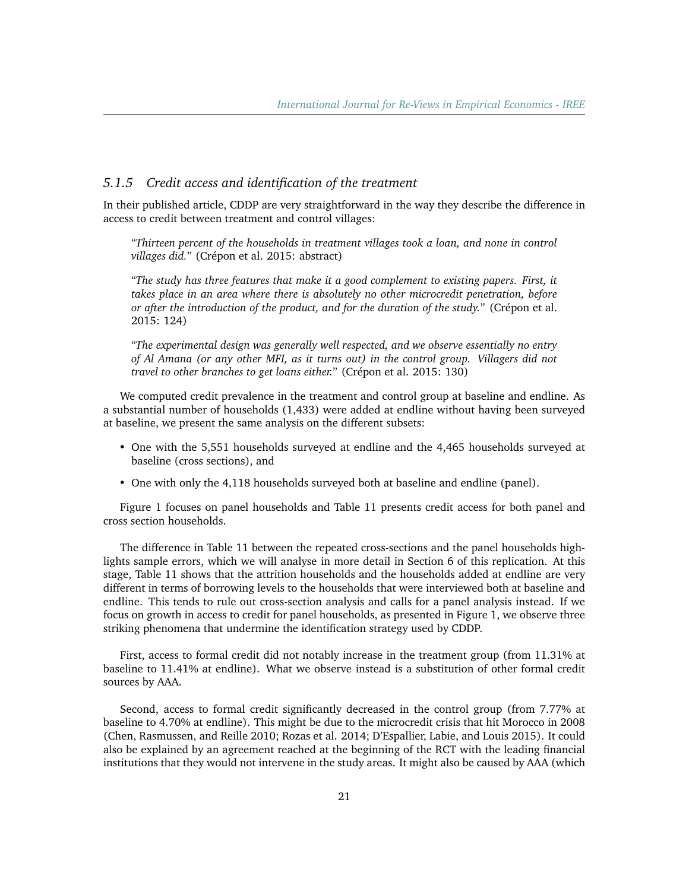## *5.1.5 Credit access and identification of the treatment*

In their published article, CDDP are very straightforward in the way they describe the difference in access to credit between treatment and control villages:

"*Thirteen percent of the households in treatment villages took a loan, and none in control villages did.*" (Crépon et al. 2015: abstract)

"*The study has three features that make it a good complement to existing papers. First, it takes place in an area where there is absolutely no other microcredit penetration, before or after the introduction of the product, and for the duration of the study.*" (Crépon et al. 2015: 124)

"*The experimental design was generally well respected, and we observe essentially no entry of Al Amana (or any other MFI, as it turns out) in the control group. Villagers did not travel to other branches to get loans either.*" (Crépon et al. 2015: 130)

We computed credit prevalence in the treatment and control group at baseline and endline. As a substantial number of households (1,433) were added at endline without having been surveyed at baseline, we present the same analysis on the different subsets:

- One with the 5,551 households surveyed at endline and the 4,465 households surveyed at baseline (cross sections), and
- One with only the 4,118 households surveyed both at baseline and endline (panel).

Figure 1 focuses on panel households and Table 11 presents credit access for both panel and cross section households.

The difference in Table 11 between the repeated cross-sections and the panel households highlights sample errors, which we will analyse in more detail in Section 6 of this replication. At this stage, Table 11 shows that the attrition households and the households added at endline are very different in terms of borrowing levels to the households that were interviewed both at baseline and endline. This tends to rule out cross-section analysis and calls for a panel analysis instead. If we focus on growth in access to credit for panel households, as presented in Figure 1, we observe three striking phenomena that undermine the identification strategy used by CDDP.

First, access to formal credit did not notably increase in the treatment group (from 11.31% at baseline to 11.41% at endline). What we observe instead is a substitution of other formal credit sources by AAA.

Second, access to formal credit significantly decreased in the control group (from 7.77% at baseline to 4.70% at endline). This might be due to the microcredit crisis that hit Morocco in 2008 (Chen, Rasmussen, and Reille 2010; Rozas et al. 2014; D'Espallier, Labie, and Louis 2015). It could also be explained by an agreement reached at the beginning of the RCT with the leading financial institutions that they would not intervene in the study areas. It might also be caused by AAA (which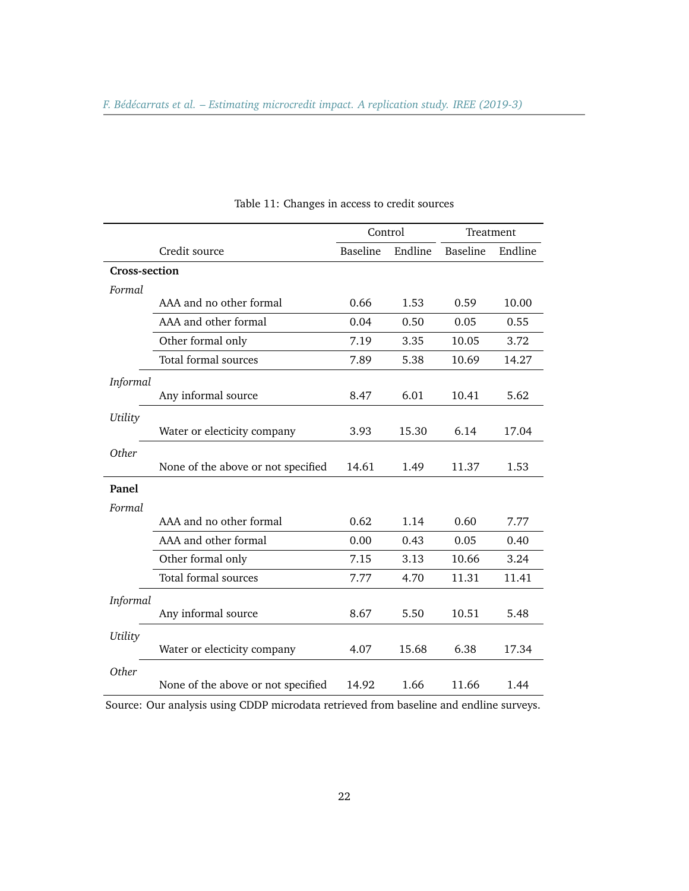|               |                                    | Control         |         | Treatment |         |
|---------------|------------------------------------|-----------------|---------|-----------|---------|
|               | Credit source                      | <b>Baseline</b> | Endline | Baseline  | Endline |
| Cross-section |                                    |                 |         |           |         |
| Formal        |                                    |                 |         |           |         |
|               | AAA and no other formal            | 0.66            | 1.53    | 0.59      | 10.00   |
|               | AAA and other formal               | 0.04            | 0.50    | 0.05      | 0.55    |
|               | Other formal only                  | 7.19            | 3.35    | 10.05     | 3.72    |
|               | Total formal sources               | 7.89            | 5.38    | 10.69     | 14.27   |
| Informal      |                                    |                 |         |           |         |
|               | Any informal source                | 8.47            | 6.01    | 10.41     | 5.62    |
| Utility       |                                    |                 |         |           |         |
|               | Water or electicity company        | 3.93            | 15.30   | 6.14      | 17.04   |
| Other         |                                    |                 |         |           |         |
|               | None of the above or not specified | 14.61           | 1.49    | 11.37     | 1.53    |
| Panel         |                                    |                 |         |           |         |
| Formal        |                                    |                 |         |           |         |
|               | AAA and no other formal            | 0.62            | 1.14    | 0.60      | 7.77    |
|               | AAA and other formal               | 0.00            | 0.43    | 0.05      | 0.40    |
|               | Other formal only                  | 7.15            | 3.13    | 10.66     | 3.24    |
|               | Total formal sources               | 7.77            | 4.70    | 11.31     | 11.41   |
| Informal      |                                    |                 |         |           |         |
|               | Any informal source                | 8.67            | 5.50    | 10.51     | 5.48    |
| Utility       |                                    |                 |         |           |         |
|               | Water or electicity company        | 4.07            | 15.68   | 6.38      | 17.34   |
| Other         |                                    |                 |         |           |         |
|               | None of the above or not specified | 14.92           | 1.66    | 11.66     | 1.44    |

Table 11: Changes in access to credit sources

Source: Our analysis using CDDP microdata retrieved from baseline and endline surveys.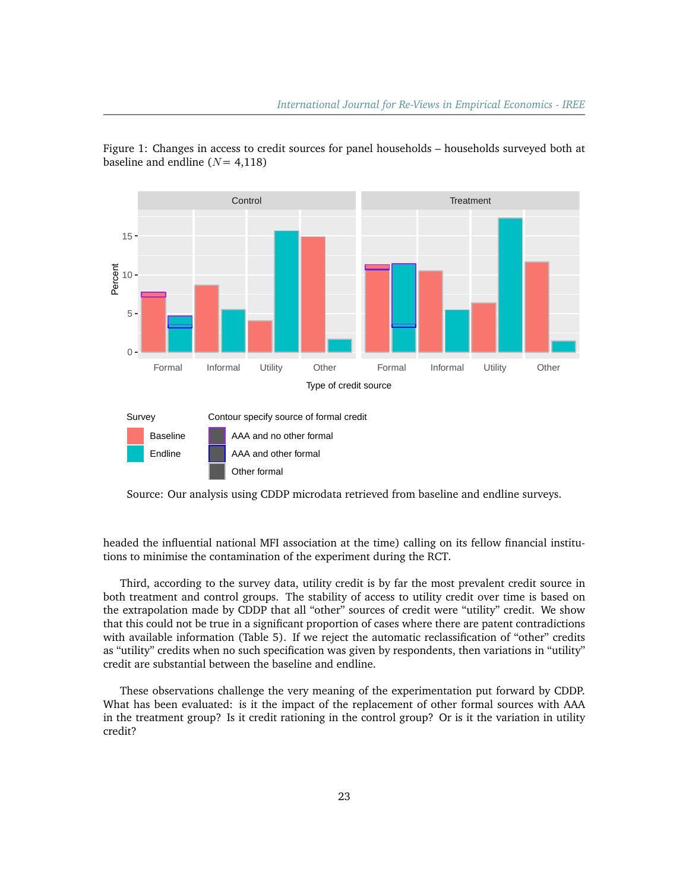

Figure 1: Changes in access to credit sources for panel households – households surveyed both at baseline and endline  $(N= 4,118)$ 



Source: Our analysis using CDDP microdata retrieved from baseline and endline surveys.

headed the influential national MFI association at the time) calling on its fellow financial institutions to minimise the contamination of the experiment during the RCT.

Third, according to the survey data, utility credit is by far the most prevalent credit source in both treatment and control groups. The stability of access to utility credit over time is based on the extrapolation made by CDDP that all "other" sources of credit were "utility" credit. We show that this could not be true in a significant proportion of cases where there are patent contradictions with available information (Table 5). If we reject the automatic reclassification of "other" credits as "utility" credits when no such specification was given by respondents, then variations in "utility" credit are substantial between the baseline and endline.

These observations challenge the very meaning of the experimentation put forward by CDDP. What has been evaluated: is it the impact of the replacement of other formal sources with AAA in the treatment group? Is it credit rationing in the control group? Or is it the variation in utility credit?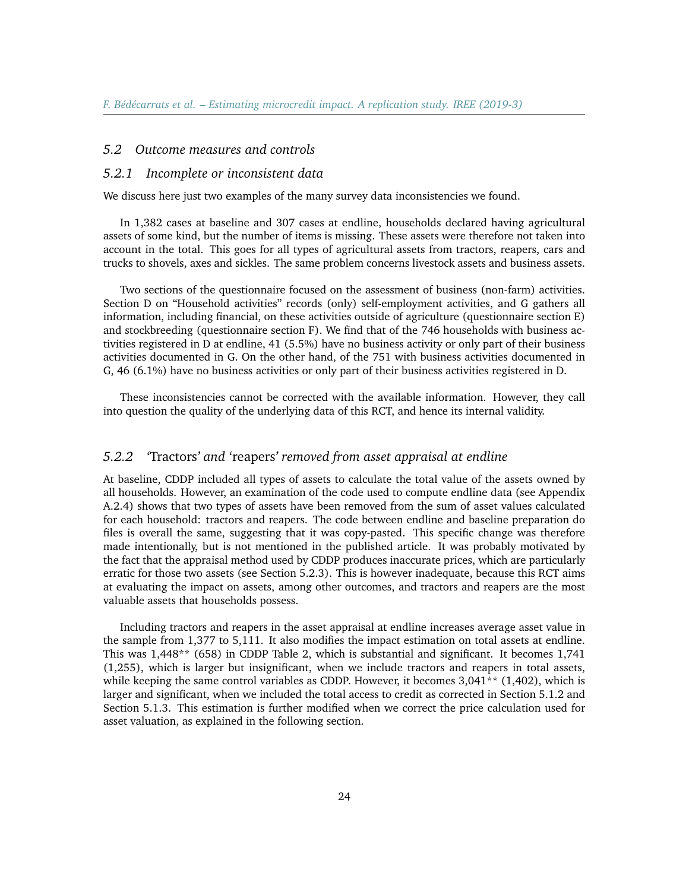#### *5.2 Outcome measures and controls*

#### *5.2.1 Incomplete or inconsistent data*

We discuss here just two examples of the many survey data inconsistencies we found.

In 1,382 cases at baseline and 307 cases at endline, households declared having agricultural assets of some kind, but the number of items is missing. These assets were therefore not taken into account in the total. This goes for all types of agricultural assets from tractors, reapers, cars and trucks to shovels, axes and sickles. The same problem concerns livestock assets and business assets.

Two sections of the questionnaire focused on the assessment of business (non-farm) activities. Section D on "Household activities" records (only) self-employment activities, and G gathers all information, including financial, on these activities outside of agriculture (questionnaire section E) and stockbreeding (questionnaire section F). We find that of the 746 households with business activities registered in D at endline, 41 (5.5%) have no business activity or only part of their business activities documented in G. On the other hand, of the 751 with business activities documented in G, 46 (6.1%) have no business activities or only part of their business activities registered in D.

These inconsistencies cannot be corrected with the available information. However, they call into question the quality of the underlying data of this RCT, and hence its internal validity.

#### *5.2.2 '*Tractors*' and '*reapers*' removed from asset appraisal at endline*

At baseline, CDDP included all types of assets to calculate the total value of the assets owned by all households. However, an examination of the code used to compute endline data (see Appendix A.2.4) shows that two types of assets have been removed from the sum of asset values calculated for each household: tractors and reapers. The code between endline and baseline preparation do files is overall the same, suggesting that it was copy-pasted. This specific change was therefore made intentionally, but is not mentioned in the published article. It was probably motivated by the fact that the appraisal method used by CDDP produces inaccurate prices, which are particularly erratic for those two assets (see Section 5.2.3). This is however inadequate, because this RCT aims at evaluating the impact on assets, among other outcomes, and tractors and reapers are the most valuable assets that households possess.

Including tractors and reapers in the asset appraisal at endline increases average asset value in the sample from 1,377 to 5,111. It also modifies the impact estimation on total assets at endline. This was 1,448\*\* (658) in CDDP Table 2, which is substantial and significant. It becomes 1,741 (1,255), which is larger but insignificant, when we include tractors and reapers in total assets, while keeping the same control variables as CDDP. However, it becomes 3,041<sup>\*\*</sup> (1,402), which is larger and significant, when we included the total access to credit as corrected in Section 5.1.2 and Section 5.1.3. This estimation is further modified when we correct the price calculation used for asset valuation, as explained in the following section.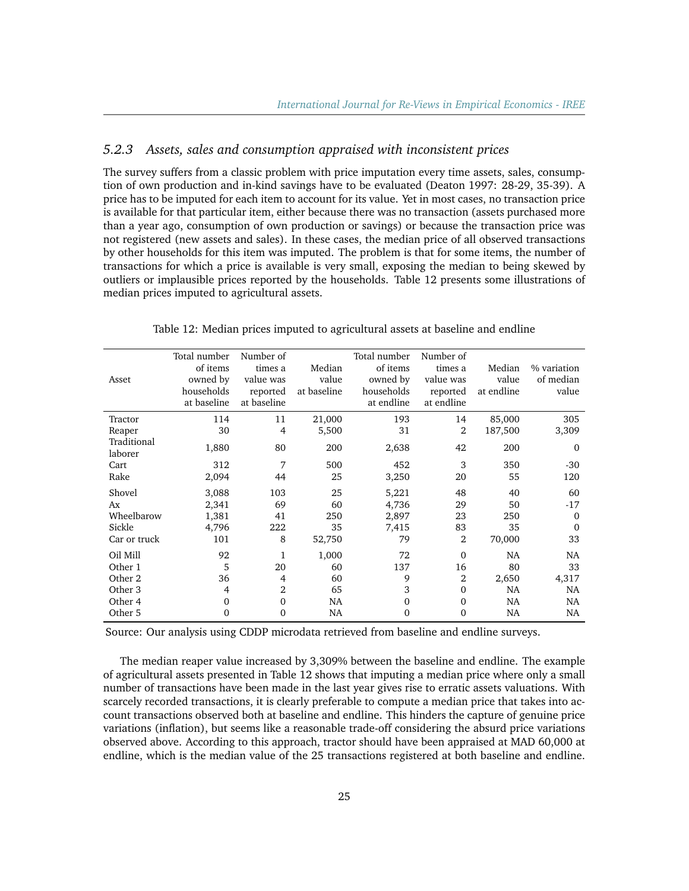# *5.2.3 Assets, sales and consumption appraised with inconsistent prices*

The survey suffers from a classic problem with price imputation every time assets, sales, consumption of own production and in-kind savings have to be evaluated (Deaton 1997: 28-29, 35-39). A price has to be imputed for each item to account for its value. Yet in most cases, no transaction price is available for that particular item, either because there was no transaction (assets purchased more than a year ago, consumption of own production or savings) or because the transaction price was not registered (new assets and sales). In these cases, the median price of all observed transactions by other households for this item was imputed. The problem is that for some items, the number of transactions for which a price is available is very small, exposing the median to being skewed by outliers or implausible prices reported by the households. Table 12 presents some illustrations of median prices imputed to agricultural assets.

| Asset                  | Total number<br>of items<br>owned by<br>households<br>at baseline | Number of<br>times a<br>value was<br>reported<br>at baseline | Median<br>value<br>at baseline | Total number<br>of items<br>owned by<br>households<br>at endline | Number of<br>times a<br>value was<br>reported<br>at endline | Median<br>value<br>at endline | % variation<br>of median<br>value |
|------------------------|-------------------------------------------------------------------|--------------------------------------------------------------|--------------------------------|------------------------------------------------------------------|-------------------------------------------------------------|-------------------------------|-----------------------------------|
| Tractor                | 114                                                               | 11                                                           | 21,000                         | 193                                                              | 14                                                          | 85,000                        | 305                               |
| Reaper                 | 30                                                                | 4                                                            | 5,500                          | 31                                                               | $\overline{2}$                                              | 187,500                       | 3,309                             |
| Traditional<br>laborer | 1,880                                                             | 80                                                           | 200                            | 2,638                                                            | 42                                                          | 200                           | $\Omega$                          |
| Cart                   | 312                                                               | 7                                                            | 500                            | 452                                                              | 3                                                           | 350                           | $-30$                             |
| Rake                   | 2,094                                                             | 44                                                           | 25                             | 3,250                                                            | 20                                                          | 55                            | 120                               |
| Shovel                 | 3,088                                                             | 103                                                          | 25                             | 5,221                                                            | 48                                                          | 40                            | 60                                |
| Ax                     | 2,341                                                             | 69                                                           | 60                             | 4,736                                                            | 29                                                          | 50                            | $-17$                             |
| Wheelbarow             | 1,381                                                             | 41                                                           | 250                            | 2,897                                                            | 23                                                          | 250                           | $\Omega$                          |
| Sickle                 | 4,796                                                             | 222                                                          | 35                             | 7,415                                                            | 83                                                          | 35                            | $\Omega$                          |
| Car or truck           | 101                                                               | 8                                                            | 52,750                         | 79                                                               | 2                                                           | 70,000                        | 33                                |
| Oil Mill               | 92                                                                | 1                                                            | 1,000                          | 72                                                               | $\Omega$                                                    | <b>NA</b>                     | <b>NA</b>                         |
| Other 1                | 5                                                                 | 20                                                           | 60                             | 137                                                              | 16                                                          | 80                            | 33                                |
| Other 2                | 36                                                                | 4                                                            | 60                             | 9                                                                | 2                                                           | 2,650                         | 4,317                             |
| Other 3                | 4                                                                 | 2                                                            | 65                             | 3                                                                | $\Omega$                                                    | <b>NA</b>                     | <b>NA</b>                         |
| Other 4                | $\Omega$                                                          | $\Omega$                                                     | NA                             | $\mathbf{0}$                                                     | $\mathbf{0}$                                                | <b>NA</b>                     | NA                                |
| Other 5                | 0                                                                 | $\Omega$                                                     | <b>NA</b>                      | 0                                                                | $\Omega$                                                    | NA                            | NA.                               |

Table 12: Median prices imputed to agricultural assets at baseline and endline

Source: Our analysis using CDDP microdata retrieved from baseline and endline surveys.

The median reaper value increased by 3,309% between the baseline and endline. The example of agricultural assets presented in Table 12 shows that imputing a median price where only a small number of transactions have been made in the last year gives rise to erratic assets valuations. With scarcely recorded transactions, it is clearly preferable to compute a median price that takes into account transactions observed both at baseline and endline. This hinders the capture of genuine price variations (inflation), but seems like a reasonable trade-off considering the absurd price variations observed above. According to this approach, tractor should have been appraised at MAD 60,000 at endline, which is the median value of the 25 transactions registered at both baseline and endline.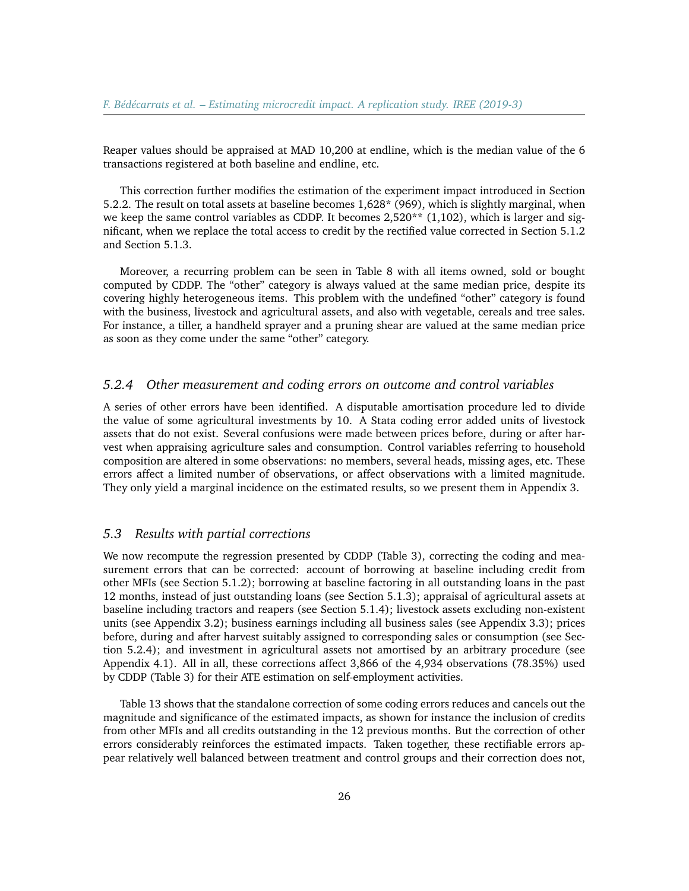Reaper values should be appraised at MAD 10,200 at endline, which is the median value of the 6 transactions registered at both baseline and endline, etc.

This correction further modifies the estimation of the experiment impact introduced in Section 5.2.2. The result on total assets at baseline becomes 1,628\* (969), which is slightly marginal, when we keep the same control variables as CDDP. It becomes  $2,520**$  (1,102), which is larger and significant, when we replace the total access to credit by the rectified value corrected in Section 5.1.2 and Section 5.1.3.

Moreover, a recurring problem can be seen in Table 8 with all items owned, sold or bought computed by CDDP. The "other" category is always valued at the same median price, despite its covering highly heterogeneous items. This problem with the undefined "other" category is found with the business, livestock and agricultural assets, and also with vegetable, cereals and tree sales. For instance, a tiller, a handheld sprayer and a pruning shear are valued at the same median price as soon as they come under the same "other" category.

#### *5.2.4 Other measurement and coding errors on outcome and control variables*

A series of other errors have been identified. A disputable amortisation procedure led to divide the value of some agricultural investments by 10. A Stata coding error added units of livestock assets that do not exist. Several confusions were made between prices before, during or after harvest when appraising agriculture sales and consumption. Control variables referring to household composition are altered in some observations: no members, several heads, missing ages, etc. These errors affect a limited number of observations, or affect observations with a limited magnitude. They only yield a marginal incidence on the estimated results, so we present them in Appendix 3.

# *5.3 Results with partial corrections*

We now recompute the regression presented by CDDP (Table 3), correcting the coding and measurement errors that can be corrected: account of borrowing at baseline including credit from other MFIs (see Section 5.1.2); borrowing at baseline factoring in all outstanding loans in the past 12 months, instead of just outstanding loans (see Section 5.1.3); appraisal of agricultural assets at baseline including tractors and reapers (see Section 5.1.4); livestock assets excluding non-existent units (see Appendix 3.2); business earnings including all business sales (see Appendix 3.3); prices before, during and after harvest suitably assigned to corresponding sales or consumption (see Section 5.2.4); and investment in agricultural assets not amortised by an arbitrary procedure (see Appendix 4.1). All in all, these corrections affect 3,866 of the 4,934 observations (78.35%) used by CDDP (Table 3) for their ATE estimation on self-employment activities.

Table 13 shows that the standalone correction of some coding errors reduces and cancels out the magnitude and significance of the estimated impacts, as shown for instance the inclusion of credits from other MFIs and all credits outstanding in the 12 previous months. But the correction of other errors considerably reinforces the estimated impacts. Taken together, these rectifiable errors appear relatively well balanced between treatment and control groups and their correction does not,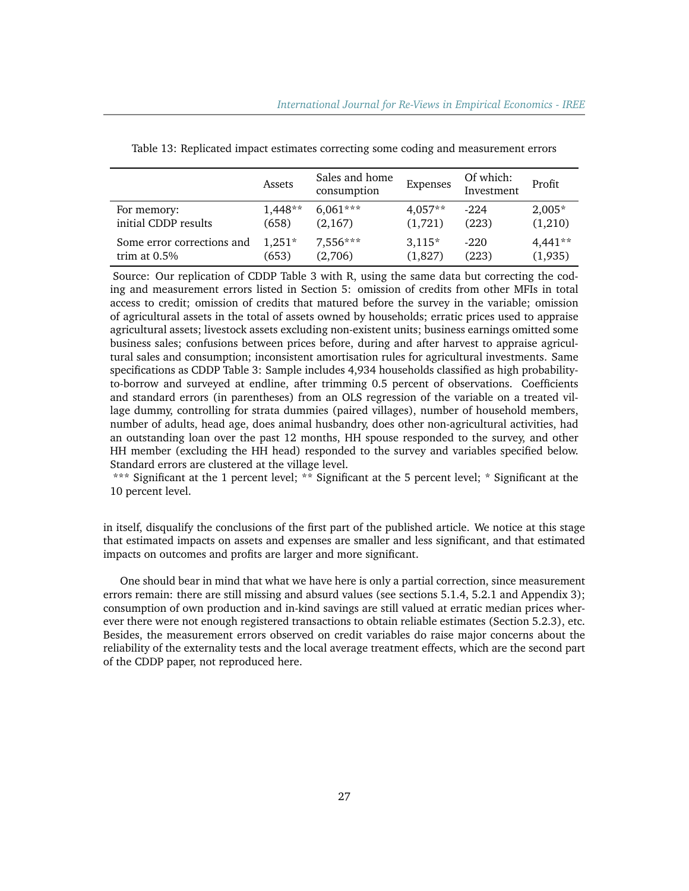|                            | Assets    | Sales and home<br>consumption | Expenses  | Of which:<br>Investment | Profit    |
|----------------------------|-----------|-------------------------------|-----------|-------------------------|-----------|
| For memory:                | $1.448**$ | $6,061***$                    | $4.057**$ | $-2.24$                 | $2,005*$  |
| initial CDDP results       | (658)     | (2,167)                       | (1,721)   | (223)                   | (1,210)   |
| Some error corrections and | $1.251*$  | 7,556***                      | $3,115*$  | $-220$                  | $4,441**$ |
| trim at $0.5\%$            | (653)     | (2,706)                       | (1,827)   | (223)                   | (1,935)   |

Table 13: Replicated impact estimates correcting some coding and measurement errors

Source: Our replication of CDDP Table 3 with R, using the same data but correcting the coding and measurement errors listed in Section 5: omission of credits from other MFIs in total access to credit; omission of credits that matured before the survey in the variable; omission of agricultural assets in the total of assets owned by households; erratic prices used to appraise agricultural assets; livestock assets excluding non-existent units; business earnings omitted some business sales; confusions between prices before, during and after harvest to appraise agricultural sales and consumption; inconsistent amortisation rules for agricultural investments. Same specifications as CDDP Table 3: Sample includes 4,934 households classified as high probabilityto-borrow and surveyed at endline, after trimming 0.5 percent of observations. Coefficients and standard errors (in parentheses) from an OLS regression of the variable on a treated village dummy, controlling for strata dummies (paired villages), number of household members, number of adults, head age, does animal husbandry, does other non-agricultural activities, had an outstanding loan over the past 12 months, HH spouse responded to the survey, and other HH member (excluding the HH head) responded to the survey and variables specified below. Standard errors are clustered at the village level.

\*\*\* Significant at the 1 percent level; \*\* Significant at the 5 percent level; \* Significant at the 10 percent level.

in itself, disqualify the conclusions of the first part of the published article. We notice at this stage that estimated impacts on assets and expenses are smaller and less significant, and that estimated impacts on outcomes and profits are larger and more significant.

One should bear in mind that what we have here is only a partial correction, since measurement errors remain: there are still missing and absurd values (see sections 5.1.4, 5.2.1 and Appendix 3); consumption of own production and in-kind savings are still valued at erratic median prices wherever there were not enough registered transactions to obtain reliable estimates (Section 5.2.3), etc. Besides, the measurement errors observed on credit variables do raise major concerns about the reliability of the externality tests and the local average treatment effects, which are the second part of the CDDP paper, not reproduced here.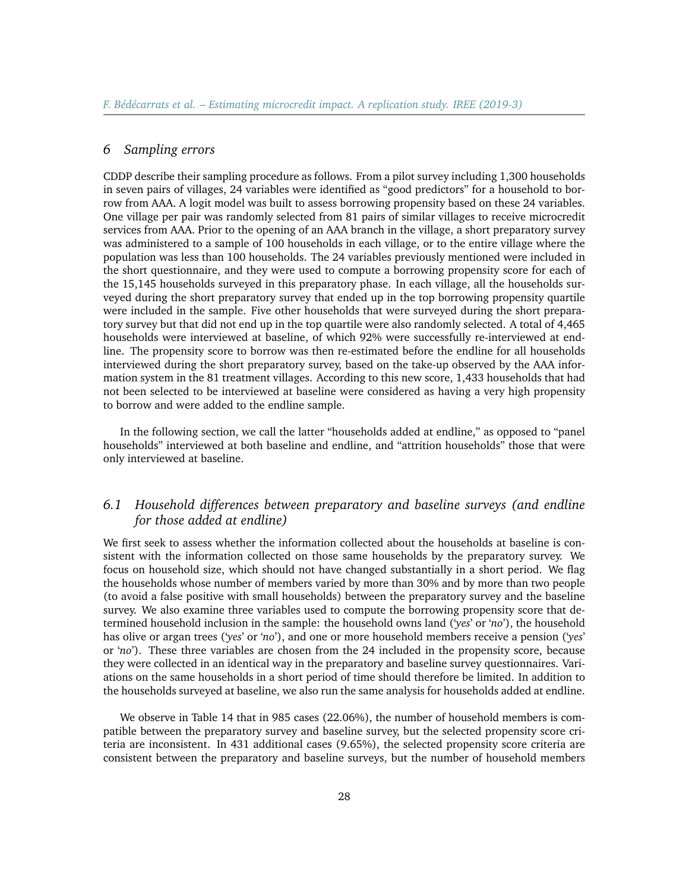# *6 Sampling errors*

CDDP describe their sampling procedure as follows. From a pilot survey including 1,300 households in seven pairs of villages, 24 variables were identified as "good predictors" for a household to borrow from AAA. A logit model was built to assess borrowing propensity based on these 24 variables. One village per pair was randomly selected from 81 pairs of similar villages to receive microcredit services from AAA. Prior to the opening of an AAA branch in the village, a short preparatory survey was administered to a sample of 100 households in each village, or to the entire village where the population was less than 100 households. The 24 variables previously mentioned were included in the short questionnaire, and they were used to compute a borrowing propensity score for each of the 15,145 households surveyed in this preparatory phase. In each village, all the households surveyed during the short preparatory survey that ended up in the top borrowing propensity quartile were included in the sample. Five other households that were surveyed during the short preparatory survey but that did not end up in the top quartile were also randomly selected. A total of 4,465 households were interviewed at baseline, of which 92% were successfully re-interviewed at endline. The propensity score to borrow was then re-estimated before the endline for all households interviewed during the short preparatory survey, based on the take-up observed by the AAA information system in the 81 treatment villages. According to this new score, 1,433 households that had not been selected to be interviewed at baseline were considered as having a very high propensity to borrow and were added to the endline sample.

In the following section, we call the latter "households added at endline," as opposed to "panel households" interviewed at both baseline and endline, and "attrition households" those that were only interviewed at baseline.

# *6.1 Household differences between preparatory and baseline surveys (and endline for those added at endline)*

We first seek to assess whether the information collected about the households at baseline is consistent with the information collected on those same households by the preparatory survey. We focus on household size, which should not have changed substantially in a short period. We flag the households whose number of members varied by more than 30% and by more than two people (to avoid a false positive with small households) between the preparatory survey and the baseline survey. We also examine three variables used to compute the borrowing propensity score that determined household inclusion in the sample: the household owns land ('*yes*' or '*no*'), the household has olive or argan trees ('*yes*' or '*no*'), and one or more household members receive a pension ('*yes*' or '*no*'). These three variables are chosen from the 24 included in the propensity score, because they were collected in an identical way in the preparatory and baseline survey questionnaires. Variations on the same households in a short period of time should therefore be limited. In addition to the households surveyed at baseline, we also run the same analysis for households added at endline.

We observe in Table 14 that in 985 cases (22.06%), the number of household members is compatible between the preparatory survey and baseline survey, but the selected propensity score criteria are inconsistent. In 431 additional cases (9.65%), the selected propensity score criteria are consistent between the preparatory and baseline surveys, but the number of household members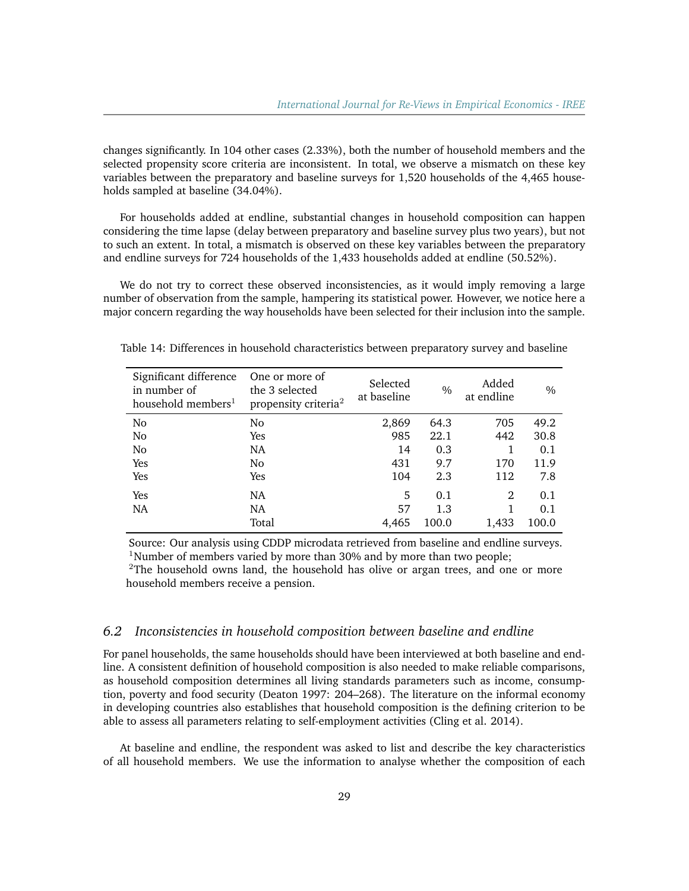changes significantly. In 104 other cases (2.33%), both the number of household members and the selected propensity score criteria are inconsistent. In total, we observe a mismatch on these key variables between the preparatory and baseline surveys for 1,520 households of the 4,465 households sampled at baseline (34.04%).

For households added at endline, substantial changes in household composition can happen considering the time lapse (delay between preparatory and baseline survey plus two years), but not to such an extent. In total, a mismatch is observed on these key variables between the preparatory and endline surveys for 724 households of the 1,433 households added at endline (50.52%).

We do not try to correct these observed inconsistencies, as it would imply removing a large number of observation from the sample, hampering its statistical power. However, we notice here a major concern regarding the way households have been selected for their inclusion into the sample.

| Significant difference<br>in number of<br>household members <sup>1</sup> | One or more of<br>the 3 selected<br>propensity criteria <sup>2</sup> | Selected<br>at baseline | $\frac{0}{0}$ | Added<br>at endline | $\frac{0}{0}$ |
|--------------------------------------------------------------------------|----------------------------------------------------------------------|-------------------------|---------------|---------------------|---------------|
| No                                                                       | No.                                                                  | 2,869                   | 64.3          | 705                 | 49.2          |
| No                                                                       | Yes                                                                  | 985                     | 22.1          | 442                 | 30.8          |
| No                                                                       | <b>NA</b>                                                            | 14                      | 0.3           |                     | 0.1           |
| Yes                                                                      | No.                                                                  | 431                     | 9.7           | 170                 | 11.9          |
| Yes                                                                      | Yes                                                                  | 104                     | 2.3           | 112                 | 7.8           |
| Yes                                                                      | <b>NA</b>                                                            | 5                       | 0.1           | 2                   | 0.1           |
| <b>NA</b>                                                                | <b>NA</b>                                                            | 57                      | 1.3           |                     | 0.1           |
|                                                                          | Total                                                                | 4,465                   | 100.0         | 1,433               | 100.0         |

Table 14: Differences in household characteristics between preparatory survey and baseline

Source: Our analysis using CDDP microdata retrieved from baseline and endline surveys. <sup>1</sup>Number of members varied by more than 30% and by more than two people;

 $2$ The household owns land, the household has olive or argan trees, and one or more household members receive a pension.

#### *6.2 Inconsistencies in household composition between baseline and endline*

For panel households, the same households should have been interviewed at both baseline and endline. A consistent definition of household composition is also needed to make reliable comparisons, as household composition determines all living standards parameters such as income, consumption, poverty and food security (Deaton 1997: 204–268). The literature on the informal economy in developing countries also establishes that household composition is the defining criterion to be able to assess all parameters relating to self-employment activities (Cling et al. 2014).

At baseline and endline, the respondent was asked to list and describe the key characteristics of all household members. We use the information to analyse whether the composition of each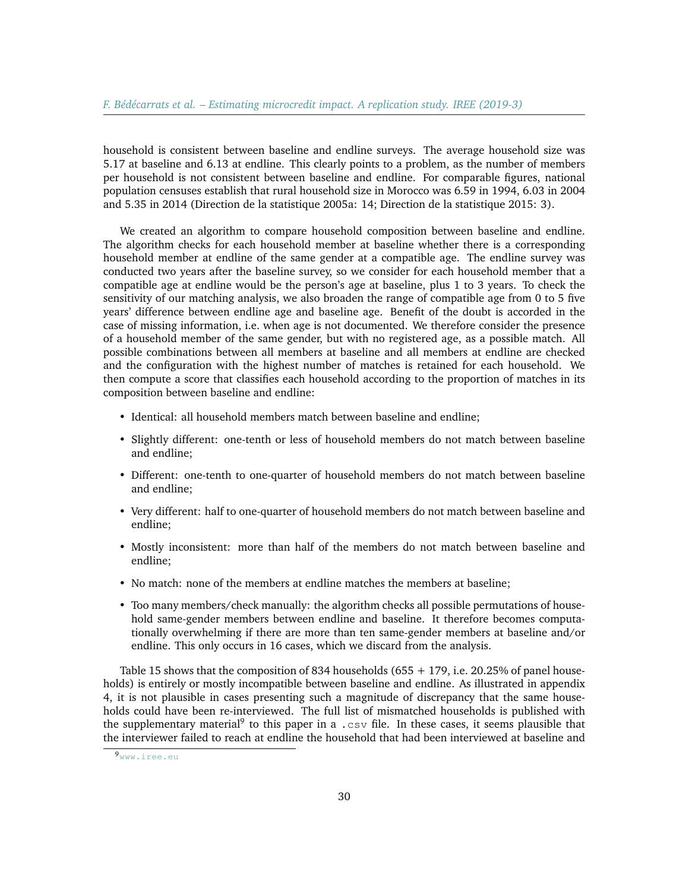household is consistent between baseline and endline surveys. The average household size was 5.17 at baseline and 6.13 at endline. This clearly points to a problem, as the number of members per household is not consistent between baseline and endline. For comparable figures, national population censuses establish that rural household size in Morocco was 6.59 in 1994, 6.03 in 2004 and 5.35 in 2014 (Direction de la statistique 2005a: 14; Direction de la statistique 2015: 3).

We created an algorithm to compare household composition between baseline and endline. The algorithm checks for each household member at baseline whether there is a corresponding household member at endline of the same gender at a compatible age. The endline survey was conducted two years after the baseline survey, so we consider for each household member that a compatible age at endline would be the person's age at baseline, plus 1 to 3 years. To check the sensitivity of our matching analysis, we also broaden the range of compatible age from 0 to 5 five years' difference between endline age and baseline age. Benefit of the doubt is accorded in the case of missing information, i.e. when age is not documented. We therefore consider the presence of a household member of the same gender, but with no registered age, as a possible match. All possible combinations between all members at baseline and all members at endline are checked and the configuration with the highest number of matches is retained for each household. We then compute a score that classifies each household according to the proportion of matches in its composition between baseline and endline:

- Identical: all household members match between baseline and endline;
- Slightly different: one-tenth or less of household members do not match between baseline and endline;
- Different: one-tenth to one-quarter of household members do not match between baseline and endline;
- Very different: half to one-quarter of household members do not match between baseline and endline;
- Mostly inconsistent: more than half of the members do not match between baseline and endline;
- No match: none of the members at endline matches the members at baseline;
- Too many members/check manually: the algorithm checks all possible permutations of household same-gender members between endline and baseline. It therefore becomes computationally overwhelming if there are more than ten same-gender members at baseline and/or endline. This only occurs in 16 cases, which we discard from the analysis.

Table 15 shows that the composition of 834 households (655 + 179, i.e. 20.25% of panel households) is entirely or mostly incompatible between baseline and endline. As illustrated in appendix 4, it is not plausible in cases presenting such a magnitude of discrepancy that the same households could have been re-interviewed. The full list of mismatched households is published with the supplementary material<sup>[9](#page-29-0)</sup> to this paper in a .  $\cos\theta$  file. In these cases, it seems plausible that the interviewer failed to reach at endline the household that had been interviewed at baseline and

<span id="page-29-0"></span><sup>9</sup><www.iree.eu>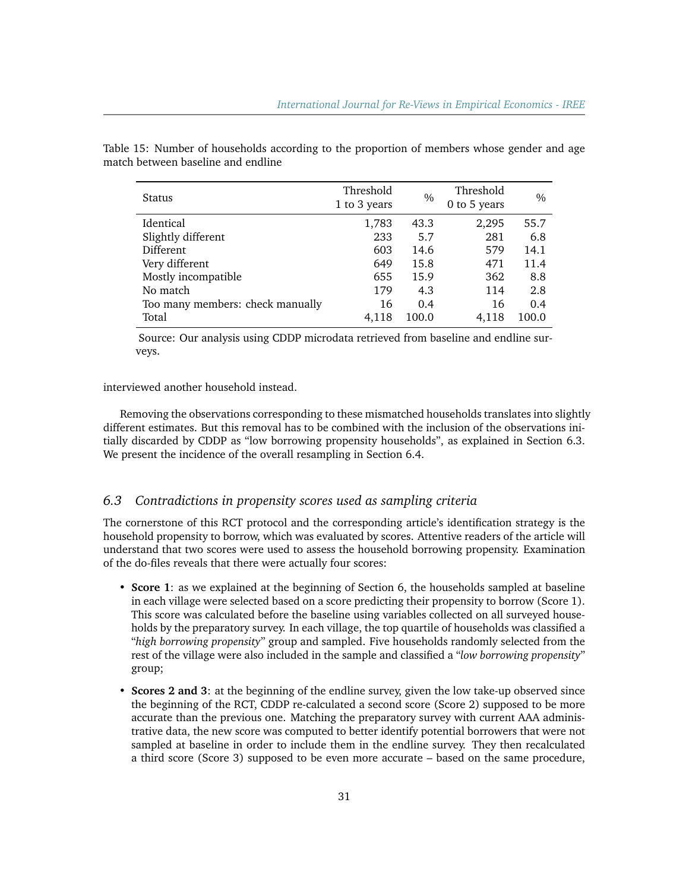| Status                           | Threshold<br>1 to 3 years | $\frac{0}{0}$ | Threshold<br>0 to 5 years | $\frac{0}{0}$ |
|----------------------------------|---------------------------|---------------|---------------------------|---------------|
| <b>Identical</b>                 | 1,783                     | 43.3          | 2,295                     | 55.7          |
| Slightly different               | 233                       | 5.7           | 281                       | 6.8           |
| Different                        | 603                       | 14.6          | 579                       | 14.1          |
| Very different                   | 649                       | 15.8          | 471                       | 11.4          |
| Mostly incompatible              | 655                       | 15.9          | 362                       | 8.8           |
| No match                         | 179                       | 4.3           | 114                       | 2.8           |
| Too many members: check manually | 16                        | 0.4           | 16                        | 0.4           |
| Total                            | 4,118                     | 100.0         | 4.118                     | 100.0         |

Table 15: Number of households according to the proportion of members whose gender and age match between baseline and endline

Source: Our analysis using CDDP microdata retrieved from baseline and endline surveys.

#### interviewed another household instead.

Removing the observations corresponding to these mismatched households translates into slightly different estimates. But this removal has to be combined with the inclusion of the observations initially discarded by CDDP as "low borrowing propensity households", as explained in Section 6.3. We present the incidence of the overall resampling in Section 6.4.

#### *6.3 Contradictions in propensity scores used as sampling criteria*

The cornerstone of this RCT protocol and the corresponding article's identification strategy is the household propensity to borrow, which was evaluated by scores. Attentive readers of the article will understand that two scores were used to assess the household borrowing propensity. Examination of the do-files reveals that there were actually four scores:

- **Score 1**: as we explained at the beginning of Section 6, the households sampled at baseline in each village were selected based on a score predicting their propensity to borrow (Score 1). This score was calculated before the baseline using variables collected on all surveyed households by the preparatory survey. In each village, the top quartile of households was classified a "*high borrowing propensity*" group and sampled. Five households randomly selected from the rest of the village were also included in the sample and classified a "*low borrowing propensity*" group;
- **Scores 2 and 3**: at the beginning of the endline survey, given the low take-up observed since the beginning of the RCT, CDDP re-calculated a second score (Score 2) supposed to be more accurate than the previous one. Matching the preparatory survey with current AAA administrative data, the new score was computed to better identify potential borrowers that were not sampled at baseline in order to include them in the endline survey. They then recalculated a third score (Score 3) supposed to be even more accurate – based on the same procedure,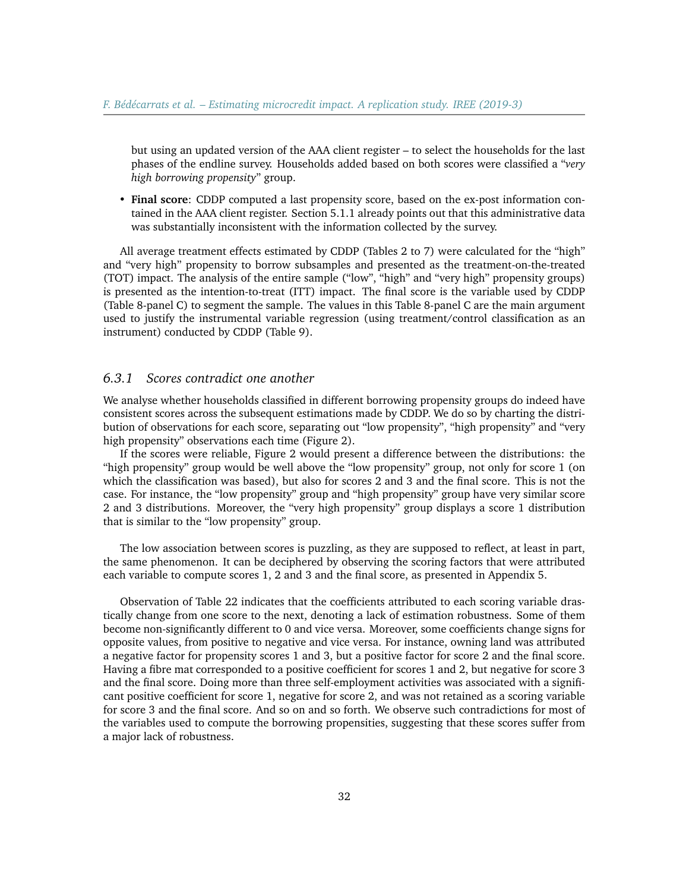but using an updated version of the AAA client register – to select the households for the last phases of the endline survey. Households added based on both scores were classified a "*very high borrowing propensity*" group.

• **Final score**: CDDP computed a last propensity score, based on the ex-post information contained in the AAA client register. Section 5.1.1 already points out that this administrative data was substantially inconsistent with the information collected by the survey.

All average treatment effects estimated by CDDP (Tables 2 to 7) were calculated for the "high" and "very high" propensity to borrow subsamples and presented as the treatment-on-the-treated (TOT) impact. The analysis of the entire sample ("low", "high" and "very high" propensity groups) is presented as the intention-to-treat (ITT) impact. The final score is the variable used by CDDP (Table 8-panel C) to segment the sample. The values in this Table 8-panel C are the main argument used to justify the instrumental variable regression (using treatment/control classification as an instrument) conducted by CDDP (Table 9).

#### *6.3.1 Scores contradict one another*

We analyse whether households classified in different borrowing propensity groups do indeed have consistent scores across the subsequent estimations made by CDDP. We do so by charting the distribution of observations for each score, separating out "low propensity", "high propensity" and "very high propensity" observations each time (Figure 2).

If the scores were reliable, Figure 2 would present a difference between the distributions: the "high propensity" group would be well above the "low propensity" group, not only for score 1 (on which the classification was based), but also for scores 2 and 3 and the final score. This is not the case. For instance, the "low propensity" group and "high propensity" group have very similar score 2 and 3 distributions. Moreover, the "very high propensity" group displays a score 1 distribution that is similar to the "low propensity" group.

The low association between scores is puzzling, as they are supposed to reflect, at least in part, the same phenomenon. It can be deciphered by observing the scoring factors that were attributed each variable to compute scores 1, 2 and 3 and the final score, as presented in Appendix 5.

Observation of Table 22 indicates that the coefficients attributed to each scoring variable drastically change from one score to the next, denoting a lack of estimation robustness. Some of them become non-significantly different to 0 and vice versa. Moreover, some coefficients change signs for opposite values, from positive to negative and vice versa. For instance, owning land was attributed a negative factor for propensity scores 1 and 3, but a positive factor for score 2 and the final score. Having a fibre mat corresponded to a positive coefficient for scores 1 and 2, but negative for score 3 and the final score. Doing more than three self-employment activities was associated with a significant positive coefficient for score 1, negative for score 2, and was not retained as a scoring variable for score 3 and the final score. And so on and so forth. We observe such contradictions for most of the variables used to compute the borrowing propensities, suggesting that these scores suffer from a major lack of robustness.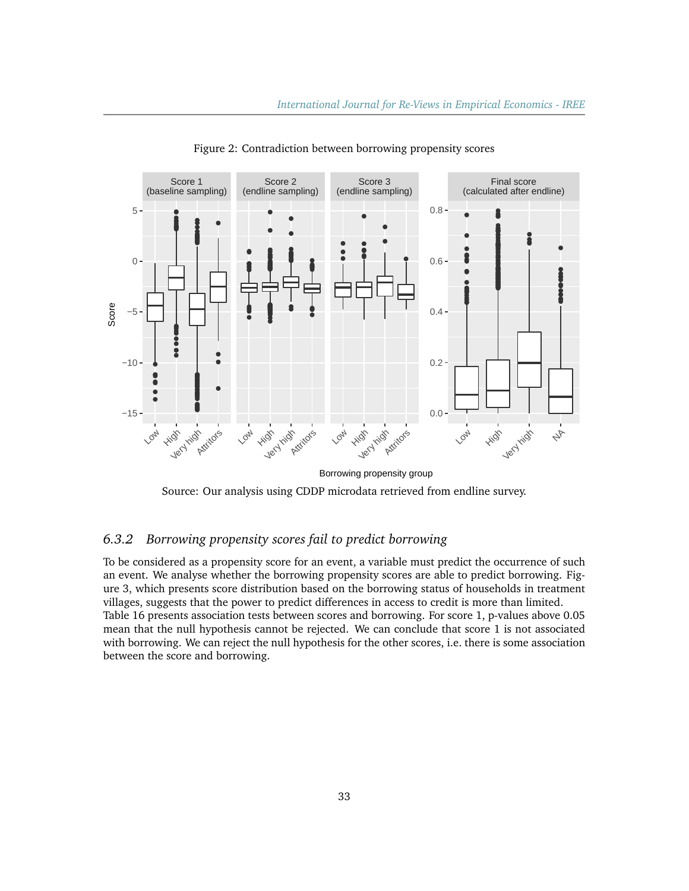

Figure 2: Contradiction between borrowing propensity scores

Source: Our analysis using CDDP microdata retrieved from endline survey.

# *6.3.2 Borrowing propensity scores fail to predict borrowing*

To be considered as a propensity score for an event, a variable must predict the occurrence of such an event. We analyse whether the borrowing propensity scores are able to predict borrowing. Figure 3, which presents score distribution based on the borrowing status of households in treatment villages, suggests that the power to predict differences in access to credit is more than limited. Table 16 presents association tests between scores and borrowing. For score 1, p-values above 0.05 mean that the null hypothesis cannot be rejected. We can conclude that score 1 is not associated with borrowing. We can reject the null hypothesis for the other scores, i.e. there is some association between the score and borrowing.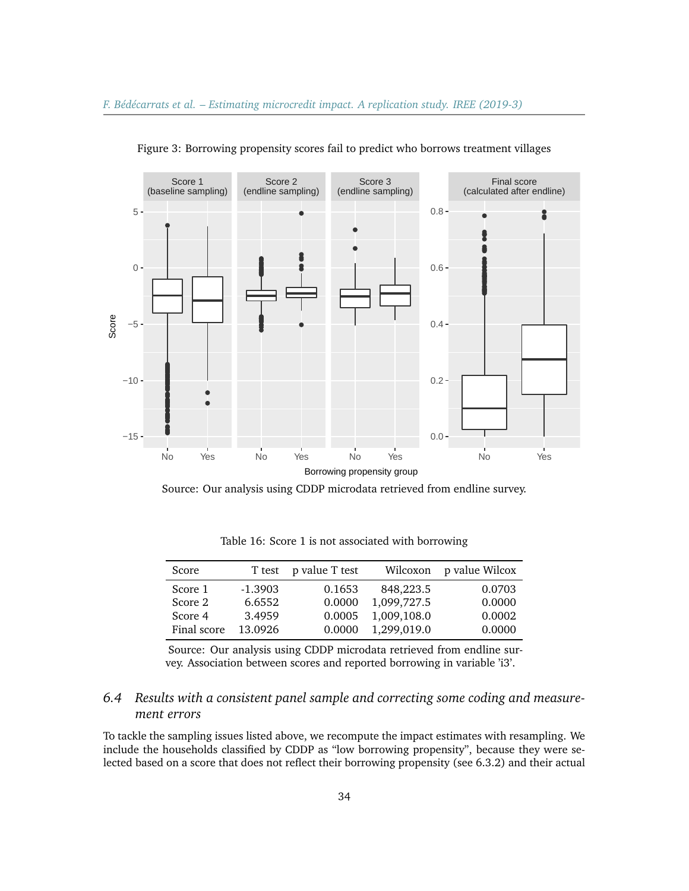

Figure 3: Borrowing propensity scores fail to predict who borrows treatment villages

Source: Our analysis using CDDP microdata retrieved from endline survey.

| Score       |           | T test p value T test |             | Wilcoxon p value Wilcox |
|-------------|-----------|-----------------------|-------------|-------------------------|
| Score 1     | $-1.3903$ | 0.1653                | 848,223.5   | 0.0703                  |
| Score 2     | 6.6552    | 0.0000                | 1,099,727.5 | 0.0000                  |
| Score 4     | 3.4959    | 0.0005                | 1,009,108.0 | 0.0002                  |
| Final score | 13.0926   | 0.0000                | 1,299,019.0 | 0.0000                  |

Table 16: Score 1 is not associated with borrowing

Source: Our analysis using CDDP microdata retrieved from endline survey. Association between scores and reported borrowing in variable 'i3'.

# *6.4 Results with a consistent panel sample and correcting some coding and measurement errors*

To tackle the sampling issues listed above, we recompute the impact estimates with resampling. We include the households classified by CDDP as "low borrowing propensity", because they were selected based on a score that does not reflect their borrowing propensity (see 6.3.2) and their actual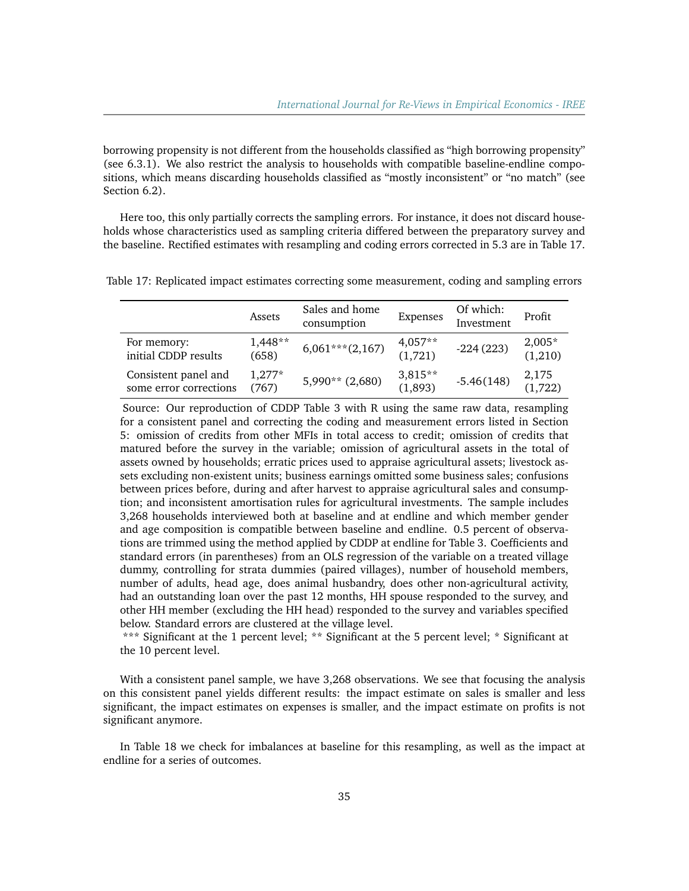borrowing propensity is not different from the households classified as "high borrowing propensity" (see 6.3.1). We also restrict the analysis to households with compatible baseline-endline compositions, which means discarding households classified as "mostly inconsistent" or "no match" (see Section 6.2).

Here too, this only partially corrects the sampling errors. For instance, it does not discard households whose characteristics used as sampling criteria differed between the preparatory survey and the baseline. Rectified estimates with resampling and coding errors corrected in 5.3 are in Table 17.

Table 17: Replicated impact estimates correcting some measurement, coding and sampling errors

|                                                | Assets           | Sales and home<br>consumption | Expenses               | Of which:<br>Investment | Profit                |
|------------------------------------------------|------------------|-------------------------------|------------------------|-------------------------|-----------------------|
| For memory:<br>initial CDDP results            | 1,448**<br>(658) | $6,061***$ (2,167)            | $4,057**$<br>$(1,721)$ | $-224(223)$             | $2,005*$<br>$(1,210)$ |
| Consistent panel and<br>some error corrections | $1,277*$<br>767) | $5,990**$ (2,680)             | $3,815**$<br>(1,893)   | $-5.46(148)$            | $2,175$<br>(1,722)    |

Source: Our reproduction of CDDP Table 3 with R using the same raw data, resampling for a consistent panel and correcting the coding and measurement errors listed in Section 5: omission of credits from other MFIs in total access to credit; omission of credits that matured before the survey in the variable; omission of agricultural assets in the total of assets owned by households; erratic prices used to appraise agricultural assets; livestock assets excluding non-existent units; business earnings omitted some business sales; confusions between prices before, during and after harvest to appraise agricultural sales and consumption; and inconsistent amortisation rules for agricultural investments. The sample includes 3,268 households interviewed both at baseline and at endline and which member gender and age composition is compatible between baseline and endline. 0.5 percent of observations are trimmed using the method applied by CDDP at endline for Table 3. Coefficients and standard errors (in parentheses) from an OLS regression of the variable on a treated village dummy, controlling for strata dummies (paired villages), number of household members, number of adults, head age, does animal husbandry, does other non-agricultural activity, had an outstanding loan over the past 12 months, HH spouse responded to the survey, and other HH member (excluding the HH head) responded to the survey and variables specified below. Standard errors are clustered at the village level.

\*\*\* Significant at the 1 percent level; \*\* Significant at the 5 percent level; \* Significant at the 10 percent level.

With a consistent panel sample, we have 3,268 observations. We see that focusing the analysis on this consistent panel yields different results: the impact estimate on sales is smaller and less significant, the impact estimates on expenses is smaller, and the impact estimate on profits is not significant anymore.

In Table 18 we check for imbalances at baseline for this resampling, as well as the impact at endline for a series of outcomes.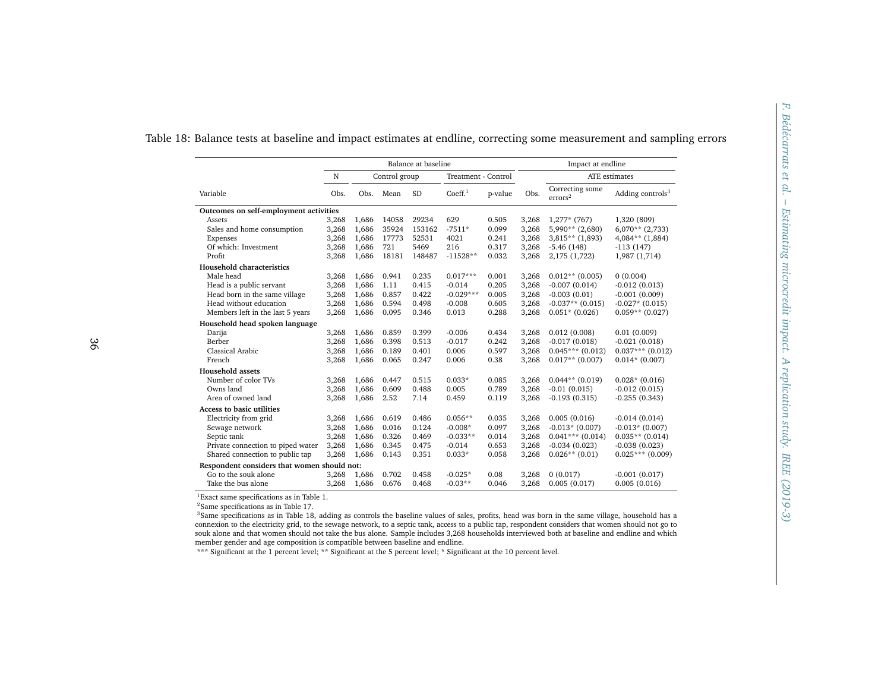|                                             |       |       |               | Balance at baseline |                     |         |       | Impact at endline                      |                              |
|---------------------------------------------|-------|-------|---------------|---------------------|---------------------|---------|-------|----------------------------------------|------------------------------|
|                                             | N     |       | Control group |                     | Treatment - Control |         |       | ATE estimates                          |                              |
| Variable                                    | Obs.  |       | Obs. Mean     | SD                  | Coeff. <sup>1</sup> | p-value | Obs.  | Correcting some<br>$\mathrm{errors}^2$ | Adding controls <sup>3</sup> |
| Outcomes on self-employment activities      |       |       |               |                     |                     |         |       |                                        |                              |
| Assets                                      | 3,268 | 1,686 | 14058         | 29234               | 629                 | 0.505   | 3,268 | $1,277*$ (767)                         | 1,320 (809)                  |
| Sales and home consumption                  | 3,268 | 1,686 | 35924         | 153162              | $-7511*$            | 0.099   | 3,268 | $5,990**$ (2,680)                      | $6,070**$ (2,733)            |
| Expenses                                    | 3,268 | 1,686 | 17773         | 52531               | 4021                | 0.241   | 3,268 | $3,815**$ (1,893)                      | $4,084**$ (1,884)            |
| Of which: Investment                        | 3,268 | 1,686 | 721           | 5469                | 216                 | 0.317   | 3,268 | $-5.46(148)$                           | $-113(147)$                  |
| Profit                                      | 3,268 | 1,686 | 18181         | 148487              | $-11528**$          | 0.032   | 3,268 | 2,175 (1,722)                          | 1,987 (1,714)                |
| Household characteristics                   |       |       |               |                     |                     |         |       |                                        |                              |
| Male head                                   | 3,268 | 1,686 | 0.941         | 0.235               | $0.017***$          | 0.001   | 3,268 | $0.012**$ (0.005)                      | 0(0.004)                     |
| Head is a public servant                    | 3,268 | 1,686 | 1.11          | 0.415               | $-0.014$            | 0.205   | 3,268 | $-0.007(0.014)$                        | $-0.012(0.013)$              |
| Head born in the same village               | 3,268 | 1,686 | 0.857         | 0.422               | $-0.029***$         | 0.005   | 3,268 | $-0.003(0.01)$                         | $-0.001(0.009)$              |
| Head without education                      | 3,268 | 1,686 | 0.594         | 0.498               | $-0.008$            | 0.605   | 3,268 | $-0.037**$ (0.015)                     | $-0.027*(0.015)$             |
| Members left in the last 5 years            | 3,268 | 1,686 | 0.095         | 0.346               | 0.013               | 0.288   | 3,268 | $0.051*$ (0.026)                       | $0.059**$ (0.027)            |
| Household head spoken language              |       |       |               |                     |                     |         |       |                                        |                              |
| Darija                                      | 3,268 | 1,686 | 0.859         | 0.399               | $-0.006$            | 0.434   | 3,268 | 0.012(0.008)                           | 0.01(0.009)                  |
| Berber                                      | 3,268 | 1,686 | 0.398         | 0.513               | $-0.017$            | 0.242   | 3,268 | $-0.017(0.018)$                        | $-0.021(0.018)$              |
| Classical Arabic                            | 3,268 | 1,686 | 0.189         | 0.401               | 0.006               | 0.597   | 3,268 | $0.045***$ (0.012)                     | $0.037***$ (0.012)           |
| French                                      | 3,268 | 1,686 | 0.065         | 0.247               | 0.006               | 0.38    | 3,268 | $0.017**$ (0.007)                      | $0.014*(0.007)$              |
| <b>Household assets</b>                     |       |       |               |                     |                     |         |       |                                        |                              |
| Number of color TVs                         | 3,268 | 1,686 | 0.447         | 0.515               | $0.033*$            | 0.085   | 3,268 | $0.044**$ (0.019)                      | $0.028*(0.016)$              |
| Owns land                                   | 3,268 | 1,686 | 0.609         | 0.488               | 0.005               | 0.789   | 3,268 | $-0.01(0.015)$                         | $-0.012(0.015)$              |
| Area of owned land                          | 3,268 | 1,686 | 2.52          | 7.14                | 0.459               | 0.119   | 3,268 | $-0.193(0.315)$                        | $-0.255(0.343)$              |
| Access to basic utilities                   |       |       |               |                     |                     |         |       |                                        |                              |
| Electricity from grid                       | 3,268 | 1,686 | 0.619         | 0.486               | $0.056**$           | 0.035   | 3,268 | 0.005(0.016)                           | $-0.014(0.014)$              |
| Sewage network                              | 3,268 | 1,686 | 0.016         | 0.124               | $-0.008*$           | 0.097   | 3,268 | $-0.013*(0.007)$                       | $-0.013*(0.007)$             |
| Septic tank                                 | 3,268 | 1,686 | 0.326         | 0.469               | $-0.033**$          | 0.014   | 3,268 | $0.041***$ (0.014)                     | $0.035**$ (0.014)            |
| Private connection to piped water           | 3,268 | 1,686 | 0.345         | 0.475               | $-0.014$            | 0.653   | 3,268 | $-0.034(0.023)$                        | $-0.038(0.023)$              |
| Shared connection to public tap             | 3,268 | 1,686 | 0.143         | 0.351               | $0.033*$            | 0.058   | 3,268 | $0.026**$ (0.01)                       | $0.025***$ (0.009)           |
| Respondent considers that women should not: |       |       |               |                     |                     |         |       |                                        |                              |
| Go to the souk alone                        | 3,268 | 1,686 | 0.702         | 0.458               | $-0.025*$           | 0.08    | 3,268 | 0(0.017)                               | $-0.001(0.017)$              |
| Take the bus alone                          | 3,268 | 1,686 | 0.676         | 0.468               | $-0.03**$           | 0.046   | 3,268 | 0.005(0.017)                           | 0.005(0.016)                 |

 <sup>3</sup>Same specifications as in Table 18, adding as controls the baseline values of sales, profits, head was born in the same village, household has <sup>a</sup> connexion to the electricity grid, to the sewage network, to <sup>a</sup> septic tank, access to <sup>a</sup> public tap, respondent considers that women should not go to souk alone and that women should not take the bus alone. Sample includes 3,268 households interviewed both at baseline and endline and whichmember gender and age composition is compatible between baseline and endline.

\*\*\* Significant at the 1 percent level; \*\* Significant at the 5 percent level; \* Significant at the 10 percent level.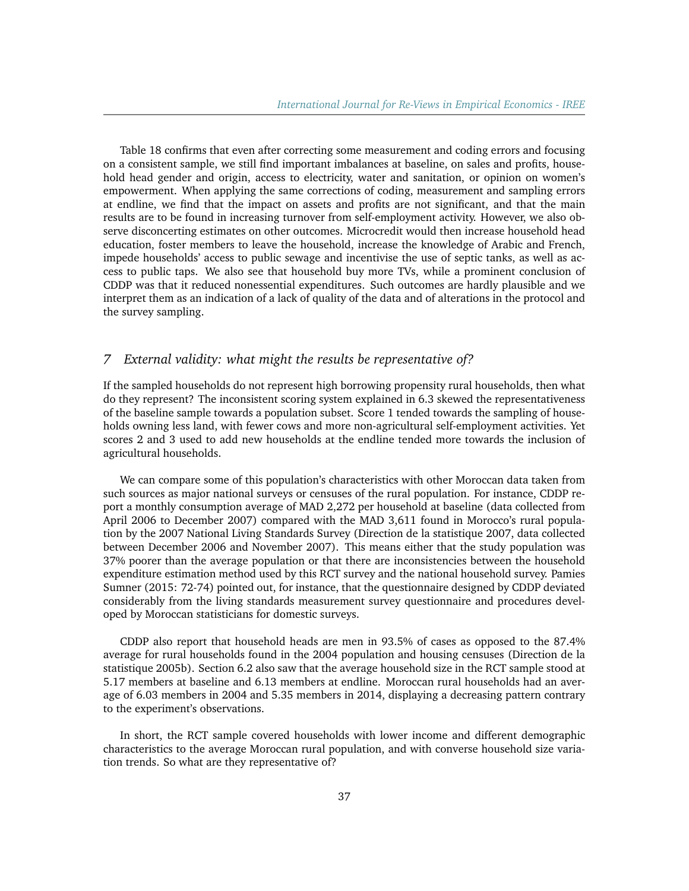Table 18 confirms that even after correcting some measurement and coding errors and focusing on a consistent sample, we still find important imbalances at baseline, on sales and profits, household head gender and origin, access to electricity, water and sanitation, or opinion on women's empowerment. When applying the same corrections of coding, measurement and sampling errors at endline, we find that the impact on assets and profits are not significant, and that the main results are to be found in increasing turnover from self-employment activity. However, we also observe disconcerting estimates on other outcomes. Microcredit would then increase household head education, foster members to leave the household, increase the knowledge of Arabic and French, impede households' access to public sewage and incentivise the use of septic tanks, as well as access to public taps. We also see that household buy more TVs, while a prominent conclusion of CDDP was that it reduced nonessential expenditures. Such outcomes are hardly plausible and we interpret them as an indication of a lack of quality of the data and of alterations in the protocol and the survey sampling.

# *7 External validity: what might the results be representative of?*

If the sampled households do not represent high borrowing propensity rural households, then what do they represent? The inconsistent scoring system explained in 6.3 skewed the representativeness of the baseline sample towards a population subset. Score 1 tended towards the sampling of households owning less land, with fewer cows and more non-agricultural self-employment activities. Yet scores 2 and 3 used to add new households at the endline tended more towards the inclusion of agricultural households.

We can compare some of this population's characteristics with other Moroccan data taken from such sources as major national surveys or censuses of the rural population. For instance, CDDP report a monthly consumption average of MAD 2,272 per household at baseline (data collected from April 2006 to December 2007) compared with the MAD 3,611 found in Morocco's rural population by the 2007 National Living Standards Survey (Direction de la statistique 2007, data collected between December 2006 and November 2007). This means either that the study population was 37% poorer than the average population or that there are inconsistencies between the household expenditure estimation method used by this RCT survey and the national household survey. Pamies Sumner (2015: 72-74) pointed out, for instance, that the questionnaire designed by CDDP deviated considerably from the living standards measurement survey questionnaire and procedures developed by Moroccan statisticians for domestic surveys.

CDDP also report that household heads are men in 93.5% of cases as opposed to the 87.4% average for rural households found in the 2004 population and housing censuses (Direction de la statistique 2005b). Section 6.2 also saw that the average household size in the RCT sample stood at 5.17 members at baseline and 6.13 members at endline. Moroccan rural households had an average of 6.03 members in 2004 and 5.35 members in 2014, displaying a decreasing pattern contrary to the experiment's observations.

In short, the RCT sample covered households with lower income and different demographic characteristics to the average Moroccan rural population, and with converse household size variation trends. So what are they representative of?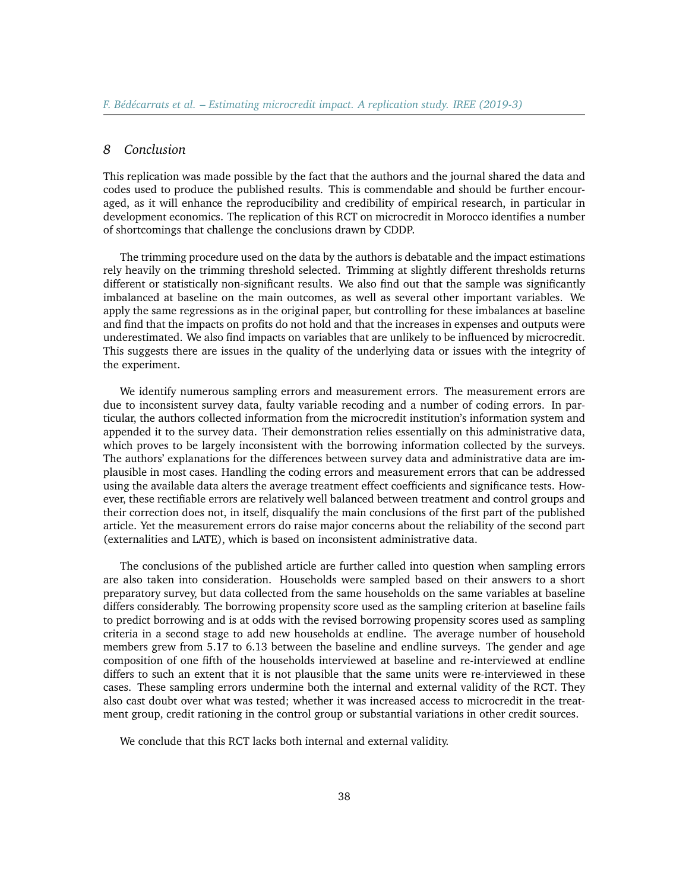### *8 Conclusion*

This replication was made possible by the fact that the authors and the journal shared the data and codes used to produce the published results. This is commendable and should be further encouraged, as it will enhance the reproducibility and credibility of empirical research, in particular in development economics. The replication of this RCT on microcredit in Morocco identifies a number of shortcomings that challenge the conclusions drawn by CDDP.

The trimming procedure used on the data by the authors is debatable and the impact estimations rely heavily on the trimming threshold selected. Trimming at slightly different thresholds returns different or statistically non-significant results. We also find out that the sample was significantly imbalanced at baseline on the main outcomes, as well as several other important variables. We apply the same regressions as in the original paper, but controlling for these imbalances at baseline and find that the impacts on profits do not hold and that the increases in expenses and outputs were underestimated. We also find impacts on variables that are unlikely to be influenced by microcredit. This suggests there are issues in the quality of the underlying data or issues with the integrity of the experiment.

We identify numerous sampling errors and measurement errors. The measurement errors are due to inconsistent survey data, faulty variable recoding and a number of coding errors. In particular, the authors collected information from the microcredit institution's information system and appended it to the survey data. Their demonstration relies essentially on this administrative data, which proves to be largely inconsistent with the borrowing information collected by the surveys. The authors' explanations for the differences between survey data and administrative data are implausible in most cases. Handling the coding errors and measurement errors that can be addressed using the available data alters the average treatment effect coefficients and significance tests. However, these rectifiable errors are relatively well balanced between treatment and control groups and their correction does not, in itself, disqualify the main conclusions of the first part of the published article. Yet the measurement errors do raise major concerns about the reliability of the second part (externalities and LATE), which is based on inconsistent administrative data.

The conclusions of the published article are further called into question when sampling errors are also taken into consideration. Households were sampled based on their answers to a short preparatory survey, but data collected from the same households on the same variables at baseline differs considerably. The borrowing propensity score used as the sampling criterion at baseline fails to predict borrowing and is at odds with the revised borrowing propensity scores used as sampling criteria in a second stage to add new households at endline. The average number of household members grew from 5.17 to 6.13 between the baseline and endline surveys. The gender and age composition of one fifth of the households interviewed at baseline and re-interviewed at endline differs to such an extent that it is not plausible that the same units were re-interviewed in these cases. These sampling errors undermine both the internal and external validity of the RCT. They also cast doubt over what was tested; whether it was increased access to microcredit in the treatment group, credit rationing in the control group or substantial variations in other credit sources.

We conclude that this RCT lacks both internal and external validity.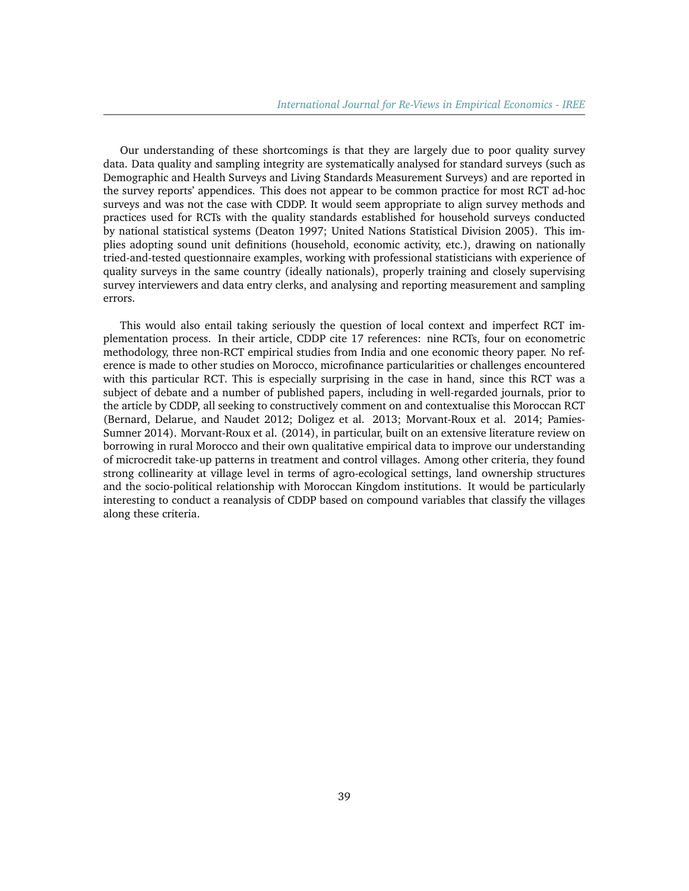Our understanding of these shortcomings is that they are largely due to poor quality survey data. Data quality and sampling integrity are systematically analysed for standard surveys (such as Demographic and Health Surveys and Living Standards Measurement Surveys) and are reported in the survey reports' appendices. This does not appear to be common practice for most RCT ad-hoc surveys and was not the case with CDDP. It would seem appropriate to align survey methods and practices used for RCTs with the quality standards established for household surveys conducted by national statistical systems (Deaton 1997; United Nations Statistical Division 2005). This implies adopting sound unit definitions (household, economic activity, etc.), drawing on nationally tried-and-tested questionnaire examples, working with professional statisticians with experience of quality surveys in the same country (ideally nationals), properly training and closely supervising survey interviewers and data entry clerks, and analysing and reporting measurement and sampling errors.

This would also entail taking seriously the question of local context and imperfect RCT implementation process. In their article, CDDP cite 17 references: nine RCTs, four on econometric methodology, three non-RCT empirical studies from India and one economic theory paper. No reference is made to other studies on Morocco, microfinance particularities or challenges encountered with this particular RCT. This is especially surprising in the case in hand, since this RCT was a subject of debate and a number of published papers, including in well-regarded journals, prior to the article by CDDP, all seeking to constructively comment on and contextualise this Moroccan RCT (Bernard, Delarue, and Naudet 2012; Doligez et al. 2013; Morvant-Roux et al. 2014; Pamies-Sumner 2014). Morvant-Roux et al. (2014), in particular, built on an extensive literature review on borrowing in rural Morocco and their own qualitative empirical data to improve our understanding of microcredit take-up patterns in treatment and control villages. Among other criteria, they found strong collinearity at village level in terms of agro-ecological settings, land ownership structures and the socio-political relationship with Moroccan Kingdom institutions. It would be particularly interesting to conduct a reanalysis of CDDP based on compound variables that classify the villages along these criteria.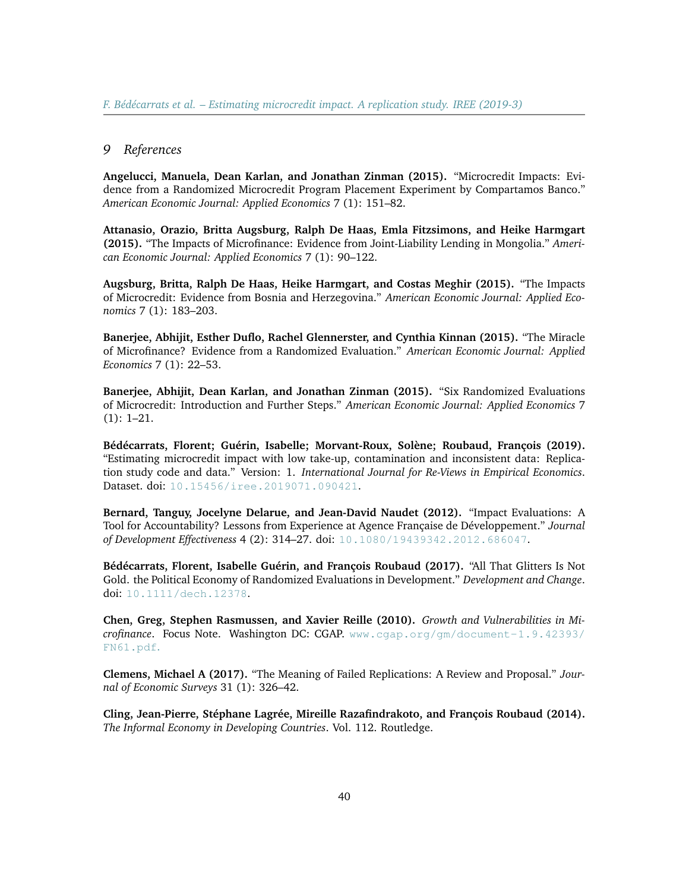#### *9 References*

**Angelucci, Manuela, Dean Karlan, and Jonathan Zinman (2015).** "Microcredit Impacts: Evidence from a Randomized Microcredit Program Placement Experiment by Compartamos Banco." *American Economic Journal: Applied Economics* 7 (1): 151–82.

**Attanasio, Orazio, Britta Augsburg, Ralph De Haas, Emla Fitzsimons, and Heike Harmgart (2015).** "The Impacts of Microfinance: Evidence from Joint-Liability Lending in Mongolia." *American Economic Journal: Applied Economics* 7 (1): 90–122.

**Augsburg, Britta, Ralph De Haas, Heike Harmgart, and Costas Meghir (2015).** "The Impacts of Microcredit: Evidence from Bosnia and Herzegovina." *American Economic Journal: Applied Economics* 7 (1): 183–203.

**Banerjee, Abhijit, Esther Duflo, Rachel Glennerster, and Cynthia Kinnan (2015).** "The Miracle of Microfinance? Evidence from a Randomized Evaluation." *American Economic Journal: Applied Economics* 7 (1): 22–53.

**Banerjee, Abhijit, Dean Karlan, and Jonathan Zinman (2015).** "Six Randomized Evaluations of Microcredit: Introduction and Further Steps." *American Economic Journal: Applied Economics* 7 (1): 1–21.

**Bédécarrats, Florent; Guérin, Isabelle; Morvant-Roux, Solène; Roubaud, François (2019).** "Estimating microcredit impact with low take-up, contamination and inconsistent data: Replication study code and data." Version: 1. *International Journal for Re-Views in Empirical Economics*. Dataset. doi: [10.15456/iree.2019071.090421](http://dx.doi.org/10.15456/iree.2019071.090421).

**Bernard, Tanguy, Jocelyne Delarue, and Jean-David Naudet (2012).** "Impact Evaluations: A Tool for Accountability? Lessons from Experience at Agence Française de Développement." *Journal of Development Effectiveness* 4 (2): 314–27. doi: [10.1080/19439342.2012.686047](https://doi.org/https://doi.org/10.1080/19439342.2012.686047).

**Bédécarrats, Florent, Isabelle Guérin, and François Roubaud (2017).** "All That Glitters Is Not Gold. the Political Economy of Randomized Evaluations in Development." *Development and Change*. doi: [10.1111/dech.12378](https://doi.org/10.1111/dech.12378).

**Chen, Greg, Stephen Rasmussen, and Xavier Reille (2010).** *Growth and Vulnerabilities in Microfinance*. Focus Note. Washington DC: CGAP. [www.cgap.org/gm/document-1.9.42393/](http://www.cgap.org/gm/document-1.9.42393/FN61.pdf) [FN61.pdf](http://www.cgap.org/gm/document-1.9.42393/FN61.pdf).

**Clemens, Michael A (2017).** "The Meaning of Failed Replications: A Review and Proposal." *Journal of Economic Surveys* 31 (1): 326–42.

**Cling, Jean-Pierre, Stéphane Lagrée, Mireille Razafindrakoto, and François Roubaud (2014).** *The Informal Economy in Developing Countries*. Vol. 112. Routledge.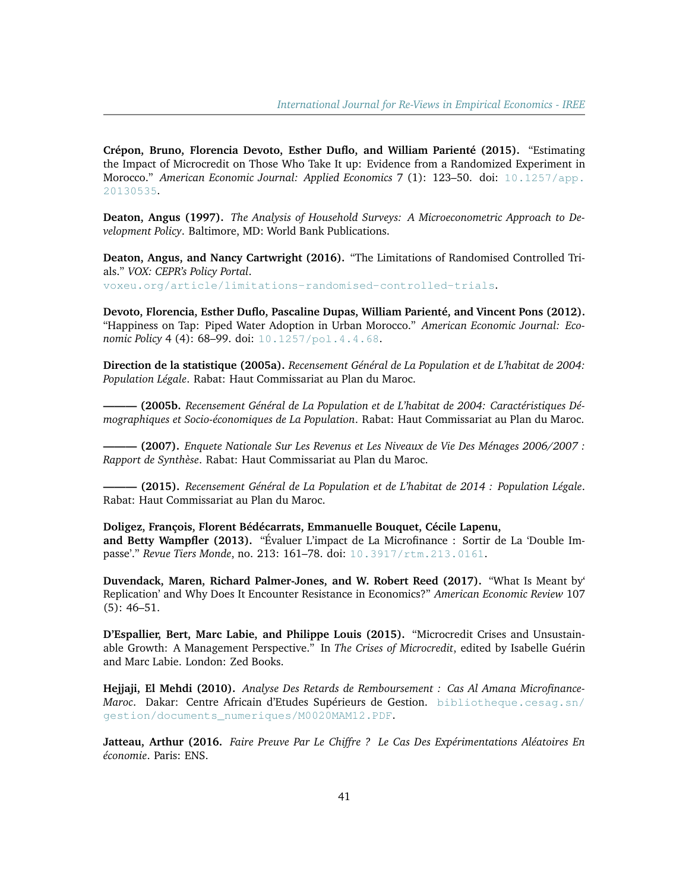**Crépon, Bruno, Florencia Devoto, Esther Duflo, and William Parienté (2015).** "Estimating the Impact of Microcredit on Those Who Take It up: Evidence from a Randomized Experiment in Morocco." *American Economic Journal: Applied Economics* 7 (1): 123–50. doi: [10.1257/app.](https://doi.org/10.1257/app.20130535) [20130535](https://doi.org/10.1257/app.20130535).

**Deaton, Angus (1997).** *The Analysis of Household Surveys: A Microeconometric Approach to Development Policy*. Baltimore, MD: World Bank Publications.

**Deaton, Angus, and Nancy Cartwright (2016).** "The Limitations of Randomised Controlled Trials." *VOX: CEPR's Policy Portal*. [voxeu.org/article/limitations-randomised-controlled-trials](https://voxeu.org/article/limitations-randomised-controlled-trials).

**Devoto, Florencia, Esther Duflo, Pascaline Dupas, William Parienté, and Vincent Pons (2012).**

"Happiness on Tap: Piped Water Adoption in Urban Morocco." *American Economic Journal: Economic Policy* 4 (4): 68–99. doi: [10.1257/pol.4.4.68](https://doi.org/http://dx.doi.org/10.1257/pol.4.4.68).

**Direction de la statistique (2005a).** *Recensement Général de La Population et de L'habitat de 2004: Population Légale*. Rabat: Haut Commissariat au Plan du Maroc.

**——— (2005b.** *Recensement Général de La Population et de L'habitat de 2004: Caractéristiques Démographiques et Socio-économiques de La Population*. Rabat: Haut Commissariat au Plan du Maroc.

**——— (2007).** *Enquete Nationale Sur Les Revenus et Les Niveaux de Vie Des Ménages 2006/2007 : Rapport de Synthèse*. Rabat: Haut Commissariat au Plan du Maroc.

**——— (2015).** *Recensement Général de La Population et de L'habitat de 2014 : Population Légale*. Rabat: Haut Commissariat au Plan du Maroc.

**Doligez, François, Florent Bédécarrats, Emmanuelle Bouquet, Cécile Lapenu, and Betty Wampfler (2013).** "Évaluer L'impact de La Microfinance : Sortir de La 'Double Impasse'." *Revue Tiers Monde*, no. 213: 161–78. doi: [10.3917/rtm.213.0161](https://doi.org/doi:10.3917/rtm.213.0161).

**Duvendack, Maren, Richard Palmer-Jones, and W. Robert Reed (2017).** "What Is Meant by' Replication' and Why Does It Encounter Resistance in Economics?" *American Economic Review* 107 (5): 46–51.

**D'Espallier, Bert, Marc Labie, and Philippe Louis (2015).** "Microcredit Crises and Unsustainable Growth: A Management Perspective." In *The Crises of Microcredit*, edited by Isabelle Guérin and Marc Labie. London: Zed Books.

**Hejjaji, El Mehdi (2010).** *Analyse Des Retards de Remboursement : Cas Al Amana Microfinance-Maroc*. Dakar: Centre Africain d'Etudes Supérieurs de Gestion. [bibliotheque.cesag.sn/](http://bibliotheque.cesag.sn/gestion/documents_numeriques/M0020MAM12.PDF) [gestion/documents\\_numeriques/M0020MAM12.PDF](http://bibliotheque.cesag.sn/gestion/documents_numeriques/M0020MAM12.PDF).

**Jatteau, Arthur (2016.** *Faire Preuve Par Le Chiffre ? Le Cas Des Expérimentations Aléatoires En économie*. Paris: ENS.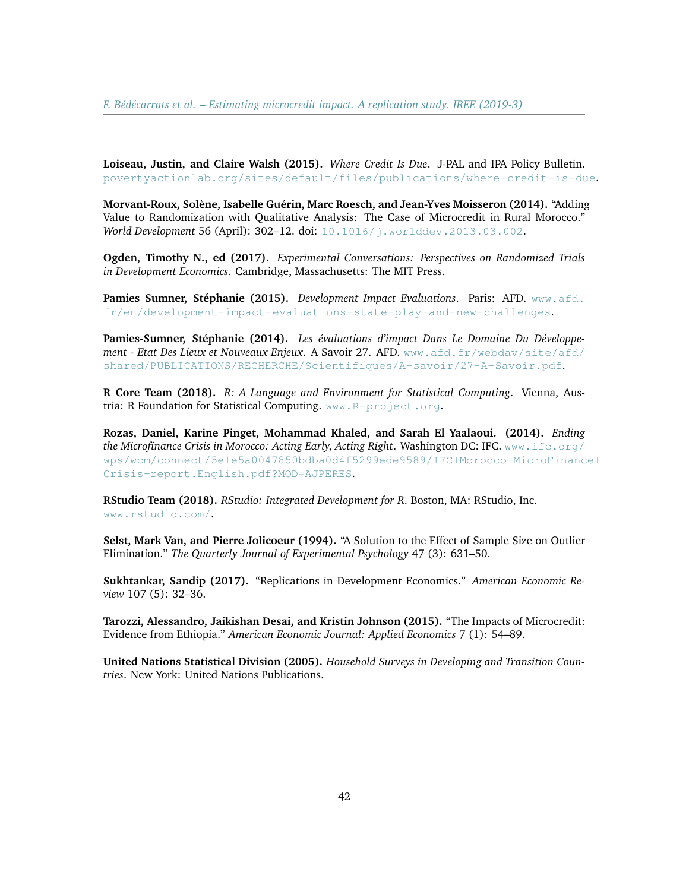**Loiseau, Justin, and Claire Walsh (2015).** *Where Credit Is Due*. J-PAL and IPA Policy Bulletin. [povertyactionlab.org/sites/default/files/publications/where-credit-is-due](https://www.povertyactionlab.org/sites/default/files/publications/where-credit-is-due.pdf).

**Morvant-Roux, Solène, Isabelle Guérin, Marc Roesch, and Jean-Yves Moisseron (2014).** "Adding Value to Randomization with Qualitative Analysis: The Case of Microcredit in Rural Morocco." *World Development* 56 (April): 302–12. doi: [10.1016/j.worlddev.2013.03.002](https://doi.org/10.1016/j.worlddev.2013.03.002).

**Ogden, Timothy N., ed (2017).** *Experimental Conversations: Perspectives on Randomized Trials in Development Economics*. Cambridge, Massachusetts: The MIT Press.

**Pamies Sumner, Stéphanie (2015).** *Development Impact Evaluations*. Paris: AFD. [www.afd.](https://www.afd.fr/en/development-impact-evaluations-state-play-and-new-challenges) [fr/en/development-impact-evaluations-state-play-and-new-challenges](https://www.afd.fr/en/development-impact-evaluations-state-play-and-new-challenges).

**Pamies-Sumner, Stéphanie (2014).** *Les évaluations d'impact Dans Le Domaine Du Développement - Etat Des Lieux et Nouveaux Enjeux*. A Savoir 27. AFD. [www.afd.fr/webdav/site/afd/](http://www.afd.fr/webdav/site/afd/shared/PUBLICATIONS/RECHERCHE/Scientifiques/A-savoir/27-A-Savoir.pdf) [shared/PUBLICATIONS/RECHERCHE/Scientifiques/A-savoir/27-A-Savoir.pdf](http://www.afd.fr/webdav/site/afd/shared/PUBLICATIONS/RECHERCHE/Scientifiques/A-savoir/27-A-Savoir.pdf).

**R Core Team (2018).** *R: A Language and Environment for Statistical Computing*. Vienna, Austria: R Foundation for Statistical Computing. [www.R-project.org](https://www.R-project.org).

**Rozas, Daniel, Karine Pinget, Mohammad Khaled, and Sarah El Yaalaoui. (2014).** *Ending the Microfinance Crisis in Morocco: Acting Early, Acting Right*. Washington DC: IFC. [www.ifc.org/](https://www.ifc.org/wps/wcm/connect/5e1e5a0047850bdba0d4f5299ede9589/IFC+Morocco+MicroFinance+Crisis+report.English.pdf?MOD=AJPERES) [wps/wcm/connect/5e1e5a0047850bdba0d4f5299ede9589/IFC+Morocco+MicroFinanc](https://www.ifc.org/wps/wcm/connect/5e1e5a0047850bdba0d4f5299ede9589/IFC+Morocco+MicroFinance+Crisis+report.English.pdf?MOD=AJPERES)e+ [Crisis+report.English.pdf?MOD=AJPERES](https://www.ifc.org/wps/wcm/connect/5e1e5a0047850bdba0d4f5299ede9589/IFC+Morocco+MicroFinance+Crisis+report.English.pdf?MOD=AJPERES).

**RStudio Team (2018).** *RStudio: Integrated Development for R*. Boston, MA: RStudio, Inc. [www.rstudio.com/](http://www.rstudio.com/).

**Selst, Mark Van, and Pierre Jolicoeur (1994).** "A Solution to the Effect of Sample Size on Outlier Elimination." *The Quarterly Journal of Experimental Psychology* 47 (3): 631–50.

**Sukhtankar, Sandip (2017).** "Replications in Development Economics." *American Economic Review* 107 (5): 32–36.

**Tarozzi, Alessandro, Jaikishan Desai, and Kristin Johnson (2015).** "The Impacts of Microcredit: Evidence from Ethiopia." *American Economic Journal: Applied Economics* 7 (1): 54–89.

**United Nations Statistical Division (2005).** *Household Surveys in Developing and Transition Countries*. New York: United Nations Publications.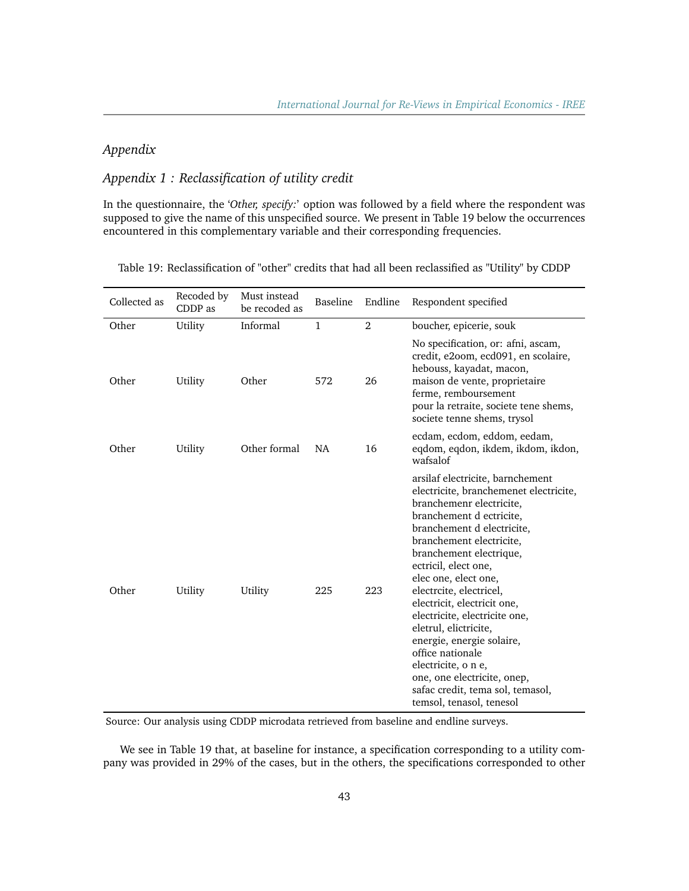# *Appendix*

# *Appendix 1 : Reclassification of utility credit*

In the questionnaire, the '*Other, specify:*' option was followed by a field where the respondent was supposed to give the name of this unspecified source. We present in Table 19 below the occurrences encountered in this complementary variable and their corresponding frequencies.

| Collected as | Recoded by<br>CDDP as | Must instead<br>be recoded as | Baseline  | Endline | Respondent specified                                                                                                                                                                                                                                                                                                                                                                                                                                                                                                                                               |
|--------------|-----------------------|-------------------------------|-----------|---------|--------------------------------------------------------------------------------------------------------------------------------------------------------------------------------------------------------------------------------------------------------------------------------------------------------------------------------------------------------------------------------------------------------------------------------------------------------------------------------------------------------------------------------------------------------------------|
| Other        | Utility               | Informal                      | 1         | 2       | boucher, epicerie, souk                                                                                                                                                                                                                                                                                                                                                                                                                                                                                                                                            |
| Other        | Utility               | Other                         | 572       | 26      | No specification, or: afni, ascam,<br>credit, e2oom, ecd091, en scolaire,<br>hebouss, kayadat, macon,<br>maison de vente, proprietaire<br>ferme, remboursement<br>pour la retraite, societe tene shems,<br>societe tenne shems, trysol                                                                                                                                                                                                                                                                                                                             |
| Other        | Utility               | Other formal                  | <b>NA</b> | 16      | ecdam, ecdom, eddom, eedam,<br>eqdom, eqdon, ikdem, ikdom, ikdon,<br>wafsalof                                                                                                                                                                                                                                                                                                                                                                                                                                                                                      |
| Other        | Utility               | Utility                       | 225       | 223     | arsilaf electricite, barnchement<br>electricite, branchemenet electricite,<br>branchemenr electricite,<br>branchement d ectricite,<br>branchement d electricite,<br>branchement electricite,<br>branchement electrique,<br>ectricil, elect one,<br>elec one, elect one,<br>electrcite, electricel,<br>electricit, electricit one,<br>electricite, electricite one,<br>eletrul, elictricite,<br>energie, energie solaire,<br>office nationale<br>electricite, o n e,<br>one, one electricite, onep,<br>safac credit, tema sol, temasol,<br>temsol, tenasol, tenesol |

Table 19: Reclassification of "other" credits that had all been reclassified as "Utility" by CDDP

Source: Our analysis using CDDP microdata retrieved from baseline and endline surveys.

We see in Table 19 that, at baseline for instance, a specification corresponding to a utility company was provided in 29% of the cases, but in the others, the specifications corresponded to other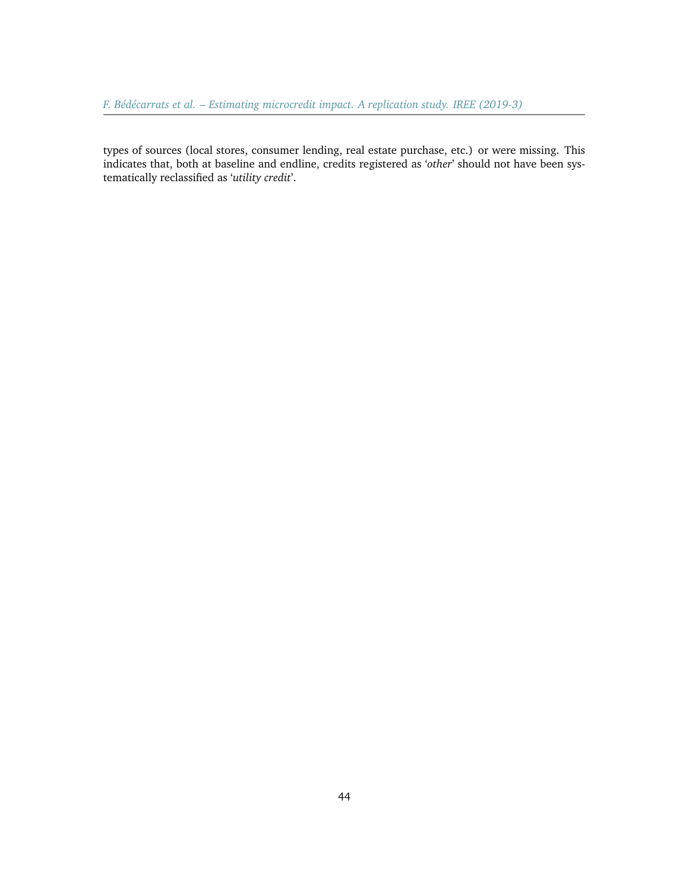types of sources (local stores, consumer lending, real estate purchase, etc.) or were missing. This indicates that, both at baseline and endline, credits registered as '*other*' should not have been systematically reclassified as '*utility credit*'.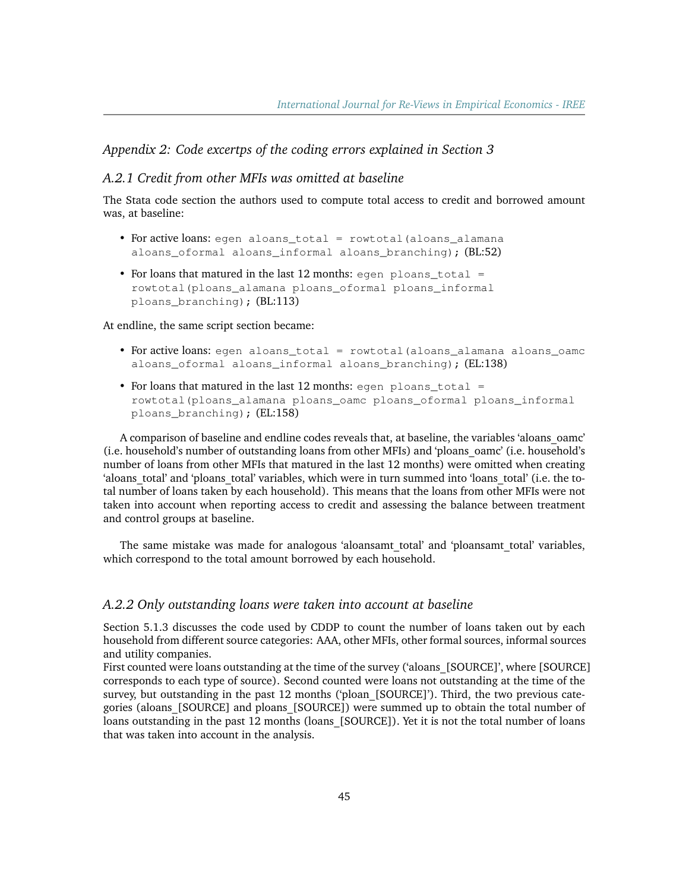# *Appendix 2: Code excertps of the coding errors explained in Section 3*

#### *A.2.1 Credit from other MFIs was omitted at baseline*

The Stata code section the authors used to compute total access to credit and borrowed amount was, at baseline:

- For active loans: egen aloans\_total = rowtotal (aloans\_alamana aloans oformal aloans informal aloans branching); (BL:52)
- For loans that matured in the last 12 months: egen ploans total = rowtotal(ploans\_alamana ploans\_oformal ploans\_informal ploans\_branching); (BL:113)

At endline, the same script section became:

- For active loans: egen aloans\_total = rowtotal(aloans\_alamana aloans\_oamc aloans\_oformal aloans\_informal aloans\_branching); (EL:138)
- For loans that matured in the last 12 months: egen ploans total  $=$ rowtotal(ploans\_alamana ploans\_oamc ploans\_oformal ploans\_informal ploans branching); (EL:158)

A comparison of baseline and endline codes reveals that, at baseline, the variables 'aloans\_oamc' (i.e. household's number of outstanding loans from other MFIs) and 'ploans\_oamc' (i.e. household's number of loans from other MFIs that matured in the last 12 months) were omitted when creating 'aloans total' and 'ploans total' variables, which were in turn summed into 'loans total' (i.e. the total number of loans taken by each household). This means that the loans from other MFIs were not taken into account when reporting access to credit and assessing the balance between treatment and control groups at baseline.

The same mistake was made for analogous 'aloansamt\_total' and 'ploansamt\_total' variables, which correspond to the total amount borrowed by each household.

#### *A.2.2 Only outstanding loans were taken into account at baseline*

Section 5.1.3 discusses the code used by CDDP to count the number of loans taken out by each household from different source categories: AAA, other MFIs, other formal sources, informal sources and utility companies.

First counted were loans outstanding at the time of the survey ('aloans [SOURCE]', where [SOURCE] corresponds to each type of source). Second counted were loans not outstanding at the time of the survey, but outstanding in the past 12 months ('ploan [SOURCE]'). Third, the two previous categories (aloans\_[SOURCE] and ploans\_[SOURCE]) were summed up to obtain the total number of loans outstanding in the past 12 months (loans [SOURCE]). Yet it is not the total number of loans that was taken into account in the analysis.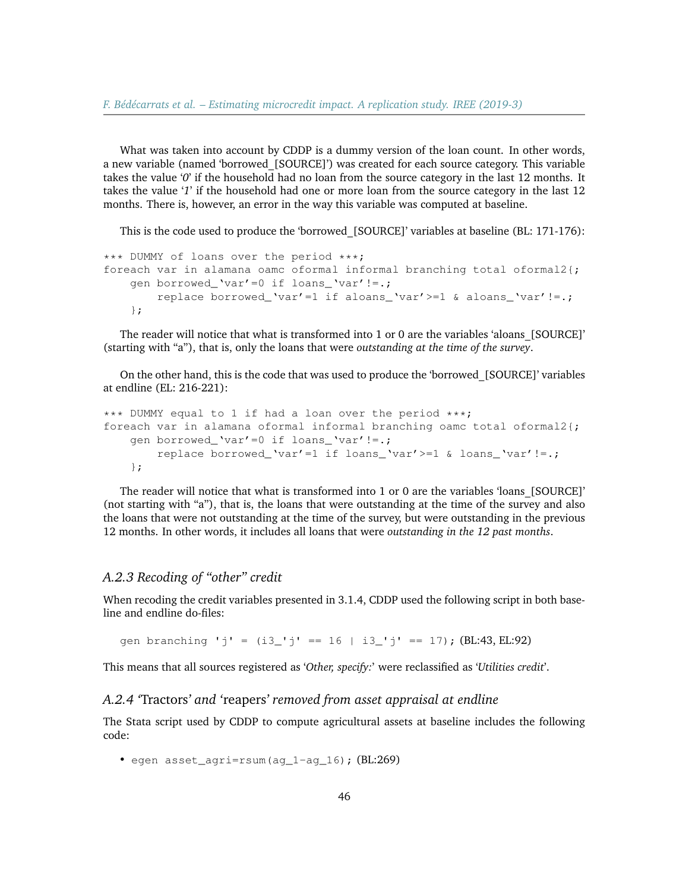What was taken into account by CDDP is a dummy version of the loan count. In other words, a new variable (named 'borrowed [SOURCE]') was created for each source category. This variable takes the value '*0*' if the household had no loan from the source category in the last 12 months. It takes the value '*1*' if the household had one or more loan from the source category in the last 12 months. There is, however, an error in the way this variable was computed at baseline.

This is the code used to produce the 'borrowed\_[SOURCE]' variables at baseline (BL: 171-176):

```
*** DUMMY of loans over the period ***;
foreach var in alamana oamc oformal informal branching total oformal2{;
   gen borrowed_'var'=0 if loans_'var'!=.;
        replace borrowed_'var'=1 if aloans_'var'>=1 & aloans_'var'!=.;
    };
```
The reader will notice that what is transformed into 1 or 0 are the variables 'aloans\_[SOURCE]' (starting with "a"), that is, only the loans that were *outstanding at the time of the survey*.

On the other hand, this is the code that was used to produce the 'borrowed\_[SOURCE]' variables at endline (EL: 216-221):

```
*** DUMMY equal to 1 if had a loan over the period ***;
foreach var in alamana oformal informal branching oamc total oformal2{;
   gen borrowed_'var'=0 if loans_'var'!=.;
        replace borrowed 'var'=1 if loans 'var'>=1 & loans 'var'!=.;
    };
```
The reader will notice that what is transformed into 1 or 0 are the variables 'loans\_[SOURCE]' (not starting with "a"), that is, the loans that were outstanding at the time of the survey and also the loans that were not outstanding at the time of the survey, but were outstanding in the previous 12 months. In other words, it includes all loans that were *outstanding in the 12 past months*.

### *A.2.3 Recoding of "other" credit*

When recoding the credit variables presented in 3.1.4, CDDP used the following script in both baseline and endline do-files:

gen branching 'j' =  $(i3)' = 16 + i3' = 17$ ; (BL:43, EL:92)

This means that all sources registered as '*Other, specify:*' were reclassified as '*Utilities credit*'.

#### *A.2.4 '*Tractors*' and '*reapers*' removed from asset appraisal at endline*

The Stata script used by CDDP to compute agricultural assets at baseline includes the following code:

• egen asset agri=rsum(ag  $1$ -ag  $16$ ); (BL:269)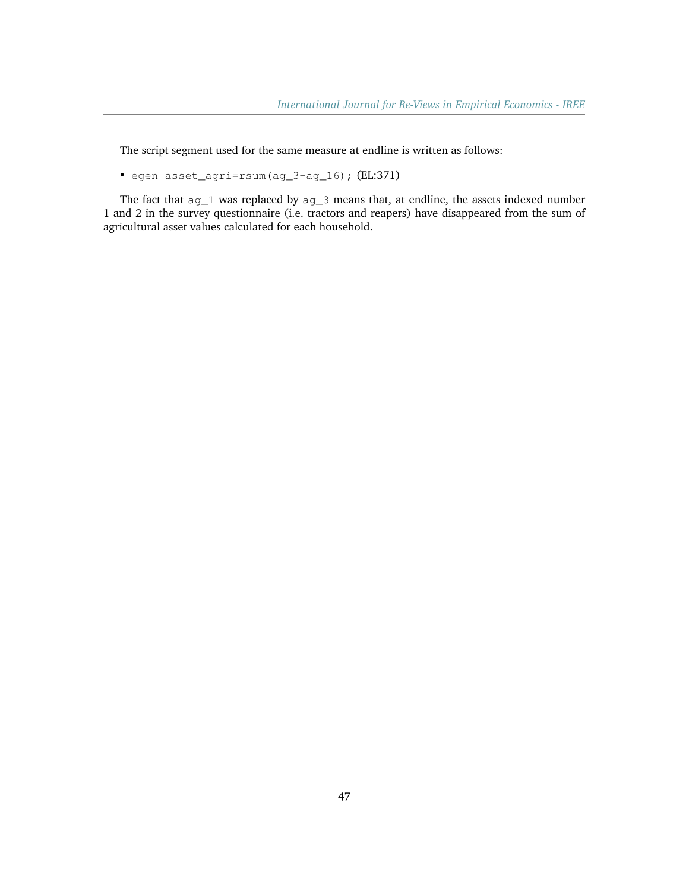The script segment used for the same measure at endline is written as follows:

• egen asset\_agri=rsum(ag\_3-ag\_16); (EL:371)

The fact that ag\_1 was replaced by ag\_3 means that, at endline, the assets indexed number 1 and 2 in the survey questionnaire (i.e. tractors and reapers) have disappeared from the sum of agricultural asset values calculated for each household.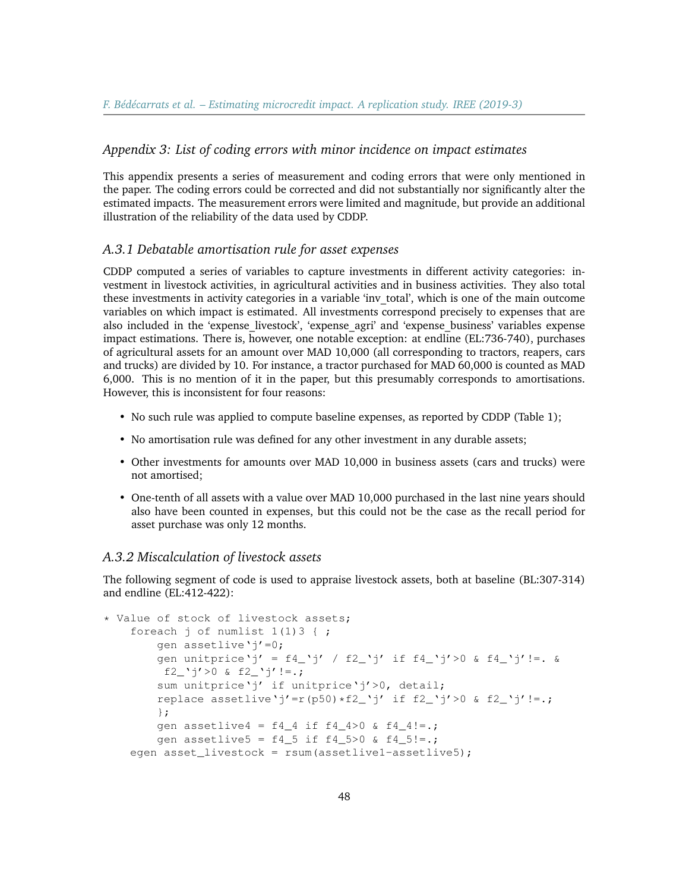# *Appendix 3: List of coding errors with minor incidence on impact estimates*

This appendix presents a series of measurement and coding errors that were only mentioned in the paper. The coding errors could be corrected and did not substantially nor significantly alter the estimated impacts. The measurement errors were limited and magnitude, but provide an additional illustration of the reliability of the data used by CDDP.

#### *A.3.1 Debatable amortisation rule for asset expenses*

CDDP computed a series of variables to capture investments in different activity categories: investment in livestock activities, in agricultural activities and in business activities. They also total these investments in activity categories in a variable 'inv\_total', which is one of the main outcome variables on which impact is estimated. All investments correspond precisely to expenses that are also included in the 'expense\_livestock', 'expense\_agri' and 'expense\_business' variables expense impact estimations. There is, however, one notable exception: at endline (EL:736-740), purchases of agricultural assets for an amount over MAD 10,000 (all corresponding to tractors, reapers, cars and trucks) are divided by 10. For instance, a tractor purchased for MAD 60,000 is counted as MAD 6,000. This is no mention of it in the paper, but this presumably corresponds to amortisations. However, this is inconsistent for four reasons:

- No such rule was applied to compute baseline expenses, as reported by CDDP (Table 1);
- No amortisation rule was defined for any other investment in any durable assets;
- Other investments for amounts over MAD 10,000 in business assets (cars and trucks) were not amortised;
- One-tenth of all assets with a value over MAD 10,000 purchased in the last nine years should also have been counted in expenses, but this could not be the case as the recall period for asset purchase was only 12 months.

#### *A.3.2 Miscalculation of livestock assets*

The following segment of code is used to appraise livestock assets, both at baseline (BL:307-314) and endline (EL:412-422):

```
* Value of stock of livestock assets;
    foreach j of numlist 1(1)3 { ;
        gen assetlive'j'=0;
        gen unitprice'j' = f4_'j' / f2_'j' if f4_'j'>0 & f4_'j'!=. &
         f2_'j'>0 & f2_'j'!=.;
        sum unitprice'j' if unitprice'j'>0, detail;
        replace assetlive'j'=r(p50)*f2_'j' if f2_'j'>0 & f2_'j'!=.;
        };
        gen assetlive4 = f4_4 if f4_4 > 0 & f4_4 != .;gen assetlive5 = f4_5 if f4_5>0 & f4_5!=.;
    egen asset_livestock = rsum(assetlive1-assetlive5);
```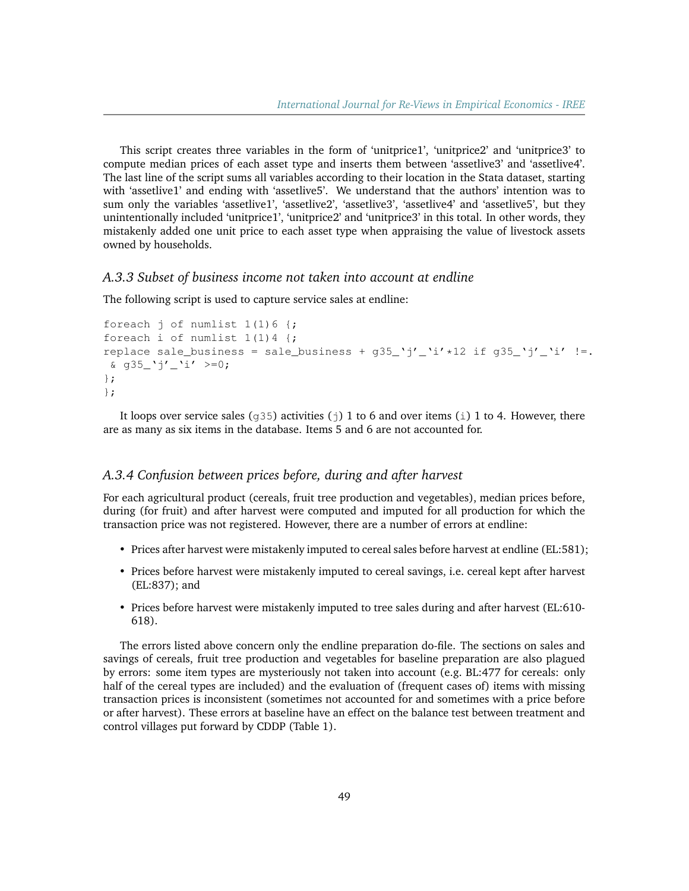This script creates three variables in the form of 'unitprice1', 'unitprice2' and 'unitprice3' to compute median prices of each asset type and inserts them between 'assetlive3' and 'assetlive4'. The last line of the script sums all variables according to their location in the Stata dataset, starting with 'assetlive1' and ending with 'assetlive5'. We understand that the authors' intention was to sum only the variables 'assetlive1', 'assetlive2', 'assetlive3', 'assetlive4' and 'assetlive5', but they unintentionally included 'unitprice1', 'unitprice2' and 'unitprice3' in this total. In other words, they mistakenly added one unit price to each asset type when appraising the value of livestock assets owned by households.

#### *A.3.3 Subset of business income not taken into account at endline*

The following script is used to capture service sales at endline:

```
foreach j of numlist 1(1)6 {;
foreach i of numlist 1(1) 4 {;
replace sale_business = sale_business + q35_'j'_'i' *12 if q35_'j'_'i' !=.
\frac{1}{2} g35 'j' 'i' >=0;
};
};
```
It loops over service sales ( $\sigma$ 35) activities (j) 1 to 6 and over items (i) 1 to 4. However, there are as many as six items in the database. Items 5 and 6 are not accounted for.

#### *A.3.4 Confusion between prices before, during and after harvest*

For each agricultural product (cereals, fruit tree production and vegetables), median prices before, during (for fruit) and after harvest were computed and imputed for all production for which the transaction price was not registered. However, there are a number of errors at endline:

- Prices after harvest were mistakenly imputed to cereal sales before harvest at endline (EL:581);
- Prices before harvest were mistakenly imputed to cereal savings, i.e. cereal kept after harvest (EL:837); and
- Prices before harvest were mistakenly imputed to tree sales during and after harvest (EL:610- 618).

The errors listed above concern only the endline preparation do-file. The sections on sales and savings of cereals, fruit tree production and vegetables for baseline preparation are also plagued by errors: some item types are mysteriously not taken into account (e.g. BL:477 for cereals: only half of the cereal types are included) and the evaluation of (frequent cases of) items with missing transaction prices is inconsistent (sometimes not accounted for and sometimes with a price before or after harvest). These errors at baseline have an effect on the balance test between treatment and control villages put forward by CDDP (Table 1).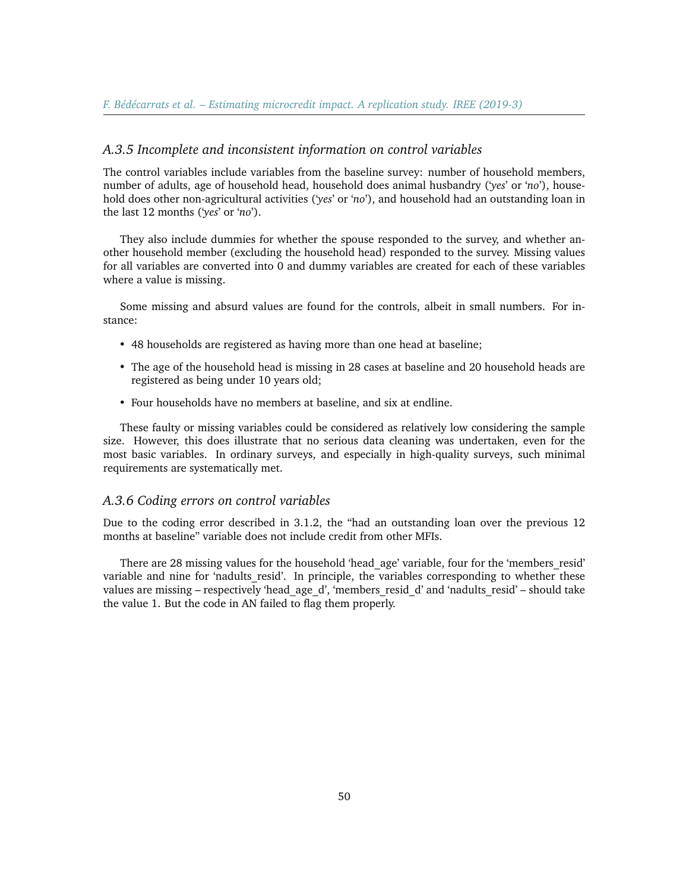#### *A.3.5 Incomplete and inconsistent information on control variables*

The control variables include variables from the baseline survey: number of household members, number of adults, age of household head, household does animal husbandry ('*yes*' or '*no*'), household does other non-agricultural activities ('*yes*' or '*no*'), and household had an outstanding loan in the last 12 months ('*yes*' or '*no*').

They also include dummies for whether the spouse responded to the survey, and whether another household member (excluding the household head) responded to the survey. Missing values for all variables are converted into 0 and dummy variables are created for each of these variables where a value is missing.

Some missing and absurd values are found for the controls, albeit in small numbers. For instance:

- 48 households are registered as having more than one head at baseline;
- The age of the household head is missing in 28 cases at baseline and 20 household heads are registered as being under 10 years old;
- Four households have no members at baseline, and six at endline.

These faulty or missing variables could be considered as relatively low considering the sample size. However, this does illustrate that no serious data cleaning was undertaken, even for the most basic variables. In ordinary surveys, and especially in high-quality surveys, such minimal requirements are systematically met.

#### *A.3.6 Coding errors on control variables*

Due to the coding error described in 3.1.2, the "had an outstanding loan over the previous 12 months at baseline" variable does not include credit from other MFIs.

There are 28 missing values for the household 'head\_age' variable, four for the 'members\_resid' variable and nine for 'nadults resid'. In principle, the variables corresponding to whether these values are missing – respectively 'head age d', 'members resid d' and 'nadults resid' – should take the value 1. But the code in AN failed to flag them properly.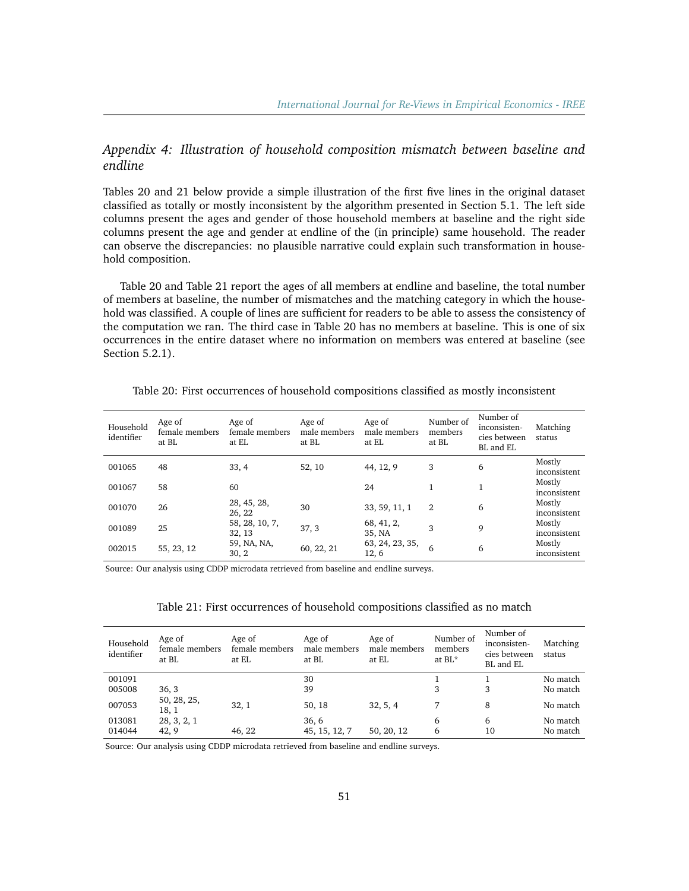# *Appendix 4: Illustration of household composition mismatch between baseline and endline*

Tables 20 and 21 below provide a simple illustration of the first five lines in the original dataset classified as totally or mostly inconsistent by the algorithm presented in Section 5.1. The left side columns present the ages and gender of those household members at baseline and the right side columns present the age and gender at endline of the (in principle) same household. The reader can observe the discrepancies: no plausible narrative could explain such transformation in household composition.

Table 20 and Table 21 report the ages of all members at endline and baseline, the total number of members at baseline, the number of mismatches and the matching category in which the household was classified. A couple of lines are sufficient for readers to be able to assess the consistency of the computation we ran. The third case in Table 20 has no members at baseline. This is one of six occurrences in the entire dataset where no information on members was entered at baseline (see Section 5.2.1).

| Table 20: First occurrences of household compositions classified as mostly inconsistent |  |
|-----------------------------------------------------------------------------------------|--|
|-----------------------------------------------------------------------------------------|--|

| Household<br>identifier | Age of<br>female members<br>at BL | Age of<br>female members<br>at EL | Age of<br>male members<br>at BL | Age of<br>male members<br>at EL | Number of<br>members<br>at BL | Number of<br>inconsisten-<br>cies between<br>BL and EL | Matching<br>status     |
|-------------------------|-----------------------------------|-----------------------------------|---------------------------------|---------------------------------|-------------------------------|--------------------------------------------------------|------------------------|
| 001065                  | 48                                | 33, 4                             | 52, 10                          | 44, 12, 9                       | 3                             | 6                                                      | Mostly<br>inconsistent |
| 001067                  | 58                                | 60                                |                                 | 24                              |                               | 1                                                      | Mostly<br>inconsistent |
| 001070                  | 26                                | 28, 45, 28,<br>26, 22             | 30                              | 33, 59, 11, 1                   | 2                             | 6                                                      | Mostly<br>inconsistent |
| 001089                  | 25                                | 58, 28, 10, 7,<br>32, 13          | 37, 3                           | 68, 41, 2,<br>35, NA            | 3                             | 9                                                      | Mostly<br>inconsistent |
| 002015                  | 55, 23, 12                        | 59, NA, NA,<br>30, 2              | 60, 22, 21                      | 63, 24, 23, 35,<br>12, 6        | 6                             | 6                                                      | Mostly<br>inconsistent |

Source: Our analysis using CDDP microdata retrieved from baseline and endline surveys.

| Table 21: First occurrences of household compositions classified as no match |  |  |  |
|------------------------------------------------------------------------------|--|--|--|
|------------------------------------------------------------------------------|--|--|--|

| Household<br>identifier | Age of<br>female members<br>at BL | Age of<br>female members<br>at EL | Age of<br>male members<br>at BL | Age of<br>male members<br>at EL | Number of<br>members<br>at BL* | Number of<br>inconsisten-<br>cies between<br>BL and EL | Matching<br>status |
|-------------------------|-----------------------------------|-----------------------------------|---------------------------------|---------------------------------|--------------------------------|--------------------------------------------------------|--------------------|
| 001091                  |                                   |                                   | 30                              |                                 |                                |                                                        | No match           |
| 005008                  | 36, 3                             |                                   | 39                              |                                 | 3                              | 3                                                      | No match           |
| 007053                  | 50, 28, 25,<br>18, 1              | 32, 1                             | 50, 18                          | 32, 5, 4                        |                                | 8                                                      | No match           |
| 013081                  | 28, 3, 2, 1                       |                                   | 36, 6                           |                                 | 6                              | 6                                                      | No match           |
| 014044                  | 42, 9                             | 46, 22                            | 45, 15, 12, 7                   | 50, 20, 12                      | 6                              | 10                                                     | No match           |

Source: Our analysis using CDDP microdata retrieved from baseline and endline surveys.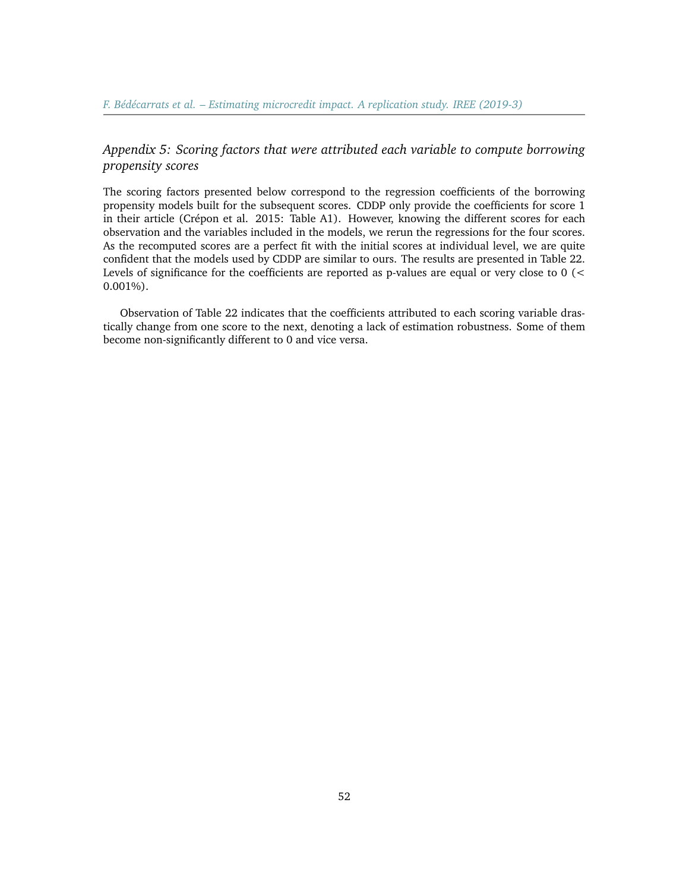# *Appendix 5: Scoring factors that were attributed each variable to compute borrowing propensity scores*

The scoring factors presented below correspond to the regression coefficients of the borrowing propensity models built for the subsequent scores. CDDP only provide the coefficients for score 1 in their article (Crépon et al. 2015: Table A1). However, knowing the different scores for each observation and the variables included in the models, we rerun the regressions for the four scores. As the recomputed scores are a perfect fit with the initial scores at individual level, we are quite confident that the models used by CDDP are similar to ours. The results are presented in Table 22. Levels of significance for the coefficients are reported as p-values are equal or very close to 0 (< 0.001%).

Observation of Table 22 indicates that the coefficients attributed to each scoring variable drastically change from one score to the next, denoting a lack of estimation robustness. Some of them become non-significantly different to 0 and vice versa.